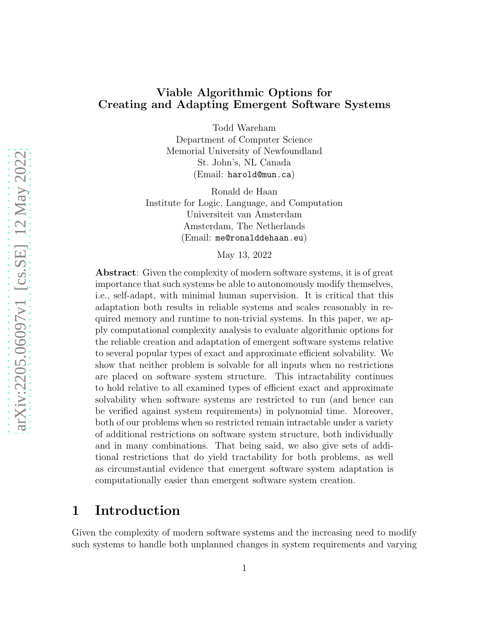# Viable Algorithmic Options for Creating and Adapting Emergent Software Systems

Todd Wareham

Department of Computer Science Memorial University of Newfoundland St. John's, NL Canada (Email: harold@mun.ca)

Ronald de Haan Institute for Logic, Language, and Computation Universiteit van Amsterdam Amsterdam, The Netherlands (Email: me@ronalddehaan.eu)

May 13, 2022

Abstract: Given the complexity of modern software systems, it is of great importance that such systems be able to autonomously modify themselves, i.e., self-adapt, with minimal human supervision. It is critical that this adaptation both results in reliable systems and scales reasonably in required memory and runtime to non-trivial systems. In this paper, we apply computational complexity analysis to evaluate algorithmic options for the reliable creation and adaptation of emergent software systems relative to several popular types of exact and approximate efficient solvability. We show that neither problem is solvable for all inputs when no restrictions are placed on software system structure. This intractability continues to hold relative to all examined types of efficient exact and approximate solvability when software systems are restricted to run (and hence can be verified against system requirements) in polynomial time. Moreover, both of our problems when so restricted remain intractable under a variety of additional restrictions on software system structure, both individually and in many combinations. That being said, we also give sets of additional restrictions that do yield tractability for both problems, as well as circumstantial evidence that emergent software system adaptation is computationally easier than emergent software system creation.

# 1 Introduction

Given the complexity of modern software systems and the increasing need to modify such systems to handle both unplanned changes in system requirements and varying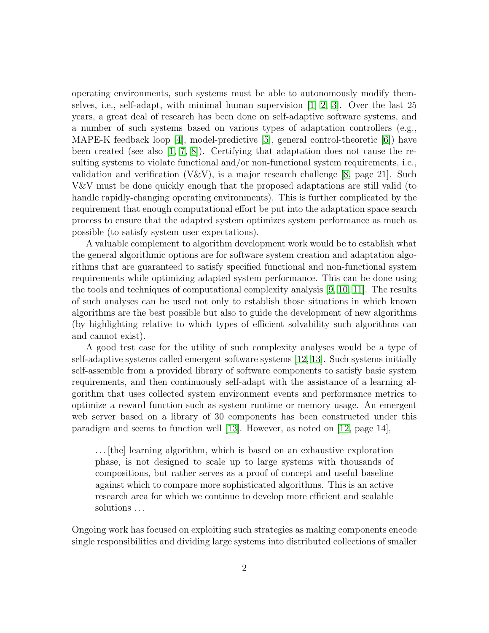operating environments, such systems must be able to autonomously modify themselves, i.e., self-adapt, with minimal human supervision [\[1,](#page-53-0) [2,](#page-53-1) [3\]](#page-53-2). Over the last 25 years, a great deal of research has been done on self-adaptive software systems, and a number of such systems based on various types of adaptation controllers (e.g., MAPE-K feedback loop [\[4\]](#page-54-0), model-predictive [\[5\]](#page-54-1), general control-theoretic [\[6\]](#page-54-2)) have been created (see also [\[1,](#page-53-0) [7,](#page-54-3) [8\]](#page-54-4)). Certifying that adaptation does not cause the resulting systems to violate functional and/or non-functional system requirements, i.e., validation and verification  $(V&V)$ , is a major research challenge [\[8,](#page-54-4) page 21]. Such V&V must be done quickly enough that the proposed adaptations are still valid (to handle rapidly-changing operating environments). This is further complicated by the requirement that enough computational effort be put into the adaptation space search process to ensure that the adapted system optimizes system performance as much as possible (to satisfy system user expectations).

A valuable complement to algorithm development work would be to establish what the general algorithmic options are for software system creation and adaptation algorithms that are guaranteed to satisfy specified functional and non-functional system requirements while optimizing adapted system performance. This can be done using the tools and techniques of computational complexity analysis [\[9,](#page-54-5) [10,](#page-54-6) [11\]](#page-54-7). The results of such analyses can be used not only to establish those situations in which known algorithms are the best possible but also to guide the development of new algorithms (by highlighting relative to which types of efficient solvability such algorithms can and cannot exist).

A good test case for the utility of such complexity analyses would be a type of self-adaptive systems called emergent software systems [\[12,](#page-54-8) [13\]](#page-54-9). Such systems initially self-assemble from a provided library of software components to satisfy basic system requirements, and then continuously self-adapt with the assistance of a learning algorithm that uses collected system environment events and performance metrics to optimize a reward function such as system runtime or memory usage. An emergent web server based on a library of 30 components has been constructed under this paradigm and seems to function well [\[13\]](#page-54-9). However, as noted on [\[12,](#page-54-8) page 14],

. . . [the] learning algorithm, which is based on an exhaustive exploration phase, is not designed to scale up to large systems with thousands of compositions, but rather serves as a proof of concept and useful baseline against which to compare more sophisticated algorithms. This is an active research area for which we continue to develop more efficient and scalable solutions . . .

Ongoing work has focused on exploiting such strategies as making components encode single responsibilities and dividing large systems into distributed collections of smaller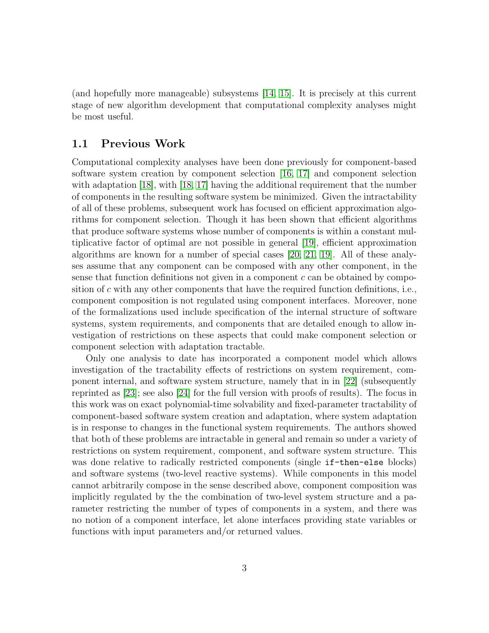(and hopefully more manageable) subsystems [\[14,](#page-55-0) [15\]](#page-55-1). It is precisely at this current stage of new algorithm development that computational complexity analyses might be most useful.

# 1.1 Previous Work

Computational complexity analyses have been done previously for component-based software system creation by component selection [\[16,](#page-55-2) [17\]](#page-55-3) and component selection with adaptation [\[18\]](#page-55-4), with [\[18,](#page-55-4) [17\]](#page-55-3) having the additional requirement that the number of components in the resulting software system be minimized. Given the intractability of all of these problems, subsequent work has focused on efficient approximation algorithms for component selection. Though it has been shown that efficient algorithms that produce software systems whose number of components is within a constant multiplicative factor of optimal are not possible in general [\[19\]](#page-55-5), efficient approximation algorithms are known for a number of special cases [\[20,](#page-55-6) [21,](#page-55-7) [19\]](#page-55-5). All of these analyses assume that any component can be composed with any other component, in the sense that function definitions not given in a component  $c$  can be obtained by composition of  $c$  with any other components that have the required function definitions, i.e., component composition is not regulated using component interfaces. Moreover, none of the formalizations used include specification of the internal structure of software systems, system requirements, and components that are detailed enough to allow investigation of restrictions on these aspects that could make component selection or component selection with adaptation tractable.

Only one analysis to date has incorporated a component model which allows investigation of the tractability effects of restrictions on system requirement, component internal, and software system structure, namely that in in [\[22\]](#page-55-8) (subsequently reprinted as [\[23\]](#page-55-9); see also [\[24\]](#page-56-0) for the full version with proofs of results). The focus in this work was on exact polynomial-time solvability and fixed-parameter tractability of component-based software system creation and adaptation, where system adaptation is in response to changes in the functional system requirements. The authors showed that both of these problems are intractable in general and remain so under a variety of restrictions on system requirement, component, and software system structure. This was done relative to radically restricted components (single  $if$ -then-else blocks) and software systems (two-level reactive systems). While components in this model cannot arbitrarily compose in the sense described above, component composition was implicitly regulated by the the combination of two-level system structure and a parameter restricting the number of types of components in a system, and there was no notion of a component interface, let alone interfaces providing state variables or functions with input parameters and/or returned values.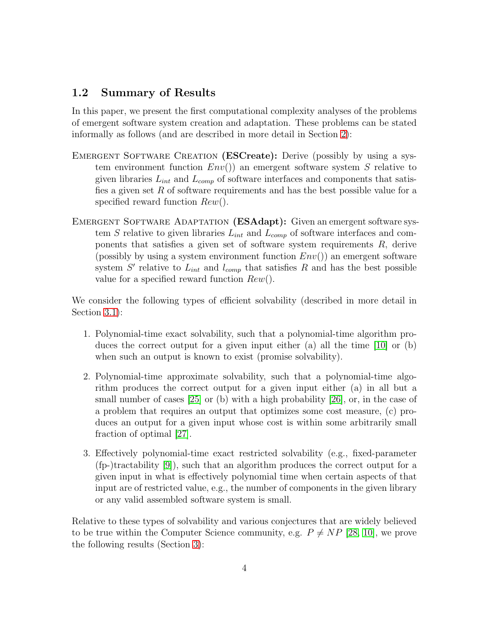# 1.2 Summary of Results

In this paper, we present the first computational complexity analyses of the problems of emergent software system creation and adaptation. These problems can be stated informally as follows (and are described in more detail in Section [2\)](#page-6-0):

- EMERGENT SOFTWARE CREATION (ESCreate): Derive (possibly by using a system environment function  $Env()$  an emergent software system S relative to given libraries  $L_{int}$  and  $L_{comp}$  of software interfaces and components that satisfies a given set  $R$  of software requirements and has the best possible value for a specified reward function  $Rew()$ .
- EMERGENT SOFTWARE ADAPTATION (ESAdapt): Given an emergent software system S relative to given libraries  $L_{int}$  and  $L_{comp}$  of software interfaces and components that satisfies a given set of software system requirements  $R$ , derive (possibly by using a system environment function  $Env()$ ) an emergent software system S' relative to  $L_{int}$  and  $l_{comp}$  that satisfies R and has the best possible value for a specified reward function  $Rew()$ .

We consider the following types of efficient solvability (described in more detail in Section [3.1\)](#page-14-0):

- 1. Polynomial-time exact solvability, such that a polynomial-time algorithm produces the correct output for a given input either (a) all the time [\[10\]](#page-54-6) or (b) when such an output is known to exist (promise solvability).
- 2. Polynomial-time approximate solvability, such that a polynomial-time algorithm produces the correct output for a given input either (a) in all but a small number of cases [\[25\]](#page-56-1) or (b) with a high probability [\[26\]](#page-56-2), or, in the case of a problem that requires an output that optimizes some cost measure, (c) produces an output for a given input whose cost is within some arbitrarily small fraction of optimal [\[27\]](#page-56-3).
- 3. Effectively polynomial-time exact restricted solvability (e.g., fixed-parameter (fp-)tractability [\[9\]](#page-54-5)), such that an algorithm produces the correct output for a given input in what is effectively polynomial time when certain aspects of that input are of restricted value, e.g., the number of components in the given library or any valid assembled software system is small.

Relative to these types of solvability and various conjectures that are widely believed to be true within the Computer Science community, e.g.  $P \neq NP$  [\[28,](#page-56-4) [10\]](#page-54-6), we prove the following results (Section [3\)](#page-13-0):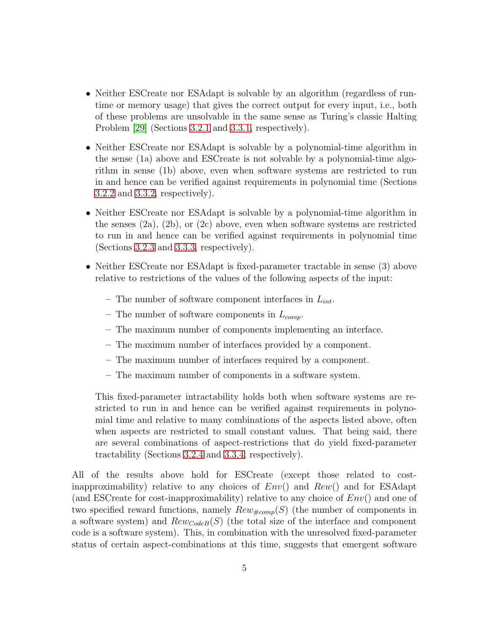- Neither ESCreate nor ESAdapt is solvable by an algorithm (regardless of runtime or memory usage) that gives the correct output for every input, i.e., both of these problems are unsolvable in the same sense as Turing's classic Halting Problem [\[29\]](#page-56-5) (Sections [3.2.1](#page-18-0) and [3.3.1,](#page-32-0) respectively).
- Neither ESCreate nor ESAdapt is solvable by a polynomial-time algorithm in the sense (1a) above and ESCreate is not solvable by a polynomial-time algorithm in sense (1b) above, even when software systems are restricted to run in and hence can be verified against requirements in polynomial time (Sections [3.2.2](#page-20-0) and [3.3.2,](#page-36-0) respectively).
- Neither ESCreate nor ESAdapt is solvable by a polynomial-time algorithm in the senses  $(2a)$ ,  $(2b)$ , or  $(2c)$  above, even when software systems are restricted to run in and hence can be verified against requirements in polynomial time (Sections [3.2.3](#page-23-0) and [3.3.3,](#page-38-0) respectively).
- Neither ESCreate nor ESAdapt is fixed-parameter tractable in sense (3) above relative to restrictions of the values of the following aspects of the input:
	- The number of software component interfaces in  $L_{int}$ .
	- The number of software components in  $L_{comp}$ .
	- The maximum number of components implementing an interface.
	- The maximum number of interfaces provided by a component.
	- The maximum number of interfaces required by a component.
	- The maximum number of components in a software system.

This fixed-parameter intractability holds both when software systems are restricted to run in and hence can be verified against requirements in polynomial time and relative to many combinations of the aspects listed above, often when aspects are restricted to small constant values. That being said, there are several combinations of aspect-restrictions that do yield fixed-parameter tractability (Sections [3.2.4](#page-29-0) and [3.3.4,](#page-39-0) respectively).

All of the results above hold for ESCreate (except those related to costinapproximability) relative to any choices of  $Env()$  and  $Rew()$  and for ESAdapt (and ESCreate for cost-inapproximability) relative to any choice of  $Env($ ) and one of two specified reward functions, namely  $Rew_{\#comp}(S)$  (the number of components in a software system) and  $Rewcode(B)$  (the total size of the interface and component code is a software system). This, in combination with the unresolved fixed-parameter status of certain aspect-combinations at this time, suggests that emergent software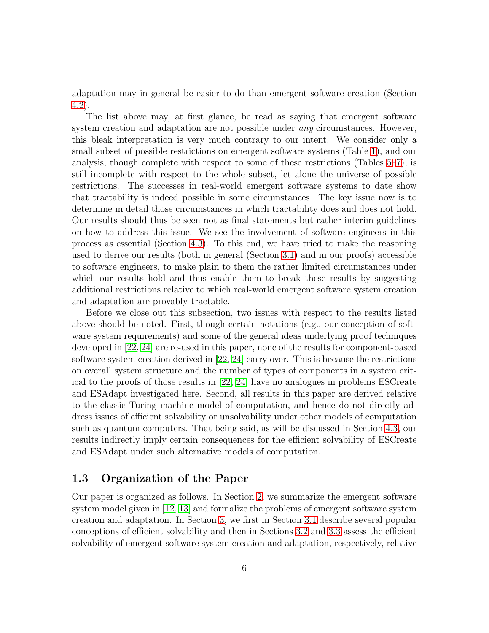adaptation may in general be easier to do than emergent software creation (Section [4.2\)](#page-46-0).

The list above may, at first glance, be read as saying that emergent software system creation and adaptation are not possible under *any* circumstances. However, this bleak interpretation is very much contrary to our intent. We consider only a small subset of possible restrictions on emergent software systems (Table [1\)](#page-29-1), and our analysis, though complete with respect to some of these restrictions (Tables [5](#page-50-0)[–7\)](#page-52-0), is still incomplete with respect to the whole subset, let alone the universe of possible restrictions. The successes in real-world emergent software systems to date show that tractability is indeed possible in some circumstances. The key issue now is to determine in detail those circumstances in which tractability does and does not hold. Our results should thus be seen not as final statements but rather interim guidelines on how to address this issue. We see the involvement of software engineers in this process as essential (Section [4.3\)](#page-49-0). To this end, we have tried to make the reasoning used to derive our results (both in general (Section [3.1\)](#page-14-0) and in our proofs) accessible to software engineers, to make plain to them the rather limited circumstances under which our results hold and thus enable them to break these results by suggesting additional restrictions relative to which real-world emergent software system creation and adaptation are provably tractable.

Before we close out this subsection, two issues with respect to the results listed above should be noted. First, though certain notations (e.g., our conception of software system requirements) and some of the general ideas underlying proof techniques developed in [\[22,](#page-55-8) [24\]](#page-56-0) are re-used in this paper, none of the results for component-based software system creation derived in [\[22,](#page-55-8) [24\]](#page-56-0) carry over. This is because the restrictions on overall system structure and the number of types of components in a system critical to the proofs of those results in [\[22,](#page-55-8) [24\]](#page-56-0) have no analogues in problems ESCreate and ESAdapt investigated here. Second, all results in this paper are derived relative to the classic Turing machine model of computation, and hence do not directly address issues of efficient solvability or unsolvability under other models of computation such as quantum computers. That being said, as will be discussed in Section [4.3,](#page-49-0) our results indirectly imply certain consequences for the efficient solvability of ESCreate and ESAdapt under such alternative models of computation.

# 1.3 Organization of the Paper

Our paper is organized as follows. In Section [2,](#page-6-0) we summarize the emergent software system model given in [\[12,](#page-54-8) [13\]](#page-54-9) and formalize the problems of emergent software system creation and adaptation. In Section [3,](#page-13-0) we first in Section [3.1](#page-14-0) describe several popular conceptions of efficient solvability and then in Sections [3.2](#page-18-1) and [3.3](#page-32-1) assess the efficient solvability of emergent software system creation and adaptation, respectively, relative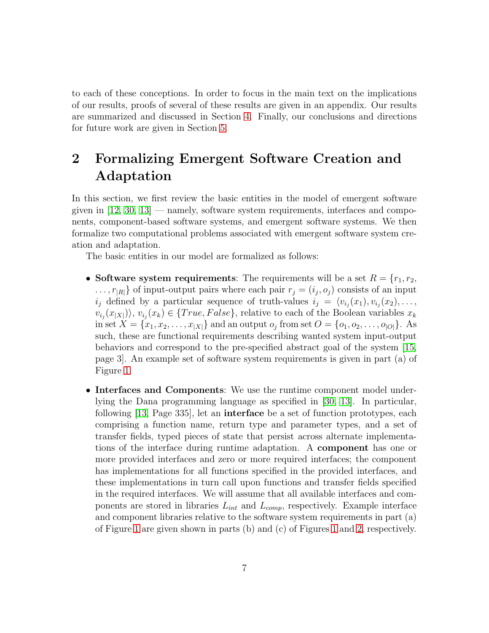to each of these conceptions. In order to focus in the main text on the implications of our results, proofs of several of these results are given in an appendix. Our results are summarized and discussed in Section [4.](#page-44-0) Finally, our conclusions and directions for future work are given in Section [5.](#page-52-1)

# <span id="page-6-0"></span>2 Formalizing Emergent Software Creation and Adaptation

In this section, we first review the basic entities in the model of emergent software given in  $[12, 30, 13]$  $[12, 30, 13]$  $[12, 30, 13]$  — namely, software system requirements, interfaces and components, component-based software systems, and emergent software systems. We then formalize two computational problems associated with emergent software system creation and adaptation.

The basic entities in our model are formalized as follows:

- Software system requirements: The requirements will be a set  $R = \{r_1, r_2,$  $\dots, r_{|R|}$  of input-output pairs where each pair  $r_j = (i_j, o_j)$  consists of an input  $i_j$  defined by a particular sequence of truth-values  $i_j = \langle v_{i_j}(x_1), v_{i_j}(x_2), \dots, v_{i_j}(x_j) \rangle$  $\langle v_{i_j}(x_{|X|})\rangle, v_{i_j}(x_k) \in \{True, False\},$  relative to each of the Boolean variables  $x_k$ in set  $X = \{x_1, x_2, \ldots, x_{|X|}\}\$ and an output  $o_j$  from set  $O = \{o_1, o_2, \ldots, o_{|O|}\}\$ . As such, these are functional requirements describing wanted system input-output behaviors and correspond to the pre-specified abstract goal of the system [\[15,](#page-55-1) page 3]. An example set of software system requirements is given in part (a) of Figure [1.](#page-7-0)
- Interfaces and Components: We use the runtime component model underlying the Dana programming language as specified in [\[30,](#page-56-6) [13\]](#page-54-9). In particular, following [\[13,](#page-54-9) Page 335], let an interface be a set of function prototypes, each comprising a function name, return type and parameter types, and a set of transfer fields, typed pieces of state that persist across alternate implementations of the interface during runtime adaptation. A component has one or more provided interfaces and zero or more required interfaces; the component has implementations for all functions specified in the provided interfaces, and these implementations in turn call upon functions and transfer fields specified in the required interfaces. We will assume that all available interfaces and components are stored in libraries  $L_{int}$  and  $L_{comp}$ , respectively. Example interface and component libraries relative to the software system requirements in part (a) of Figure [1](#page-7-0) are given shown in parts (b) and (c) of Figures [1](#page-7-0) and [2,](#page-8-0) respectively.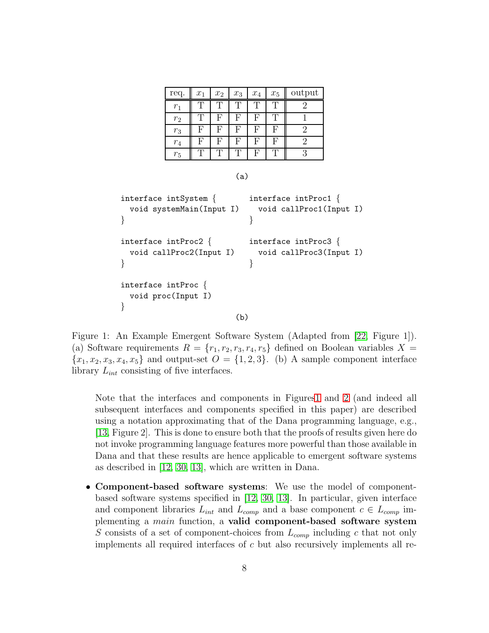| req.    | $\boldsymbol{x}_1$ | $\boldsymbol{x}_2$ | $x_3$ | $\boldsymbol{x}_4$ | $\boldsymbol{x}_5$ | output |
|---------|--------------------|--------------------|-------|--------------------|--------------------|--------|
| $r_1$   |                    |                    |       |                    |                    |        |
| $r_2$   |                    | F                  | F     | F,                 |                    |        |
| $r_3$   | F                  | F                  | F     | F                  | F                  |        |
| $r_{4}$ | F                  | F                  | F     | F                  | F                  |        |
| $r_5$   |                    |                    |       | H,                 |                    |        |

(a)

```
interface intSystem { interface intProc1 {<br>void systemMain(Input I)  void callProc1(Inp
                                  void callProc1(Input I)
} }
interface intProc2 { interface intProc3 {<br>void callProc2(Input I) void callProc3(Inp
                                  void callProc3(Input I)
} }
interface intProc {
  void proc(Input I)
}
                             (b)
```
<span id="page-7-0"></span>Figure 1: An Example Emergent Software System (Adapted from [\[22,](#page-55-8) Figure 1]). (a) Software requirements  $R = \{r_1, r_2, r_3, r_4, r_5\}$  defined on Boolean variables  $X =$  ${x_1, x_2, x_3, x_4, x_5}$  and output-set  $O = \{1, 2, 3\}$ . (b) A sample component interface library  $L_{int}$  consisting of five interfaces.

Note that the interfaces and components in Figure[s1](#page-7-0) and [2](#page-8-0) (and indeed all subsequent interfaces and components specified in this paper) are described using a notation approximating that of the Dana programming language, e.g., [\[13,](#page-54-9) Figure 2]. This is done to ensure both that the proofs of results given here do not invoke programming language features more powerful than those available in Dana and that these results are hence applicable to emergent software systems as described in [\[12,](#page-54-8) [30,](#page-56-6) [13\]](#page-54-9), which are written in Dana.

• Component-based software systems: We use the model of componentbased software systems specified in [\[12,](#page-54-8) [30,](#page-56-6) [13\]](#page-54-9). In particular, given interface and component libraries  $L_{int}$  and  $L_{comp}$  and a base component  $c \in L_{comp}$  implementing a main function, a valid component-based software system S consists of a set of component-choices from  $L_{comp}$  including c that not only implements all required interfaces of c but also recursively implements all re-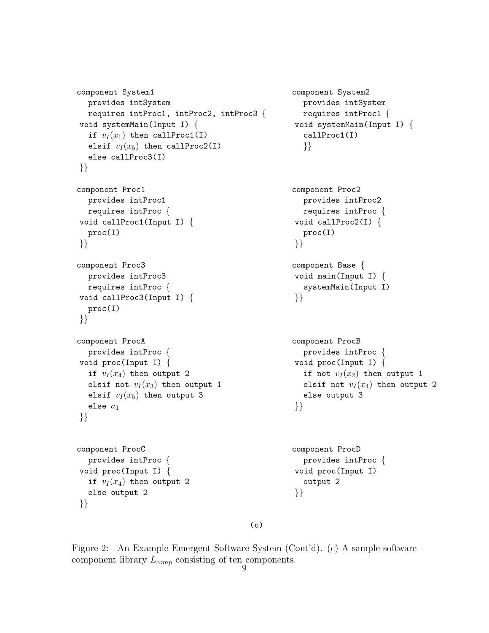```
component System1 component System2
  provides intSystem provides intSystem
requires intProc1, intProc2, intProc3 { requires intProc1 { void systemMain(Input I) { void systemMain(Input
                                                      void systemMain(Input I) {<br>callProc1(I)
  if v_I(x_1) then callProc1(I)
  elsif v_I(x_5) then callProc2(I) \{\}else callProc3(I)
}}
component Proc1 component Proc2
  provides intProc1 provides intProc2
  requires intProc {<br>id callProc1(Input I) { requires intProc {<br>void callProc2(I) {
void callProc1(Input I) {<br>proc(I)
                                                        proc(I)\{ \{ \}component Proc3 component Base {<br>provides intProc3 component Base {<br>void main(Input
  provides intProc3 void main(Input I) {<br>requires intProc { vertical values intProc }
                                                      systemMain(Input I)<br>}}
void callProc3(Input I) { }}
  proc(I)
}}
component ProcA component ProcB
provides intProc { provides intProc { provides intProc { provides intProc { provides intProc { provides intProc { provides intProc { provides intProc { provides intProc { provides intProc { provides intProc { provides intP
  id proc(Input I) { void proc(Input I) { void proc(Input I) { \qquad \qquad if not v_I(x_2) then
                                                        if not v_I (x_2) then output 1
  elsif not v_I(x_3) then output 1 elsif not v_I(x_4) then output 2
  elsif v_I(x_5) then output 3 else output 3
   else a_1 } }
}}
component ProcC component ProcD
  provides intProc { provides intProc { provides intProc { provides intProc { provides intProc { provides intProc { provides intProc { provides intProc { provides intProc { provides intProc { provides intProc { provides intP
void proc(Input I) { void proc(<br>if v_I(x_4) then output 2 output 2
  if v_I(x_4) then output 2
  else output 2 \{\}
```

```
(c)
```
<span id="page-8-0"></span>Figure 2: An Example Emergent Software System (Cont'd). (c) A sample software component library  $L_{comp}$  consisting of ten components.

}}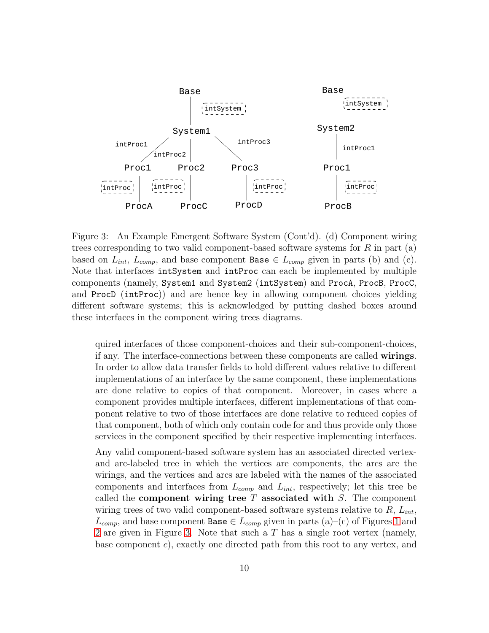

<span id="page-9-0"></span>Figure 3: An Example Emergent Software System (Cont'd). (d) Component wiring trees corresponding to two valid component-based software systems for  $R$  in part  $(a)$ based on  $L_{int}$ ,  $L_{comp}$ , and base component Base  $\in L_{comp}$  given in parts (b) and (c). Note that interfaces intSystem and intProc can each be implemented by multiple components (namely, System1 and System2 (intSystem) and ProcA, ProcB, ProcC, and ProcD (intProc)) and are hence key in allowing component choices yielding different software systems; this is acknowledged by putting dashed boxes around these interfaces in the component wiring trees diagrams.

quired interfaces of those component-choices and their sub-component-choices, if any. The interface-connections between these components are called wirings. In order to allow data transfer fields to hold different values relative to different implementations of an interface by the same component, these implementations are done relative to copies of that component. Moreover, in cases where a component provides multiple interfaces, different implementations of that component relative to two of those interfaces are done relative to reduced copies of that component, both of which only contain code for and thus provide only those services in the component specified by their respective implementing interfaces.

Any valid component-based software system has an associated directed vertexand arc-labeled tree in which the vertices are components, the arcs are the wirings, and the vertices and arcs are labeled with the names of the associated components and interfaces from  $L_{comp}$  and  $L_{int}$ , respectively; let this tree be called the **component wiring tree**  $T$  associated with  $S$ . The component wiring trees of two valid component-based software systems relative to  $R$ ,  $L_{int}$ ,  $L_{comp}$ , and base component Base  $\in L_{comp}$  given in parts (a)–(c) of Figures [1](#page-7-0) and [2](#page-8-0) are given in Figure [3.](#page-9-0) Note that such a T has a single root vertex (namely, base component c), exactly one directed path from this root to any vertex, and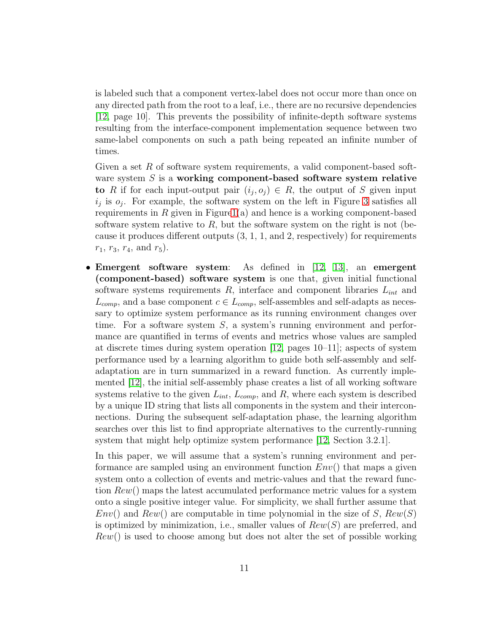is labeled such that a component vertex-label does not occur more than once on any directed path from the root to a leaf, i.e., there are no recursive dependencies [\[12,](#page-54-8) page 10]. This prevents the possibility of infinite-depth software systems resulting from the interface-component implementation sequence between two same-label components on such a path being repeated an infinite number of times.

Given a set  $R$  of software system requirements, a valid component-based software system  $S$  is a working component-based software system relative to R if for each input-output pair  $(i_j, o_j) \in R$ , the output of S given input  $i_j$  is  $o_j$ . For example, the software system on the left in Figure [3](#page-9-0) satisfies all requirements in  $R$  given in Figur[e1\(](#page-7-0)a) and hence is a working component-based software system relative to  $R$ , but the software system on the right is not (because it produces different outputs (3, 1, 1, and 2, respectively) for requirements  $r_1, r_3, r_4,$  and  $r_5$ ).

• Emergent software system: As defined in [\[12,](#page-54-8) [13\]](#page-54-9), an emergent (component-based) software system is one that, given initial functional software systems requirements  $R$ , interface and component libraries  $L_{int}$  and  $L_{comp}$ , and a base component  $c \in L_{comp}$ , self-assembles and self-adapts as necessary to optimize system performance as its running environment changes over time. For a software system S, a system's running environment and performance are quantified in terms of events and metrics whose values are sampled at discrete times during system operation [\[12,](#page-54-8) pages 10–11]; aspects of system performance used by a learning algorithm to guide both self-assembly and selfadaptation are in turn summarized in a reward function. As currently implemented [\[12\]](#page-54-8), the initial self-assembly phase creates a list of all working software systems relative to the given  $L_{int}$ ,  $L_{comp}$ , and R, where each system is described by a unique ID string that lists all components in the system and their interconnections. During the subsequent self-adaptation phase, the learning algorithm searches over this list to find appropriate alternatives to the currently-running system that might help optimize system performance [\[12,](#page-54-8) Section 3.2.1].

In this paper, we will assume that a system's running environment and performance are sampled using an environment function  $Env()$  that maps a given system onto a collection of events and metric-values and that the reward function Rew() maps the latest accumulated performance metric values for a system onto a single positive integer value. For simplicity, we shall further assume that  $Env()$  and  $Rew()$  are computable in time polynomial in the size of S,  $Rew(S)$ is optimized by minimization, i.e., smaller values of  $Rew(S)$  are preferred, and  $Rew()$  is used to choose among but does not alter the set of possible working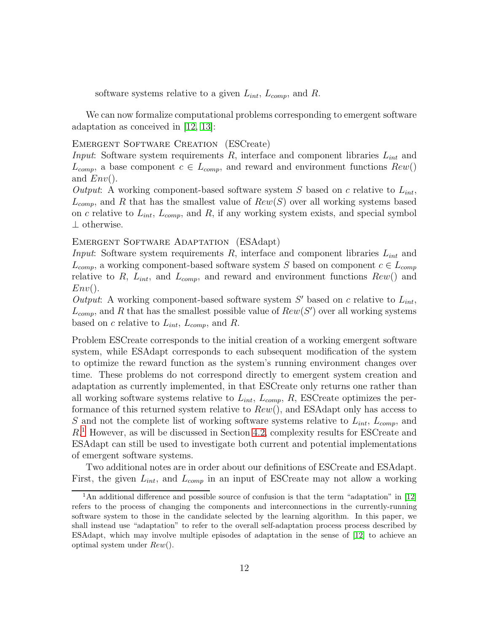software systems relative to a given  $L_{int}$ ,  $L_{comp}$ , and R.

We can now formalize computational problems corresponding to emergent software adaptation as conceived in [\[12,](#page-54-8) [13\]](#page-54-9):

#### EMERGENT SOFTWARE CREATION (ESCreate)

*Input*: Software system requirements R, interface and component libraries  $L_{int}$  and  $L_{comp}$ , a base component  $c \in L_{comp}$ , and reward and environment functions  $Rew()$ and  $Env($ ).

*Output*: A working component-based software system  $S$  based on  $c$  relative to  $L_{int}$ ,  $L_{comp}$ , and R that has the smallest value of  $Rew(S)$  over all working systems based on c relative to  $L_{int}$ ,  $L_{comp}$ , and  $R$ , if any working system exists, and special symbol ⊥ otherwise.

### EMERGENT SOFTWARE ADAPTATION (ESAdapt)

*Input*: Software system requirements R, interface and component libraries  $L_{int}$  and  $L_{comp}$ , a working component-based software system S based on component  $c \in L_{comp}$ relative to R,  $L_{int}$ , and  $L_{comp}$ , and reward and environment functions  $Rew()$  and  $Env($ ).

*Output*: A working component-based software system  $S'$  based on c relative to  $L_{int}$ ,  $L_{comp}$ , and R that has the smallest possible value of  $Rew(S')$  over all working systems based on c relative to  $L_{int}$ ,  $L_{comp}$ , and R.

Problem ESCreate corresponds to the initial creation of a working emergent software system, while ESAdapt corresponds to each subsequent modification of the system to optimize the reward function as the system's running environment changes over time. These problems do not correspond directly to emergent system creation and adaptation as currently implemented, in that ESCreate only returns one rather than all working software systems relative to  $L_{int}$ ,  $L_{comp}$ ,  $R$ , ESCreate optimizes the performance of this returned system relative to  $Rew()$ , and ESAdapt only has access to S and not the complete list of working software systems relative to  $L_{int}$ ,  $L_{comp}$ , and R. [1](#page-11-0) However, as will be discussed in Section [4.2,](#page-46-0) complexity results for ESCreate and ESAdapt can still be used to investigate both current and potential implementations of emergent software systems.

Two additional notes are in order about our definitions of ESCreate and ESAdapt. First, the given  $L_{int}$ , and  $L_{comp}$  in an input of ESCreate may not allow a working

<span id="page-11-0"></span><sup>&</sup>lt;sup>1</sup>An additional difference and possible source of confusion is that the term "adaptation" in [\[12\]](#page-54-8) refers to the process of changing the components and interconnections in the currently-running software system to those in the candidate selected by the learning algorithm. In this paper, we shall instead use "adaptation" to refer to the overall self-adaptation process process described by ESAdapt, which may involve multiple episodes of adaptation in the sense of [\[12\]](#page-54-8) to achieve an optimal system under Rew().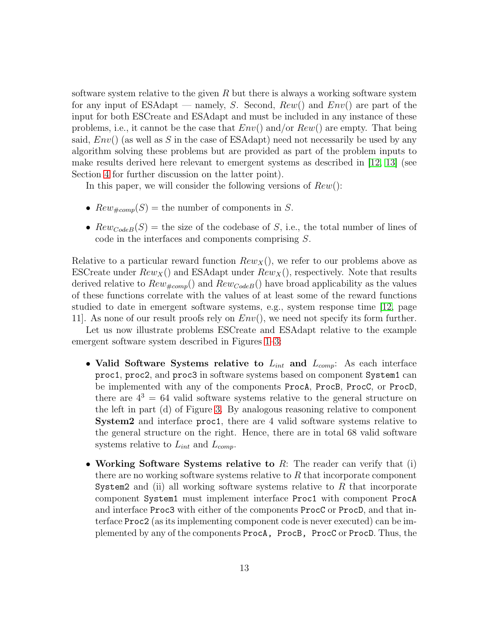software system relative to the given  $R$  but there is always a working software system for any input of ESAdapt — namely, S. Second,  $Rew()$  and  $Env()$  are part of the input for both ESCreate and ESAdapt and must be included in any instance of these problems, i.e., it cannot be the case that  $Env()$  and/or  $Rew()$  are empty. That being said,  $Env()$  (as well as S in the case of ESAdapt) need not necessarily be used by any algorithm solving these problems but are provided as part of the problem inputs to make results derived here relevant to emergent systems as described in [\[12,](#page-54-8) [13\]](#page-54-9) (see Section [4](#page-44-0) for further discussion on the latter point).

In this paper, we will consider the following versions of  $Rew()$ :

- $Rew_{\#comp}(S)$  = the number of components in S.
- $Rewcode(B)$  = the size of the codebase of S, i.e., the total number of lines of code in the interfaces and components comprising S.

Relative to a particular reward function  $Rew<sub>X</sub>($ ), we refer to our problems above as ESCreate under  $Rew<sub>X</sub>()$  and ESAdapt under  $Rew<sub>X</sub>()$ , respectively. Note that results derived relative to  $Rew_{\text{temp}}($ ) and  $Rew_{\text{Code }B}()$  have broad applicability as the values of these functions correlate with the values of at least some of the reward functions studied to date in emergent software systems, e.g., system response time [\[12,](#page-54-8) page 11. As none of our result proofs rely on  $Env($ , we need not specify its form further.

Let us now illustrate problems ESCreate and ESAdapt relative to the example emergent software system described in Figures [1–](#page-7-0)[3:](#page-9-0)

- Valid Software Systems relative to  $L_{int}$  and  $L_{comp}$ : As each interface proc1, proc2, and proc3 in software systems based on component System1 can be implemented with any of the components ProcA, ProcB, ProcC, or ProcD, there are  $4^3 = 64$  valid software systems relative to the general structure on the left in part (d) of Figure [3.](#page-9-0) By analogous reasoning relative to component System2 and interface proc1, there are 4 valid software systems relative to the general structure on the right. Hence, there are in total 68 valid software systems relative to  $L_{int}$  and  $L_{comp}$ .
- Working Software Systems relative to  $R$ : The reader can verify that (i) there are no working software systems relative to  $R$  that incorporate component System2 and (ii) all working software systems relative to  $R$  that incorporate component System1 must implement interface Proc1 with component ProcA and interface Proc3 with either of the components ProcC or ProcD, and that interface Proc2 (as its implementing component code is never executed) can be implemented by any of the components ProcA, ProcB, ProcC or ProcD. Thus, the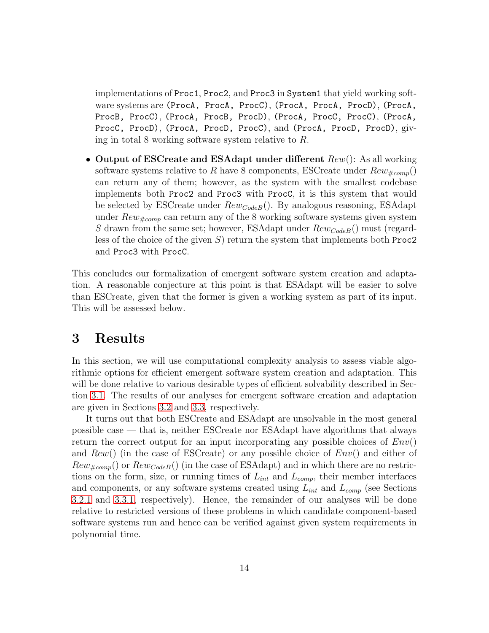implementations of Proc1, Proc2, and Proc3 in System1 that yield working software systems are (ProcA, ProcA, ProcC), (ProcA, ProcA, ProcD), (ProcA, ProcB, ProcC), (ProcA, ProcB, ProcD), (ProcA, ProcC, ProcC), (ProcA, ProcC, ProcD), (ProcA, ProcD, ProcC), and (ProcA, ProcD, ProcD), giving in total 8 working software system relative to R.

• Output of ESCreate and ESAdapt under different  $Rew()$ : As all working software systems relative to R have 8 components, ESCreate under  $Rew_{\#comp}()$ can return any of them; however, as the system with the smallest codebase implements both Proc2 and Proc3 with ProcC, it is this system that would be selected by ESCreate under  $Rew<sub>CodeB</sub>($ ). By analogous reasoning, ESAdapt under  $Rew_{\text{#comp}}$  can return any of the 8 working software systems given system S drawn from the same set; however, ESAdapt under  $Rew_{CodeB}($ ) must (regardless of the choice of the given S) return the system that implements both Proc2 and Proc3 with ProcC.

This concludes our formalization of emergent software system creation and adaptation. A reasonable conjecture at this point is that ESAdapt will be easier to solve than ESCreate, given that the former is given a working system as part of its input. This will be assessed below.

# <span id="page-13-0"></span>3 Results

In this section, we will use computational complexity analysis to assess viable algorithmic options for efficient emergent software system creation and adaptation. This will be done relative to various desirable types of efficient solvability described in Section [3.1.](#page-14-0) The results of our analyses for emergent software creation and adaptation are given in Sections [3.2](#page-18-1) and [3.3,](#page-32-1) respectively.

It turns out that both ESCreate and ESAdapt are unsolvable in the most general possible case — that is, neither ESCreate nor ESAdapt have algorithms that always return the correct output for an input incorporating any possible choices of  $Env()$ and  $Rew()$  (in the case of ESCreate) or any possible choice of  $Env()$  and either of  $Rew_{\#comp}()$  or  $Rew_{CodeB}($ ) (in the case of ESAdapt) and in which there are no restrictions on the form, size, or running times of  $L_{int}$  and  $L_{comp}$ , their member interfaces and components, or any software systems created using  $L_{int}$  and  $L_{comp}$  (see Sections [3.2.1](#page-18-0) and [3.3.1,](#page-32-0) respectively). Hence, the remainder of our analyses will be done relative to restricted versions of these problems in which candidate component-based software systems run and hence can be verified against given system requirements in polynomial time.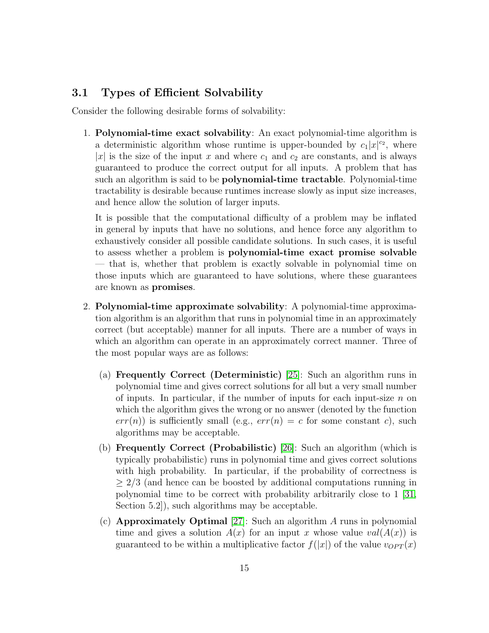# <span id="page-14-0"></span>3.1 Types of Efficient Solvability

Consider the following desirable forms of solvability:

1. Polynomial-time exact solvability: An exact polynomial-time algorithm is a deterministic algorithm whose runtime is upper-bounded by  $c_1|x|^{c_2}$ , where |x| is the size of the input x and where  $c_1$  and  $c_2$  are constants, and is always guaranteed to produce the correct output for all inputs. A problem that has such an algorithm is said to be polynomial-time tractable. Polynomial-time tractability is desirable because runtimes increase slowly as input size increases, and hence allow the solution of larger inputs.

It is possible that the computational difficulty of a problem may be inflated in general by inputs that have no solutions, and hence force any algorithm to exhaustively consider all possible candidate solutions. In such cases, it is useful to assess whether a problem is polynomial-time exact promise solvable — that is, whether that problem is exactly solvable in polynomial time on those inputs which are guaranteed to have solutions, where these guarantees are known as promises.

- 2. Polynomial-time approximate solvability: A polynomial-time approximation algorithm is an algorithm that runs in polynomial time in an approximately correct (but acceptable) manner for all inputs. There are a number of ways in which an algorithm can operate in an approximately correct manner. Three of the most popular ways are as follows:
	- (a) Frequently Correct (Deterministic) [\[25\]](#page-56-1): Such an algorithm runs in polynomial time and gives correct solutions for all but a very small number of inputs. In particular, if the number of inputs for each input-size  $n$  on which the algorithm gives the wrong or no answer (denoted by the function  $err(n)$  is sufficiently small (e.g.,  $err(n) = c$  for some constant c), such algorithms may be acceptable.
	- (b) Frequently Correct (Probabilistic) [\[26\]](#page-56-2): Such an algorithm (which is typically probabilistic) runs in polynomial time and gives correct solutions with high probability. In particular, if the probability of correctness is  $\geq$  2/3 (and hence can be boosted by additional computations running in polynomial time to be correct with probability arbitrarily close to 1 [\[31,](#page-56-7) Section 5.2]), such algorithms may be acceptable.
	- (c) **Approximately Optimal** [\[27\]](#page-56-3): Such an algorithm  $\overline{A}$  runs in polynomial time and gives a solution  $A(x)$  for an input x whose value  $val(A(x))$  is guaranteed to be within a multiplicative factor  $f(|x|)$  of the value  $v_{OPT}(x)$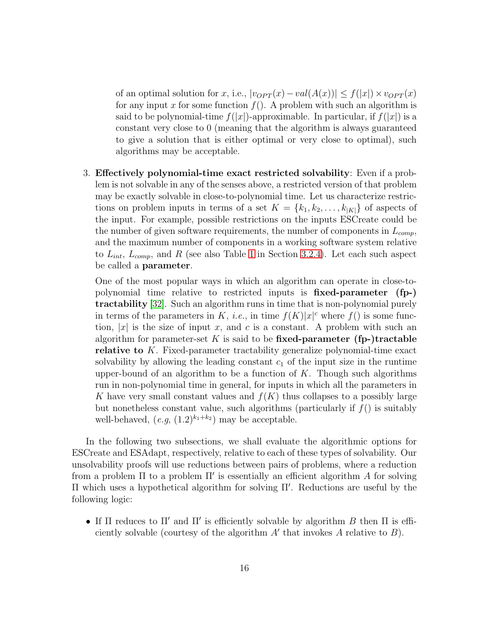of an optimal solution for x, i.e.,  $|v_{OPT}(x) - val(A(x))| \leq f(|x|) \times v_{OPT}(x)$ for any input x for some function  $f(.)$ . A problem with such an algorithm is said to be polynomial-time  $f(|x|)$ -approximable. In particular, if  $f(|x|)$  is a constant very close to 0 (meaning that the algorithm is always guaranteed to give a solution that is either optimal or very close to optimal), such algorithms may be acceptable.

3. Effectively polynomial-time exact restricted solvability: Even if a problem is not solvable in any of the senses above, a restricted version of that problem may be exactly solvable in close-to-polynomial time. Let us characterize restrictions on problem inputs in terms of a set  $K = \{k_1, k_2, \ldots, k_{|K|}\}\$  of aspects of the input. For example, possible restrictions on the inputs ESCreate could be the number of given software requirements, the number of components in  $L_{comp}$ , and the maximum number of components in a working software system relative to  $L_{int}$ ,  $L_{comp}$ , and R (see also Table [1](#page-29-1) in Section [3.2.4\)](#page-29-0). Let each such aspect be called a parameter.

One of the most popular ways in which an algorithm can operate in close-topolynomial time relative to restricted inputs is fixed-parameter (fp-) tractability [\[32\]](#page-56-8). Such an algorithm runs in time that is non-polynomial purely in terms of the parameters in K, *i.e.*, in time  $f(K)|x|^{c}$  where  $f()$  is some function,  $|x|$  is the size of input x, and c is a constant. A problem with such an algorithm for parameter-set K is said to be fixed-parameter (fp-)tractable relative to K. Fixed-parameter tractability generalize polynomial-time exact solvability by allowing the leading constant  $c_1$  of the input size in the runtime upper-bound of an algorithm to be a function of  $K$ . Though such algorithms run in non-polynomial time in general, for inputs in which all the parameters in K have very small constant values and  $f(K)$  thus collapses to a possibly large but nonetheless constant value, such algorithms (particularly if  $f()$  is suitably well-behaved,  $(e.g., (1.2)^{k_1+k_2})$  may be acceptable.

In the following two subsections, we shall evaluate the algorithmic options for ESCreate and ESAdapt, respectively, relative to each of these types of solvability. Our unsolvability proofs will use reductions between pairs of problems, where a reduction from a problem  $\Pi$  to a problem  $\Pi'$  is essentially an efficient algorithm A for solving Π which uses a hypothetical algorithm for solving Π′ . Reductions are useful by the following logic:

• If  $\Pi$  reduces to  $\Pi'$  and  $\Pi'$  is efficiently solvable by algorithm  $B$  then  $\Pi$  is efficiently solvable (courtesy of the algorithm  $A'$  that invokes  $A$  relative to  $B$ ).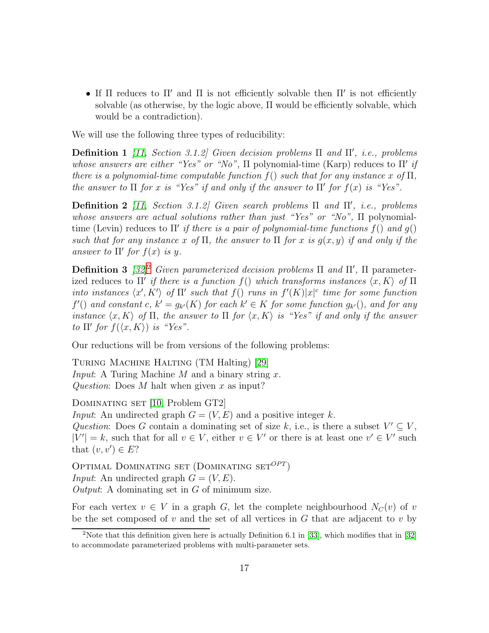• If  $\Pi$  reduces to  $\Pi'$  and  $\Pi$  is not efficiently solvable then  $\Pi'$  is not efficiently solvable (as otherwise, by the logic above,  $\Pi$  would be efficiently solvable, which would be a contradiction).

We will use the following three types of reducibility:

Definition 1 *[\[11,](#page-54-7) Section 3.1.2] Given decision problems* Π *and* Π′ *, i.e., problems whose answers are either "Yes" or "No",* Π polynomial-time (Karp) reduces to Π′ *if there is a polynomial-time computable function*  $f()$  *such that for any instance* x of  $\Pi$ , *the answer to*  $\Pi$  *for* x *is "Yes" if and only if the answer to*  $\Pi'$  *for*  $f(x)$  *is "Yes".* 

Definition 2 *[\[11,](#page-54-7) Section 3.1.2] Given search problems* Π *and* Π′ *, i.e., problems whose answers are actual solutions rather than just "Yes" or "No",* Π polynomialtime (Levin) reduces to Π′ *if there is a pair of polynomial-time functions* f() *and* g() *such that for any instance* x of  $\Pi$ , the answer to  $\Pi$  for x *is*  $g(x, y)$  *if and only if the answer to*  $\Pi'$  *for*  $f(x)$  *is*  $y$ *.* 

Definition 3 *[\[32\]](#page-56-8)*[2](#page-16-0) *Given parameterized decision problems* Π *and* Π ′ *,* Π parameterized reduces to  $\Pi'$  *if there is a function*  $f()$  *which transforms instances*  $\langle x, K \rangle$  *of*  $\Pi$ *into instances*  $\langle x', K' \rangle$  *of*  $\Pi'$  *such that*  $f()$  *runs in*  $f'(K)|x|^{c}$  *time for some function*  $f'()$  and constant  $c, k' = g_{k'}(K)$  for each  $k' \in K$  for some function  $g_{k'}()$ , and for any *instance*  $\langle x, K \rangle$  *of*  $\Pi$ *, the answer to*  $\Pi$  *for*  $\langle x, K \rangle$  *is "Yes" if and only if the answer to*  $\Pi'$  *for*  $f(\langle x, K \rangle)$  *is "Yes".* 

Our reductions will be from versions of the following problems:

TURING MACHINE HALTING (TM Halting) [\[29\]](#page-56-5) *Input*: A Turing Machine M and a binary string x. *Question*: Does M halt when given x as input?

DOMINATING SET [\[10,](#page-54-6) Problem GT2]

*Input*: An undirected graph  $G = (V, E)$  and a positive integer k. *Question*: Does G contain a dominating set of size k, i.e., is there a subset  $V' \subseteq V$ ,  $|V'| = k$ , such that for all  $v \in V$ , either  $v \in V'$  or there is at least one  $v' \in V'$  such that  $(v, v') \in E$ ?

OPTIMAL DOMINATING SET  $(DOMINATING SET^{OPT})$ *Input*: An undirected graph  $G = (V, E)$ . *Output*: A dominating set in G of minimum size.

For each vertex  $v \in V$  in a graph G, let the complete neighbourhood  $N_C(v)$  of v be the set composed of  $v$  and the set of all vertices in  $G$  that are adjacent to  $v$  by

<span id="page-16-0"></span><sup>&</sup>lt;sup>2</sup>Note that this definition given here is actually Definition 6.1 in [\[33\]](#page-56-9), which modifies that in [\[32\]](#page-56-8) to accommodate parameterized problems with multi-parameter sets.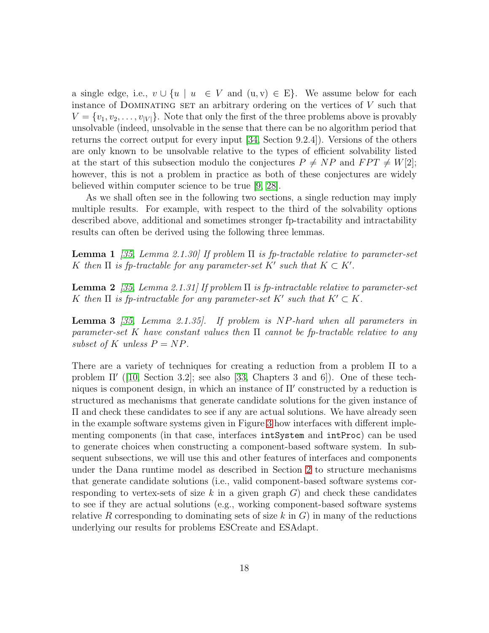a single edge, i.e.,  $v \cup \{u \mid u \in V \text{ and } (u, v) \in E\}$ . We assume below for each instance of DOMINATING SET an arbitrary ordering on the vertices of  $V$  such that  $V = \{v_1, v_2, \ldots, v_{|V|}\}\.$  Note that only the first of the three problems above is provably unsolvable (indeed, unsolvable in the sense that there can be no algorithm period that returns the correct output for every input [\[34,](#page-56-10) Section 9.2.4]). Versions of the others are only known to be unsolvable relative to the types of efficient solvability listed at the start of this subsection modulo the conjectures  $P \neq NP$  and  $FPT \neq W[2]$ ; however, this is not a problem in practice as both of these conjectures are widely believed within computer science to be true [\[9,](#page-54-5) [28\]](#page-56-4).

As we shall often see in the following two sections, a single reduction may imply multiple results. For example, with respect to the third of the solvability options described above, additional and sometimes stronger fp-tractability and intractability results can often be derived using the following three lemmas.

Lemma 1 *[\[35,](#page-56-11) Lemma 2.1.30] If problem* Π *is fp-tractable relative to parameter-set* K then  $\Pi$  is fp-tractable for any parameter-set  $K'$  such that  $K \subset K'$ .

Lemma 2 *[\[35,](#page-56-11) Lemma 2.1.31] If problem* Π *is fp-intractable relative to parameter-set* K then  $\Pi$  is fp-intractable for any parameter-set  $K'$  such that  $K' \subset K$ .

Lemma 3 *[\[35,](#page-56-11) Lemma 2.1.35]. If problem is* NP*-hard when all parameters in parameter-set* K *have constant values then* Π *cannot be fp-tractable relative to any subset of* K *unless*  $P = NP$ .

There are a variety of techniques for creating a reduction from a problem Π to a problem Π′ ([\[10,](#page-54-6) Section 3.2]; see also [\[33,](#page-56-9) Chapters 3 and 6]). One of these techniques is component design, in which an instance of Π′ constructed by a reduction is structured as mechanisms that generate candidate solutions for the given instance of Π and check these candidates to see if any are actual solutions. We have already seen in the example software systems given in Figure [3](#page-9-0) how interfaces with different implementing components (in that case, interfaces intSystem and intProc) can be used to generate choices when constructing a component-based software system. In subsequent subsections, we will use this and other features of interfaces and components under the Dana runtime model as described in Section [2](#page-6-0) to structure mechanisms that generate candidate solutions (i.e., valid component-based software systems corresponding to vertex-sets of size k in a given graph  $G$ ) and check these candidates to see if they are actual solutions (e.g., working component-based software systems relative R corresponding to dominating sets of size k in  $G$ ) in many of the reductions underlying our results for problems ESCreate and ESAdapt.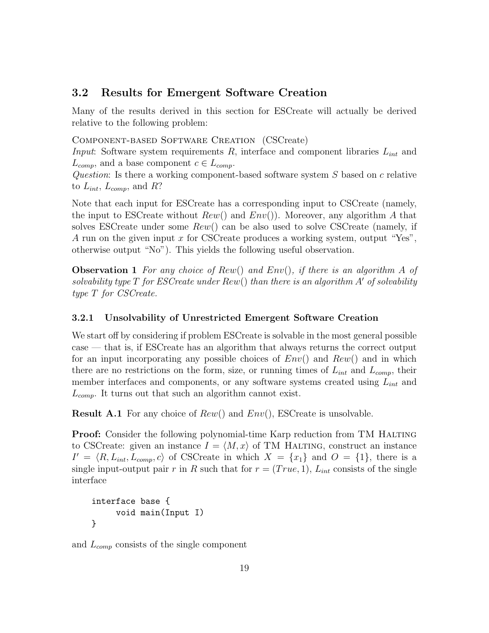# <span id="page-18-1"></span>3.2 Results for Emergent Software Creation

Many of the results derived in this section for ESCreate will actually be derived relative to the following problem:

#### Component-based Software Creation (CSCreate)

*Input*: Software system requirements R, interface and component libraries  $L_{int}$  and  $L_{comp}$ , and a base component  $c \in L_{comp}$ .

*Question*: Is there a working component-based software system S based on c relative to  $L_{int}$ ,  $L_{comp}$ , and R?

Note that each input for ESCreate has a corresponding input to CSCreate (namely, the input to ESCreate without  $Rew()$  and  $Env()$ . Moreover, any algorithm A that solves ESCreate under some  $Rew()$  can be also used to solve CSCreate (namely, if A run on the given input  $x$  for CSCreate produces a working system, output "Yes", otherwise output "No"). This yields the following useful observation.

<span id="page-18-2"></span>Observation 1 *For any choice of* Rew() *and* Env()*, if there is an algorithm* A *of solvability type* T *for ESCreate under* Rew() *than there is an algorithm* A′ *of solvability type* T *for CSCreate.*

### <span id="page-18-0"></span>3.2.1 Unsolvability of Unrestricted Emergent Software Creation

We start off by considering if problem ESCreate is solvable in the most general possible case — that is, if ESCreate has an algorithm that always returns the correct output for an input incorporating any possible choices of  $Env()$  and  $Rew()$  and in which there are no restrictions on the form, size, or running times of  $L_{int}$  and  $L_{comp}$ , their member interfaces and components, or any software systems created using  $L_{int}$  and  $L_{comp.}$  It turns out that such an algorithm cannot exist.

**Result A.1** For any choice of  $Rew()$  and  $Env()$ , ESCreate is unsolvable.

**Proof:** Consider the following polynomial-time Karp reduction from TM HALTING to CSCreate: given an instance  $I = \langle M, x \rangle$  of TM HALTING, construct an instance  $I' = \langle R, L_{int}, L_{comp}, c \rangle$  of CSCreate in which  $X = \{x_1\}$  and  $O = \{1\}$ , there is a single input-output pair r in R such that for  $r = (True, 1), L_{int}$  consists of the single interface

```
interface base {
     void main(Input I)
}
```
and  $L_{comp}$  consists of the single component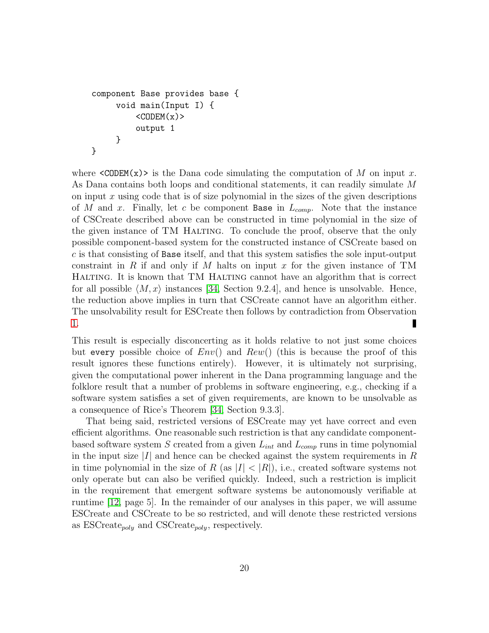```
component Base provides base {
     void main(Input I) {
         <CODEM(x)output 1
     }
}
```
where  $\langle \text{CODEM}(x) \rangle$  is the Dana code simulating the computation of M on input x. As Dana contains both loops and conditional statements, it can readily simulate M on input  $x$  using code that is of size polynomial in the sizes of the given descriptions of M and x. Finally, let c be component Base in  $L_{comp}$ . Note that the instance of CSCreate described above can be constructed in time polynomial in the size of the given instance of TM HALTING. To conclude the proof, observe that the only possible component-based system for the constructed instance of CSCreate based on  $c$  is that consisting of Base itself, and that this system satisfies the sole input-output constraint in R if and only if M halts on input x for the given instance of TM Halting. It is known that TM Halting cannot have an algorithm that is correct for all possible  $\langle M, x \rangle$  instances [\[34,](#page-56-10) Section 9.2.4], and hence is unsolvable. Hence, the reduction above implies in turn that CSCreate cannot have an algorithm either. The unsolvability result for ESCreate then follows by contradiction from Observation [1.](#page-18-2)

This result is especially disconcerting as it holds relative to not just some choices but every possible choice of  $Env()$  and  $Rew()$  (this is because the proof of this result ignores these functions entirely). However, it is ultimately not surprising, given the computational power inherent in the Dana programming language and the folklore result that a number of problems in software engineering, e.g., checking if a software system satisfies a set of given requirements, are known to be unsolvable as a consequence of Rice's Theorem [\[34,](#page-56-10) Section 9.3.3].

That being said, restricted versions of ESCreate may yet have correct and even efficient algorithms. One reasonable such restriction is that any candidate componentbased software system S created from a given  $L_{int}$  and  $L_{comp}$  runs in time polynomial in the input size  $|I|$  and hence can be checked against the system requirements in R in time polynomial in the size of R (as  $|I| < |R|$ ), i.e., created software systems not only operate but can also be verified quickly. Indeed, such a restriction is implicit in the requirement that emergent software systems be autonomously verifiable at runtime [\[12,](#page-54-8) page 5]. In the remainder of our analyses in this paper, we will assume ESCreate and CSCreate to be so restricted, and will denote these restricted versions as  $ESCreate_{poly}$  and  $CSCrate_{poly}$ , respectively.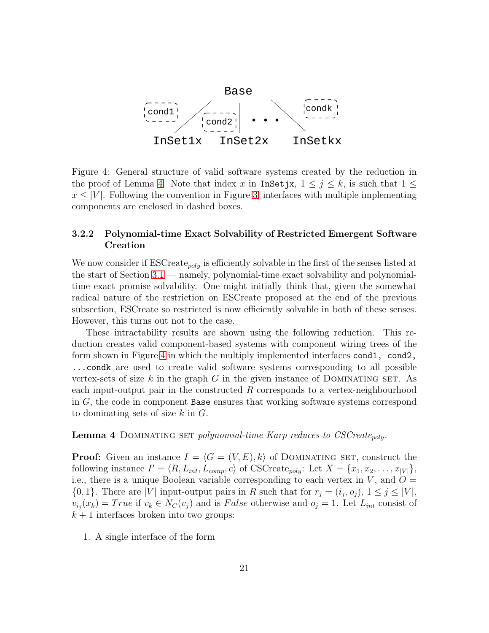

<span id="page-20-2"></span>Figure 4: General structure of valid software systems created by the reduction in the proof of Lemma [4.](#page-20-1) Note that index x in InSetjx,  $1 \leq j \leq k$ , is such that  $1 \leq$  $x \leq |V|$ . Following the convention in Figure [3,](#page-9-0) interfaces with multiple implementing components are enclosed in dashed boxes.

### <span id="page-20-0"></span>3.2.2 Polynomial-time Exact Solvability of Restricted Emergent Software Creation

We now consider if  $\mathrm{ESCreate}_{poly}$  is efficiently solvable in the first of the senses listed at the start of Section [3.1](#page-14-0) — namely, polynomial-time exact solvability and polynomialtime exact promise solvability. One might initially think that, given the somewhat radical nature of the restriction on ESCreate proposed at the end of the previous subsection, ESCreate so restricted is now efficiently solvable in both of these senses. However, this turns out not to the case.

These intractability results are shown using the following reduction. This reduction creates valid component-based systems with component wiring trees of the form shown in Figure [4](#page-20-2) in which the multiply implemented interfaces cond1, cond2, ...condk are used to create valid software systems corresponding to all possible vertex-sets of size k in the graph G in the given instance of DOMINATING SET. As each input-output pair in the constructed  $R$  corresponds to a vertex-neighbourhood in G, the code in component Base ensures that working software systems correspond to dominating sets of size  $k$  in  $G$ .

<span id="page-20-1"></span>Lemma 4 DOMINATING SET *polynomial-time Karp reduces to CSCreate<sub>poly</sub>.* 

**Proof:** Given an instance  $I = \langle G = (V, E), k \rangle$  of DOMINATING SET, construct the following instance  $I' = \langle R, L_{int}, L_{comp}, c \rangle$  of CSCreate<sub>poly</sub>: Let  $X = \{x_1, x_2, \ldots, x_{|V|}\},$ i.e., there is a unique Boolean variable corresponding to each vertex in  $V$ , and  $O =$  $\{0, 1\}$ . There are |V| input-output pairs in R such that for  $r_j = (i_j, o_j)$ ,  $1 \le j \le |V|$ ,  $v_{i_j}(x_k) = True$  if  $v_k \in N_C(v_j)$  and is False otherwise and  $o_j = 1$ . Let  $L_{int}$  consist of  $k + 1$  interfaces broken into two groups:

1. A single interface of the form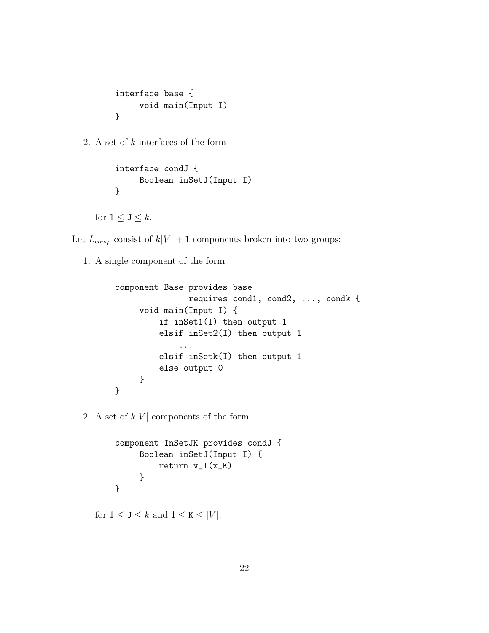```
interface base {
     void main(Input I)
}
```
2. A set of k interfaces of the form

```
interface condJ {
     Boolean inSetJ(Input I)
}
```
for  $1 \leq J \leq k$ .

Let  $L_{comp}$  consist of  $k|V| + 1$  components broken into two groups:

1. A single component of the form

```
component Base provides base
               requires cond1, cond2, ..., condk {
     void main(Input I) {
         if inSet1(I) then output 1
         elsif inSet2(I) then output 1
             ...
         elsif inSetk(I) then output 1
         else output 0
     }
}
```
2. A set of  $k|V|$  components of the form

```
component InSetJK provides condJ {
     Boolean inSetJ(Input I) {
         return v_I(x_K)}
}
```
for  $1 \leq J \leq k$  and  $1 \leq K \leq |V|$ .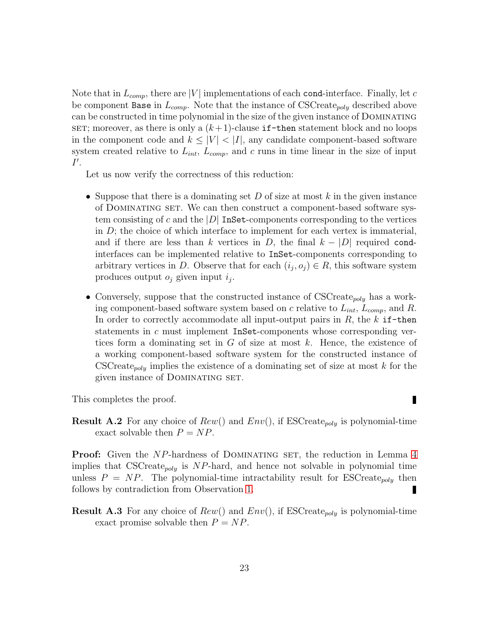Note that in  $L_{comp}$ , there are |V| implementations of each cond-interface. Finally, let c be component Base in  $L_{comp}$ . Note that the instance of CSCreate<sub>poly</sub> described above can be constructed in time polynomial in the size of the given instance of Dominating SET; moreover, as there is only a  $(k+1)$ -clause if-then statement block and no loops in the component code and  $k \leq |V| < |I|$ , any candidate component-based software system created relative to  $L_{int}$ ,  $L_{comp}$ , and c runs in time linear in the size of input  $I^{\prime}$ .

Let us now verify the correctness of this reduction:

- Suppose that there is a dominating set D of size at most k in the given instance of Dominating set. We can then construct a component-based software system consisting of c and the  $|D|$  InSet-components corresponding to the vertices in  $D$ ; the choice of which interface to implement for each vertex is immaterial, and if there are less than k vertices in D, the final  $k - |D|$  required condinterfaces can be implemented relative to InSet-components corresponding to arbitrary vertices in D. Observe that for each  $(i_j, o_j) \in R$ , this software system produces output  $o_j$  given input  $i_j$ .
- Conversely, suppose that the constructed instance of  $\text{CSCٍr}_{poly}$  has a working component-based software system based on c relative to  $L_{int}$ ,  $L_{comp}$ , and R. In order to correctly accommodate all input-output pairs in  $R$ , the  $k$  if-then statements in c must implement InSet-components whose corresponding vertices form a dominating set in  $G$  of size at most k. Hence, the existence of a working component-based software system for the constructed instance of CSCreate<sub>poly</sub> implies the existence of a dominating set of size at most  $k$  for the given instance of DOMINATING SET.

Π

This completes the proof.

**Result A.2** For any choice of  $Rew()$  and  $Env()$ , if  $\text{ESCreate}_{poly}$  is polynomial-time exact solvable then  $P = NP$ .

**Proof:** Given the NP-hardness of DOMINATING SET, the reduction in Lemma [4](#page-20-1) implies that CSCreate<sub>poly</sub> is NP-hard, and hence not solvable in polynomial time unless  $P = NP$ . The polynomial-time intractability result for ESCreate<sub>poly</sub> then follows by contradiction from Observation [1.](#page-18-2) П

**Result A.3** For any choice of  $Rew()$  and  $Env()$ , if  $ESCreate_{poly}$  is polynomial-time exact promise solvable then  $P = NP$ .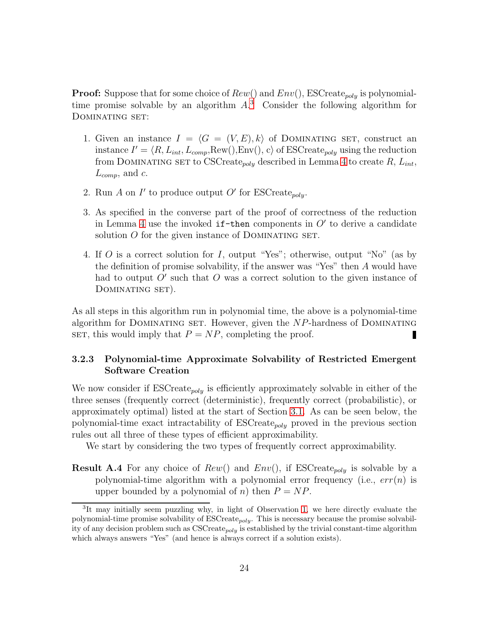**Proof:** Suppose that for some choice of  $Rew()$  and  $Env(),$  ESCreate<sub>poly</sub> is polynomialtime promise solvable by an algorithm  $A$ <sup>[3](#page-23-1)</sup>. Consider the following algorithm for DOMINATING SET:

- 1. Given an instance  $I = \langle G = (V, E), k \rangle$  of DOMINATING SET, construct an instance  $I' = \langle R, L_{int}, L_{comp}, \text{Row}(), \text{Env}(), c \rangle$  of ESCreate<sub>poly</sub> using the reduction from DOMINATING SET to CSCreate<sub>poly</sub> described in Lemma [4](#page-20-1) to create  $R$ ,  $L_{int}$ ,  $L_{comp}$ , and c.
- 2. Run A on I' to produce output O' for ESCreate<sub>poly</sub>.
- 3. As specified in the converse part of the proof of correctness of the reduction in Lemma [4](#page-20-1) use the invoked  $if$ -then components in  $O'$  to derive a candidate solution  $O$  for the given instance of DOMINATING SET.
- 4. If O is a correct solution for I, output "Yes"; otherwise, output "No" (as by the definition of promise solvability, if the answer was "Yes" then A would have had to output  $O'$  such that  $O$  was a correct solution to the given instance of DOMINATING SET).

As all steps in this algorithm run in polynomial time, the above is a polynomial-time algorithm for DOMINATING SET. However, given the  $NP$ -hardness of DOMINATING SET, this would imply that  $P = NP$ , completing the proof. П

### <span id="page-23-0"></span>3.2.3 Polynomial-time Approximate Solvability of Restricted Emergent Software Creation

We now consider if  $ESCreate_{poly}$  is efficiently approximately solvable in either of the three senses (frequently correct (deterministic), frequently correct (probabilistic), or approximately optimal) listed at the start of Section [3.1.](#page-14-0) As can be seen below, the polynomial-time exact intractability of  $ESCreate_{poly}$  proved in the previous section rules out all three of these types of efficient approximability.

We start by considering the two types of frequently correct approximability.

**Result A.4** For any choice of  $Rew()$  and  $Env()$ , if ESCreate<sub>poly</sub> is solvable by a polynomial-time algorithm with a polynomial error frequency (i.e.,  $err(n)$  is upper bounded by a polynomial of n) then  $P = NP$ .

<span id="page-23-1"></span><sup>&</sup>lt;sup>3</sup>It may initially seem puzzling why, in light of Observation [1,](#page-18-2) we here directly evaluate the polynomial-time promise solvability of  $ESCreate_{poly}$ . This is necessary because the promise solvability of any decision problem such as  $\text{CSCrate}_{polu}$  is established by the trivial constant-time algorithm which always answers "Yes" (and hence is always correct if a solution exists).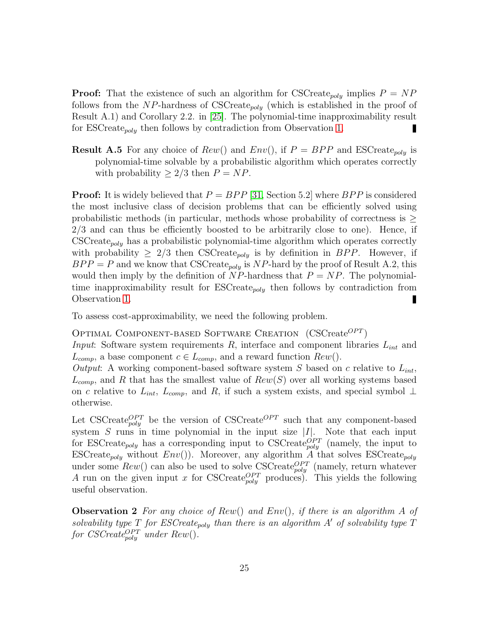**Proof:** That the existence of such an algorithm for CSCreate<sub>poly</sub> implies  $P = NP$ follows from the NP-hardness of CSCreate<sub>poly</sub> (which is established in the proof of Result A.1) and Corollary 2.2. in [\[25\]](#page-56-1). The polynomial-time inapproximability result for ESCreate<sub>poly</sub> then follows by contradiction from Observation [1.](#page-18-2)

**Result A.5** For any choice of  $Rew()$  and  $Env()$ , if  $P = BPP$  and  $ESCreate_{poly}$  is polynomial-time solvable by a probabilistic algorithm which operates correctly with probability  $\geq 2/3$  then  $P = NP$ .

**Proof:** It is widely believed that  $P = BPP$  [\[31,](#page-56-7) Section 5.2] where  $BPP$  is considered the most inclusive class of decision problems that can be efficiently solved using probabilistic methods (in particular, methods whose probability of correctness is  $\geq$ 2/3 and can thus be efficiently boosted to be arbitrarily close to one). Hence, if  $\text{CSCreate}_{poly}$  has a probabilistic polynomial-time algorithm which operates correctly with probability  $\geq 2/3$  then CSCreate<sub>poly</sub> is by definition in BPP. However, if  $BPP = P$  and we know that CSCreate<sub>poly</sub> is NP-hard by the proof of Result A.2, this would then imply by the definition of  $NP$ -hardness that  $P = NP$ . The polynomialtime inapproximability result for  $ESCreate_{poly}$  then follows by contradiction from Observation [1.](#page-18-2) П

To assess cost-approximability, we need the following problem.

OPTIMAL COMPONENT-BASED SOFTWARE CREATION  $(CSCreate^{OPT})$ 

*Input*: Software system requirements R, interface and component libraries  $L_{int}$  and  $L_{comp}$ , a base component  $c \in L_{comp}$ , and a reward function  $Rew()$ .

*Output*: A working component-based software system  $S$  based on  $c$  relative to  $L_{int}$ ,  $L_{comp}$ , and R that has the smallest value of  $Rew(S)$  over all working systems based on c relative to  $L_{int}$ ,  $L_{comp}$ , and R, if such a system exists, and special symbol  $\perp$ otherwise.

Let CSCreate $_{poly}^{OPT}$  be the version of CSCreate<sup>OPT</sup> such that any component-based system  $S$  runs in time polynomial in the input size  $|I|$ . Note that each input for ESCreate<sub>poly</sub> has a corresponding input to CSCreate<sup>OPT</sup> (namely, the input to ESCreate<sub>poly</sub> without  $Env()$ . Moreover, any algorithm A that solves ESCreate<sub>poly</sub> under some  $Rew()$  can also be used to solve CSCreate<sub>poly</sub> (namely, return whatever A run on the given input x for CSCreate<sub>poly</sub> produces). This yields the following useful observation.

<span id="page-24-0"></span>Observation 2 *For any choice of* Rew() *and* Env()*, if there is an algorithm* A *of* solvability type  $T$  for ESCreate<sub>poly</sub> than there is an algorithm  $A'$  of solvability type  $T$  $for \; CSCreate_{poly}^{OPT}$  *under*  $Rew()$ *.*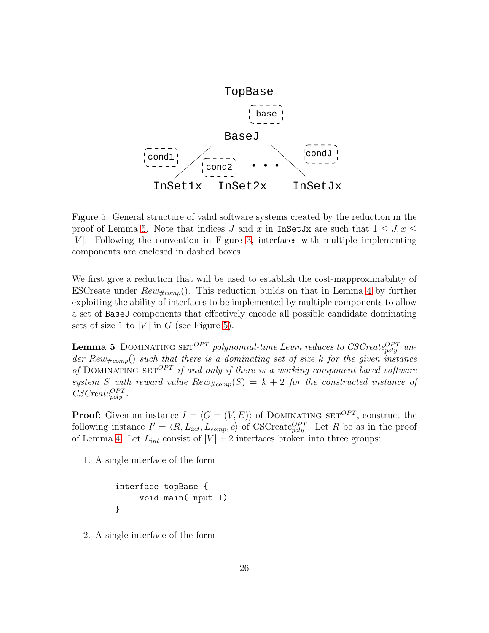

<span id="page-25-1"></span>Figure 5: General structure of valid software systems created by the reduction in the proof of Lemma [5.](#page-25-0) Note that indices J and x in InSetJx are such that  $1 \leq J$ ,  $x \leq$  $|V|$ . Following the convention in Figure [3,](#page-9-0) interfaces with multiple implementing components are enclosed in dashed boxes.

We first give a reduction that will be used to establish the cost-inapproximability of ESCreate under  $Rew_{\#comp}$ . This reduction builds on that in Lemma [4](#page-20-1) by further exploiting the ability of interfaces to be implemented by multiple components to allow a set of BaseJ components that effectively encode all possible candidate dominating sets of size 1 to |V| in G (see Figure [5\)](#page-25-1).

<span id="page-25-0"></span>**Lemma 5** DOMINATING SET<sup>OPT</sup> polynomial-time Levin reduces to CSCreate<sup>OPT</sup> under Rew<sub>#comp</sub>() such that there is a dominating set of size k for the given instance of DOMINATING SET<sup>OPT</sup> *if and only if there is a working component-based software* system S with reward value  $Rew_{\#comp}(S) = k + 2$  for the constructed instance of  $CSCreate_{poly}^{OPT}$ .

**Proof:** Given an instance  $I = \langle G = (V, E) \rangle$  of DOMINATING SET<sup>OPT</sup>, construct the following instance  $I' = \langle R, L_{int}, L_{comp}, c \rangle$  of CSCreate<sub>poly</sub>: Let R be as in the proof of Lemma [4.](#page-20-1) Let  $L_{int}$  consist of  $|V| + 2$  interfaces broken into three groups:

1. A single interface of the form

```
interface topBase {
     void main(Input I)
}
```
2. A single interface of the form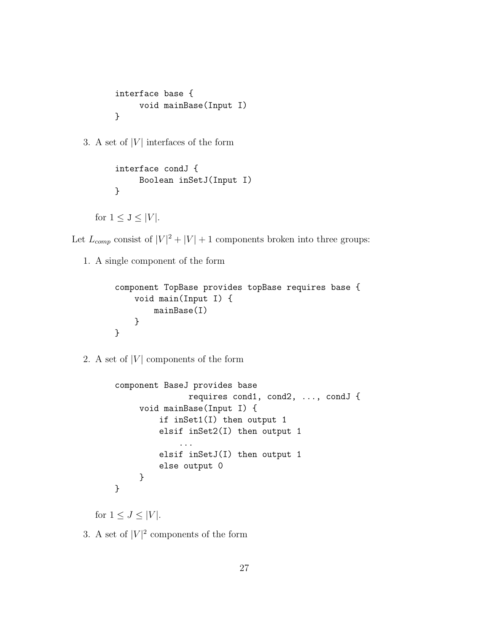```
interface base {
     void mainBase(Input I)
}
```
3. A set of  $|V|$  interfaces of the form

```
interface condJ {
     Boolean inSetJ(Input I)
}
```
for  $1 \leq J \leq |V|$ .

Let  $L_{comp}$  consist of  $|V|^2 + |V| + 1$  components broken into three groups:

1. A single component of the form

```
component TopBase provides topBase requires base {
    void main(Input I) {
        mainBase(I)
    }
}
```
2. A set of  $|V|$  components of the form

```
component BaseJ provides base
               requires cond1, cond2, ..., condJ {
     void mainBase(Input I) {
         if inSet1(I) then output 1
         elsif inSet2(I) then output 1
             ...
         elsif inSetJ(I) then output 1
         else output 0
     }
}
```
for  $1 \leq J \leq |V|$ .

3. A set of  $|V|^2$  components of the form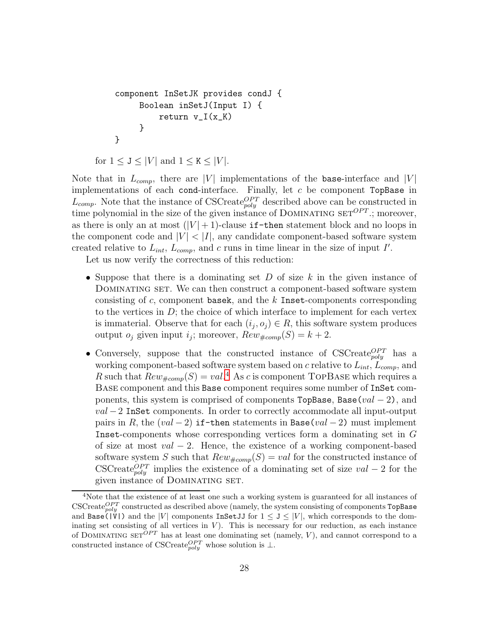```
component InSetJK provides condJ {
     Boolean inSetJ(Input I) {
         return v_I(x_K)}
}
```

```
for 1 \leq J \leq |V| and 1 \leq K \leq |V|.
```
Note that in  $L_{comp}$ , there are |V| implementations of the base-interface and |V| implementations of each cond-interface. Finally, let  $c$  be component TopBase in  $L_{comp}$ . Note that the instance of CSCreate<sub>poly</sub> described above can be constructed in time polynomial in the size of the given instance of DOMINATING  $SET^{OPT}$ ; moreover, as there is only an at most  $(|V|+1)$ -clause if-then statement block and no loops in the component code and  $|V| < |I|$ , any candidate component-based software system created relative to  $L_{int}$ ,  $L_{comp}$ , and c runs in time linear in the size of input I'.

Let us now verify the correctness of this reduction:

- Suppose that there is a dominating set  $D$  of size  $k$  in the given instance of Dominating set. We can then construct a component-based software system consisting of  $c$ , component basek, and the  $k$  Inset-components corresponding to the vertices in  $D$ ; the choice of which interface to implement for each vertex is immaterial. Observe that for each  $(i_j, o_j) \in R$ , this software system produces output  $o_j$  given input  $i_j$ ; moreover,  $Rew_{#comp}(S) = k + 2$ .
- Conversely, suppose that the constructed instance of  $\text{CSCreate}_{poly}^{OPT}$  has a working component-based software system based on c relative to  $L_{int}$ ,  $L_{comp}$ , and R such that  $Rew_{\#comp}(S) = val$ .<sup>[4](#page-27-0)</sup> As c is component TOPBASE which requires a Base component and this Base component requires some number of InSet components, this system is comprised of components TopBase, Base(val − 2), and  $val - 2$  InSet components. In order to correctly accommodate all input-output pairs in R, the  $(val - 2)$  if-then statements in Base(val - 2) must implement Inset-components whose corresponding vertices form a dominating set in G of size at most  $val - 2$ . Hence, the existence of a working component-based software system S such that  $Rew_{\#comp}(S) = val$  for the constructed instance of CSCreate<sup>OPT</sup> implies the existence of a dominating set of size val – 2 for the given instance of DOMINATING SET.

<span id="page-27-0"></span><sup>&</sup>lt;sup>4</sup>Note that the existence of at least one such a working system is guaranteed for all instances of  $\mathrm{CSCreate}_{poly}^{OPT}$  constructed as described above (namely, the system consisting of components TopBase and Base( $|V|$ ) and the |V| components InSet JJ for  $1 \le J \le |V|$ , which corresponds to the dominating set consisting of all vertices in  $V$ ). This is necessary for our reduction, as each instance of DOMINATING SET<sup>OPT</sup> has at least one dominating set (namely, V), and cannot correspond to a constructed instance of CSCreate $_{poly}^{OPT}$  whose solution is  $\perp$ .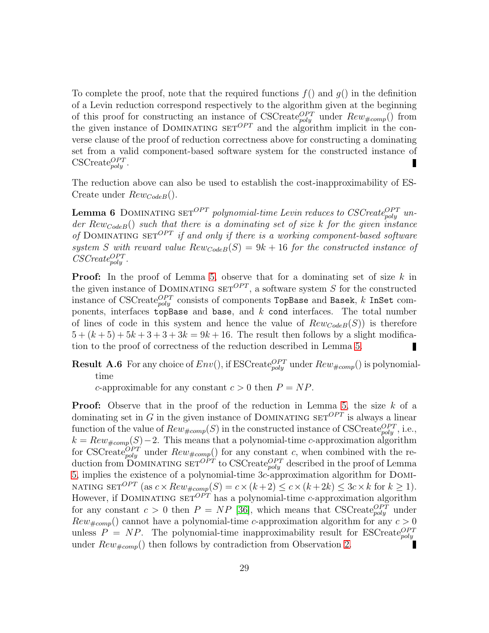To complete the proof, note that the required functions  $f()$  and  $g()$  in the definition of a Levin reduction correspond respectively to the algorithm given at the beginning of this proof for constructing an instance of CSCreate<sub>poly</sub> under  $Rew_{\#comp}()$  from the given instance of DOMINATING  $SET^{OPT}$  and the algorithm implicit in the converse clause of the proof of reduction correctness above for constructing a dominating set from a valid component-based software system for the constructed instance of  $\text{CSCreate}_{poly}^{OPT}$ .

<span id="page-28-0"></span>The reduction above can also be used to establish the cost-inapproximability of ES-Create under  $Rew_{CodeB}$ .

**Lemma 6** DOMINATING SET<sup>OPT</sup> polynomial-time Levin reduces to CSCreate<sup>OPT</sup> un*der* RewCodeB() *such that there is a dominating set of size* k *for the given instance of* DOMINATING SET<sup>*OPT*</sup> *if and only if there is a working component-based software* system *S* with reward value  $Rewcode(B) = 9k + 16$  for the constructed instance of  $CSCreate_{poly}^{OPT}$ .

**Proof:** In the proof of Lemma [5,](#page-25-0) observe that for a dominating set of size  $k$  in the given instance of DOMINATING  $SET^{OPT}$ , a software system S for the constructed instance of CSCreate $_{poly}^{OPT}$  consists of components TopBase and Basek,  $k$  InSet components, interfaces topBase and base, and  $k$  cond interfaces. The total number of lines of code in this system and hence the value of  $Rewcode(S)$  is therefore  $5 + (k+5) + 5k+3+3+3k = 9k+16$ . The result then follows by a slight modification to the proof of correctness of the reduction described in Lemma [5.](#page-25-0)

**Result A.6** For any choice of  $Env($ ), if ESCreate $_{poly}^{OPT}$  under  $Rew_{#comp}($ ) is polynomialtime

c-approximable for any constant  $c > 0$  then  $P = NP$ .

**Proof:** Observe that in the proof of the reduction in Lemma [5,](#page-25-0) the size  $k$  of a dominating set in G in the given instance of DOMINATING  $SET^{OPT}$  is always a linear function of the value of  $Rew_{\#comp}(S)$  in the constructed instance of CSCreate $_{poly}^{OPT}$ , i.e.,  $k = Rew_{\text{#comp}}(S) - 2$ . This means that a polynomial-time c-approximation algorithm for CSCreate<sub>poly</sub> under  $Rew_{\#comp}()$  for any constant c, when combined with the reduction from DOMINATING  $\text{SET}^{OPT}$  to CSCreate $_{poly}^{OPT}$  described in the proof of Lemma [5,](#page-25-0) implies the existence of a polynomial-time 3c-approximation algorithm for Domi-NATING SET<sup>OPT</sup> (as  $c \times Rew_{\#comp}(S) = c \times (k+2) \le c \times (k+2k) \le 3c \times k$  for  $k \ge 1$ ). However, if DOMINATING  $\text{SET}^{OPT}$  has a polynomial-time c-approximation algorithm for any constant  $c > 0$  then  $P = NP$  [\[36\]](#page-57-0), which means that CSCreate<sub>poly</sub> under  $Rew_{\text{#comp}}()$  cannot have a polynomial-time c-approximation algorithm for any  $c > 0$ unless  $P = NP$ . The polynomial-time inapproximability result for ESCreate<sub>poly</sub> under  $Rew_{\#comp}()$  then follows by contradiction from Observation [2.](#page-24-0)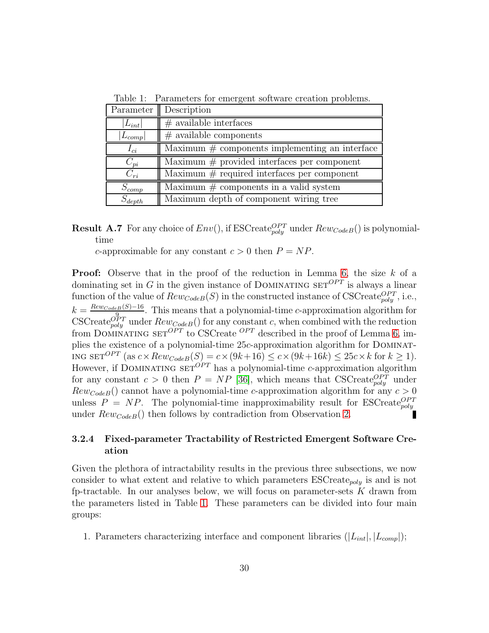| Parameter    | Description                                       |
|--------------|---------------------------------------------------|
| $ L_{int} $  | $#$ available interfaces                          |
| $ L_{comp} $ | $#$ available components                          |
| $I_{ci}$     | Maximum $\#$ components implementing an interface |
| $C_{pi}$     | Maximum $#$ provided interfaces per component     |
| $C_{ri}$     | Maximum $#$ required interfaces per component     |
| $S_{comp}$   | Maximum $\#$ components in a valid system         |
| $S_{depth}$  | Maximum depth of component wiring tree            |

<span id="page-29-1"></span>Table 1: Parameters for emergent software creation problems.

**Result A.7** For any choice of  $Env($ ), if ESCreate $_{poly}^{OPT}$  under  $Rew_{CodeB}($ ) is polynomialtime

c-approximable for any constant  $c > 0$  then  $P = NP$ .

**Proof:** Observe that in the proof of the reduction in Lemma [6,](#page-28-0) the size  $k$  of a dominating set in G in the given instance of DOMINATING  $SET^{OPT}$  is always a linear function of the value of  $Rew_{Code}(S)$  in the constructed instance of CSCreate $_{poly}^{OPT}$ , i.e.,  $k = \frac{Rew_{CodeB}(S)-16}{9}$  $\frac{1}{9}$   $\frac{1}{2}$ . This means that a polynomial-time *c*-approximation algorithm for CSCreate $_{poly}^{OPT}$  under  $Rew_{Code}$  () for any constant c, when combined with the reduction from DOMINATING SET<sup>OPT</sup> to CSCreate <sup>OPT</sup> described in the proof of Lemma [6,](#page-28-0) implies the existence of a polynomial-time 25c-approximation algorithm for Dominating  $\text{SET}^{OPT}$  (as  $c \times Rew_{CodeB}(S) = c \times (9k+16) \leq c \times (9k+16k) \leq 25c \times k$  for  $k \geq 1$ ). However, if DOMINATING  $\overline{\text{SET}}^{OPT}$  has a polynomial-time c-approximation algorithm for any constant  $c > 0$  then  $P = NP$  [\[36\]](#page-57-0), which means that CSCreate<sub>poly</sub> under  $Rew_{CodeB}$ () cannot have a polynomial-time c-approximation algorithm for any  $c > 0$ unless  $P = NP$ . The polynomial-time inapproximability result for ESCreate<sub>poly</sub> under  $Rew_{CodeB}($ ) then follows by contradiction from Observation [2.](#page-24-0)

### <span id="page-29-0"></span>3.2.4 Fixed-parameter Tractability of Restricted Emergent Software Creation

Given the plethora of intractability results in the previous three subsections, we now consider to what extent and relative to which parameters  $\text{ESCreate}_{poly}$  is and is not fp-tractable. In our analyses below, we will focus on parameter-sets  $K$  drawn from the parameters listed in Table [1.](#page-29-1) These parameters can be divided into four main groups:

1. Parameters characterizing interface and component libraries  $(|L_{int}|, |L_{comn}|)$ ;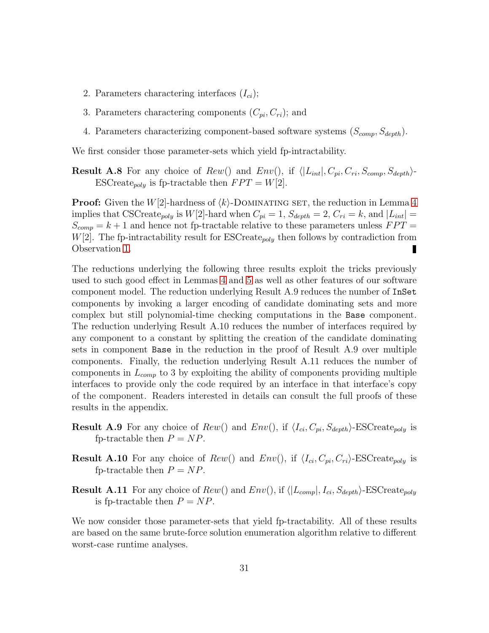- 2. Parameters charactering interfaces  $(I_{ci})$ ;
- 3. Parameters charactering components  $(C_{pi}, C_{ri})$ ; and
- 4. Parameters characterizing component-based software systems  $(S_{comp}, S_{depth})$ .

We first consider those parameter-sets which yield fp-intractability.

**Result A.8** For any choice of  $Rew()$  and  $Env(),$  if  $\langle |L_{int}|, C_{pi}, C_{ri}, S_{comp}, S_{depth}\rangle$ -ESCreate<sub>poly</sub> is fp-tractable then  $FPT = W[2]$ .

**Proof:** Given the  $W[2]$ -hardness of  $\langle k \rangle$ -DOMINATING SET, the reduction in Lemma [4](#page-20-1) implies that CSCreate<sub>poly</sub> is  $W[2]$ -hard when  $C_{pi} = 1$ ,  $S_{depth} = 2$ ,  $C_{ri} = k$ , and  $|L_{int}| =$  $S_{comp} = k + 1$  and hence not fp-tractable relative to these parameters unless  $FPT =$  $W[2]$ . The fp-intractability result for ESCreate<sub>poly</sub> then follows by contradiction from Observation [1.](#page-18-2) П

The reductions underlying the following three results exploit the tricks previously used to such good effect in Lemmas [4](#page-20-1) and [5](#page-25-0) as well as other features of our software component model. The reduction underlying Result A.9 reduces the number of InSet components by invoking a larger encoding of candidate dominating sets and more complex but still polynomial-time checking computations in the Base component. The reduction underlying Result A.10 reduces the number of interfaces required by any component to a constant by splitting the creation of the candidate dominating sets in component Base in the reduction in the proof of Result A.9 over multiple components. Finally, the reduction underlying Result A.11 reduces the number of components in  $L_{comp}$  to 3 by exploiting the ability of components providing multiple interfaces to provide only the code required by an interface in that interface's copy of the component. Readers interested in details can consult the full proofs of these results in the appendix.

- **Result A.9** For any choice of  $Rew()$  and  $Env()$ , if  $\langle I_{ci}, C_{pi}, S_{depth} \rangle$ -ESCreate<sub>poly</sub> is fp-tractable then  $P = NP$ .
- **Result A.10** For any choice of  $Rew()$  and  $Env()$ , if  $\langle I_{ci}, C_{pi}, C_{ri} \rangle$ -ESCreate<sub>poly</sub> is fp-tractable then  $P = NP$ .
- **Result A.11** For any choice of  $Rew()$  and  $Env(),$  if  $\langle |L_{comp}|, I_{ci}, S_{depth}\rangle$ -ESCreate<sub>poly</sub> is fp-tractable then  $P = NP$ .

We now consider those parameter-sets that yield fp-tractability. All of these results are based on the same brute-force solution enumeration algorithm relative to different worst-case runtime analyses.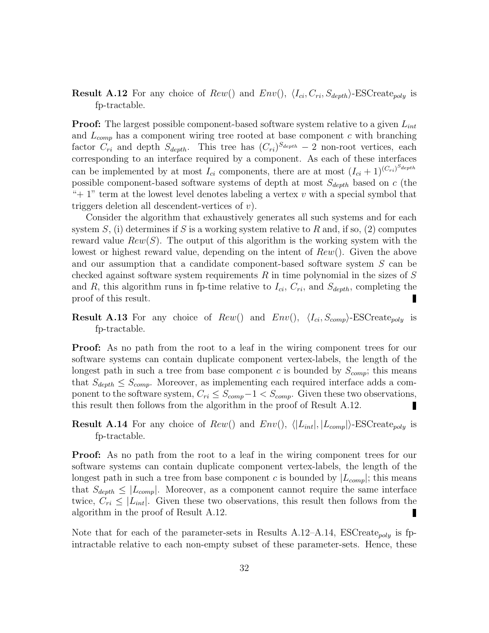**Result A.12** For any choice of  $Rew()$  and  $Env(), \langle I_{ci}, C_{ri}, S_{depth} \rangle$ -ESCreate<sub>poly</sub> is fp-tractable.

**Proof:** The largest possible component-based software system relative to a given  $L_{int}$ and  $L_{comp}$  has a component wiring tree rooted at base component c with branching factor  $C_{ri}$  and depth  $S_{depth}$ . This tree has  $(C_{ri})^{S_{depth}} - 2$  non-root vertices, each corresponding to an interface required by a component. As each of these interfaces can be implemented by at most  $I_{ci}$  components, there are at most  $(I_{ci} + 1)^{(C_{ri})^{S_{depth}}}$ possible component-based software systems of depth at most  $S_{depth}$  based on c (the "+ 1" term at the lowest level denotes labeling a vertex  $v$  with a special symbol that triggers deletion all descendent-vertices of  $v$ ).

Consider the algorithm that exhaustively generates all such systems and for each system S, (i) determines if S is a working system relative to R and, if so, (2) computes reward value  $Rew(S)$ . The output of this algorithm is the working system with the lowest or highest reward value, depending on the intent of  $Rew()$ . Given the above and our assumption that a candidate component-based software system S can be checked against software system requirements  $R$  in time polynomial in the sizes of  $S$ and R, this algorithm runs in fp-time relative to  $I_{ci}$ ,  $C_{ri}$ , and  $S_{depth}$ , completing the proof of this result.

**Result A.13** For any choice of  $Rew()$  and  $Env(), \langle I_{ci}, S_{comp} \rangle$ -ESCreate<sub>poly</sub> is fp-tractable.

**Proof:** As no path from the root to a leaf in the wiring component trees for our software systems can contain duplicate component vertex-labels, the length of the longest path in such a tree from base component c is bounded by  $S_{comp}$ ; this means that  $S_{depth} \leq S_{comp}$ . Moreover, as implementing each required interface adds a component to the software system,  $C_{ri} \leq S_{comp} - 1 < S_{comp}$ . Given these two observations, this result then follows from the algorithm in the proof of Result A.12. this result then follows from the algorithm in the proof of Result A.12.

**Result A.14** For any choice of  $Rew()$  and  $Env(), \langle |L_{int}|, |L_{comp}| \rangle$ -ESCreate<sub>poly</sub> is fp-tractable.

**Proof:** As no path from the root to a leaf in the wiring component trees for our software systems can contain duplicate component vertex-labels, the length of the longest path in such a tree from base component c is bounded by  $|L_{comp}|$ ; this means that  $S_{depth} \leq |L_{comp}|$ . Moreover, as a component cannot require the same interface twice,  $C_{ri} \leq |L_{int}|$ . Given these two observations, this result then follows from the algorithm in the proof of Result A.12. algorithm in the proof of Result A.12.

Note that for each of the parameter-sets in Results A.12–A.14, ESCreate<sub>poly</sub> is fpintractable relative to each non-empty subset of these parameter-sets. Hence, these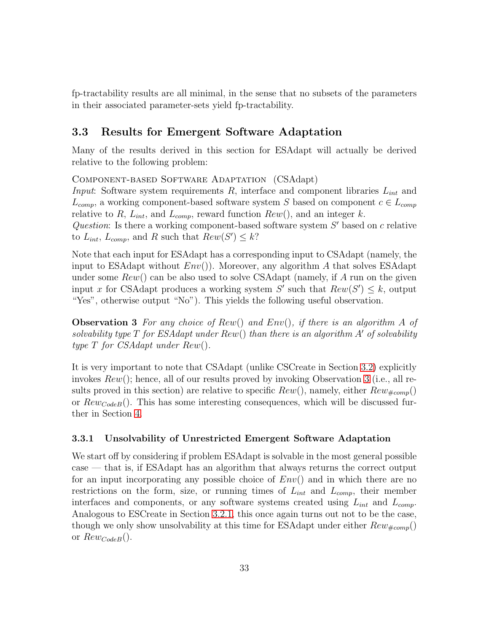fp-tractability results are all minimal, in the sense that no subsets of the parameters in their associated parameter-sets yield fp-tractability.

# <span id="page-32-1"></span>3.3 Results for Emergent Software Adaptation

Many of the results derived in this section for ESAdapt will actually be derived relative to the following problem:

Component-based Software Adaptation (CSAdapt)

*Input*: Software system requirements R, interface and component libraries  $L_{int}$  and  $L_{comp}$ , a working component-based software system S based on component  $c \in L_{comp}$ relative to R,  $L_{int}$ , and  $L_{comp}$ , reward function  $Rew()$ , and an integer k. Question: Is there a working component-based software system  $S'$  based on  $c$  relative

to  $L_{int}$ ,  $L_{comp}$ , and R such that  $Rew(S') \leq k$ ?

Note that each input for ESAdapt has a corresponding input to CSAdapt (namely, the input to ESAdapt without  $Env()$ . Moreover, any algorithm A that solves ESAdapt under some  $Rew()$  can be also used to solve CSAdapt (namely, if A run on the given input x for CSAdapt produces a working system  $S'$  such that  $Rew(S') \leq k$ , output "Yes", otherwise output "No"). This yields the following useful observation.

<span id="page-32-2"></span>Observation 3 *For any choice of* Rew() *and* Env()*, if there is an algorithm* A *of solvability type* T *for ESAdapt under* Rew() *than there is an algorithm* A′ *of solvability type* T *for CSAdapt under* Rew()*.*

It is very important to note that CSAdapt (unlike CSCreate in Section [3.2\)](#page-18-1) explicitly invokes  $Rew()$ ; hence, all of our results proved by invoking Observation [3](#page-32-2) (i.e., all results proved in this section) are relative to specific  $Rew()$ , namely, either  $Rew_{#comp}()$ or  $Rewcode(B)$ . This has some interesting consequences, which will be discussed further in Section [4.](#page-44-0)

### <span id="page-32-0"></span>3.3.1 Unsolvability of Unrestricted Emergent Software Adaptation

We start off by considering if problem ESAdapt is solvable in the most general possible case — that is, if ESAdapt has an algorithm that always returns the correct output for an input incorporating any possible choice of  $Env()$  and in which there are no restrictions on the form, size, or running times of  $L_{int}$  and  $L_{comp}$ , their member interfaces and components, or any software systems created using  $L_{int}$  and  $L_{comp}$ . Analogous to ESCreate in Section [3.2.1,](#page-18-0) this once again turns out not to be the case, though we only show unsolvability at this time for ESAdapt under either  $Rew_{\#comp}()$ or  $Rew_{CodeB}$ .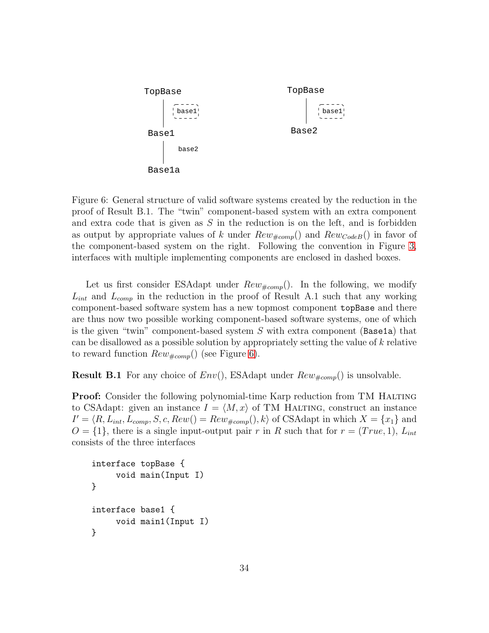

<span id="page-33-0"></span>Figure 6: General structure of valid software systems created by the reduction in the proof of Result B.1. The "twin" component-based system with an extra component and extra code that is given as  $S$  in the reduction is on the left, and is forbidden as output by appropriate values of k under  $Rew_{\#comp}()$  and  $Rew_{CodeB}()$  in favor of the component-based system on the right. Following the convention in Figure [3,](#page-9-0) interfaces with multiple implementing components are enclosed in dashed boxes.

Let us first consider ESAdapt under  $Rew_{\#comp}()$ . In the following, we modify  $L_{int}$  and  $L_{comp}$  in the reduction in the proof of Result A.1 such that any working component-based software system has a new topmost component topBase and there are thus now two possible working component-based software systems, one of which is the given "twin" component-based system  $S$  with extra component (Base1a) that can be disallowed as a possible solution by appropriately setting the value of  $k$  relative to reward function  $Rew_{\#comp}()$  (see Figure [6\)](#page-33-0).

**Result B.1** For any choice of  $Env($ , ESAdapt under  $Rew_{\text{\#comp}}()$  is unsolvable.

**Proof:** Consider the following polynomial-time Karp reduction from TM HALTING to CSAdapt: given an instance  $I = \langle M, x \rangle$  of TM HALTING, construct an instance  $I' = \langle R, L_{int}, L_{comp}, S, c, Rew() = Rew_{\#comp}(), k \rangle$  of CSAdapt in which  $X = \{x_1\}$  and  $O = \{1\}$ , there is a single input-output pair r in R such that for  $r = (True, 1)$ ,  $L_{int}$ consists of the three interfaces

```
interface topBase {
     void main(Input I)
}
interface base1 {
     void main1(Input I)
}
```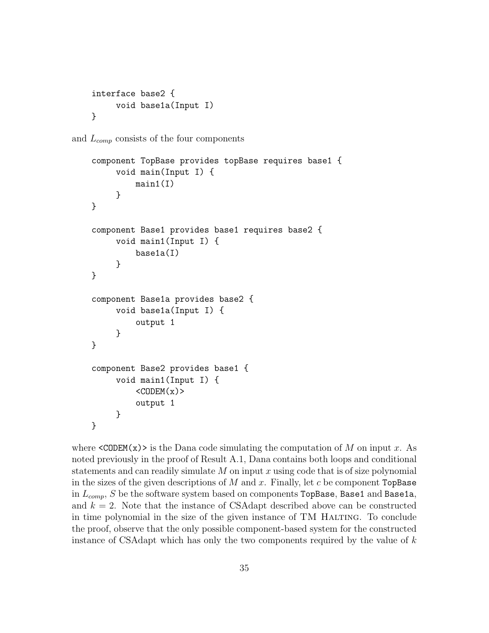```
interface base2 {
     void base1a(Input I)
}
```
and  $L_{comp}$  consists of the four components

```
component TopBase provides topBase requires base1 {
     void main(Input I) {
         main(1)}
}
component Base1 provides base1 requires base2 {
     void main1(Input I) {
         base1a(I)
     }
}
component Base1a provides base2 {
     void base1a(Input I) {
         output 1
     }
}
component Base2 provides base1 {
     void main1(Input I) {
         <CODEM(x)output 1
     }
}
```
where  $\langle \text{CODEM}(x) \rangle$  is the Dana code simulating the computation of M on input x. As noted previously in the proof of Result A.1, Dana contains both loops and conditional statements and can readily simulate  $M$  on input  $x$  using code that is of size polynomial in the sizes of the given descriptions of  $M$  and  $x$ . Finally, let  $c$  be component TopBase in  $L_{comp}$ , S be the software system based on components TopBase, Base1 and Base1a, and  $k = 2$ . Note that the instance of CSAdapt described above can be constructed in time polynomial in the size of the given instance of TM Halting. To conclude the proof, observe that the only possible component-based system for the constructed instance of CSAdapt which has only the two components required by the value of k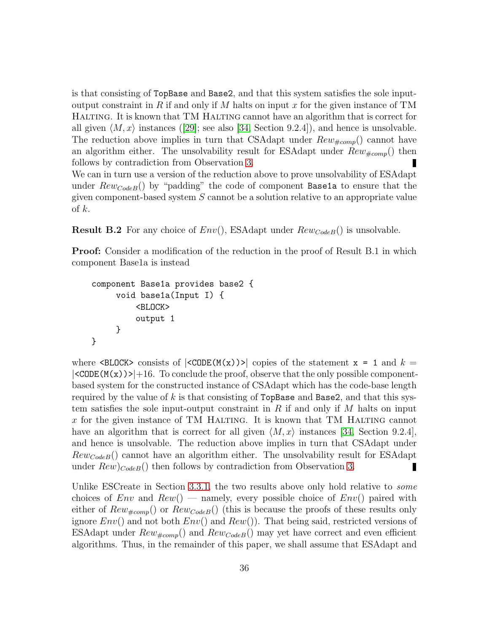is that consisting of TopBase and Base2, and that this system satisfies the sole inputoutput constraint in R if and only if M halts on input x for the given instance of  $TM$ Halting. It is known that TM Halting cannot have an algorithm that is correct for all given  $\langle M, x \rangle$  instances ([\[29\]](#page-56-5); see also [\[34,](#page-56-10) Section 9.2.4]), and hence is unsolvable. The reduction above implies in turn that CSAdapt under  $Rew_{\text{\#comp}}()$  cannot have an algorithm either. The unsolvability result for ESAdapt under  $Rew_{\#comp}()$  then follows by contradiction from Observation [3.](#page-32-2)

We can in turn use a version of the reduction above to prove unsolvability of ESAdapt under  $Rew_{CodeB}()$  by "padding" the code of component Base1a to ensure that the given component-based system S cannot be a solution relative to an appropriate value of  $k$ .

**Result B.2** For any choice of  $Env($ , ESAdapt under  $Rewcode(B()$  is unsolvable.

**Proof:** Consider a modification of the reduction in the proof of Result B.1 in which component Base1a is instead

```
component Base1a provides base2 {
     void base1a(Input I) {
         <BLOCK>
         output 1
     }
}
```
where  $\leq BLOGK$  consists of  $|\leq CODE(M(x))\geq|$  copies of the statement  $x = 1$  and  $k =$  $|\langle\text{CODE}(M(x))\rangle|+16$ . To conclude the proof, observe that the only possible componentbased system for the constructed instance of CSAdapt which has the code-base length required by the value of k is that consisting of  $TopBase$  and Base2, and that this system satisfies the sole input-output constraint in R if and only if M halts on input x for the given instance of TM HALTING. It is known that TM HALTING cannot have an algorithm that is correct for all given  $\langle M, x \rangle$  instances [\[34,](#page-56-10) Section 9.2.4], and hence is unsolvable. The reduction above implies in turn that CSAdapt under  $Rew_{CodeB}$ () cannot have an algorithm either. The unsolvability result for ESAdapt under  $Rew)_{CodeB}$ () then follows by contradiction from Observation [3.](#page-32-2)

Unlike ESCreate in Section [3.3.1,](#page-32-0) the two results above only hold relative to *some* choices of  $Env$  and  $Rew()$  — namely, every possible choice of  $Env()$  paired with either of  $Rew_{\text{1}}(x)$  or  $Rew_{\text{Code }B}(x)$  (this is because the proofs of these results only ignore  $Env()$  and not both  $Env()$  and  $Rew()$ . That being said, restricted versions of ESAdapt under  $Rew_{\text{#comp}}()$  and  $Rew_{CodeB}()$  may yet have correct and even efficient algorithms. Thus, in the remainder of this paper, we shall assume that ESAdapt and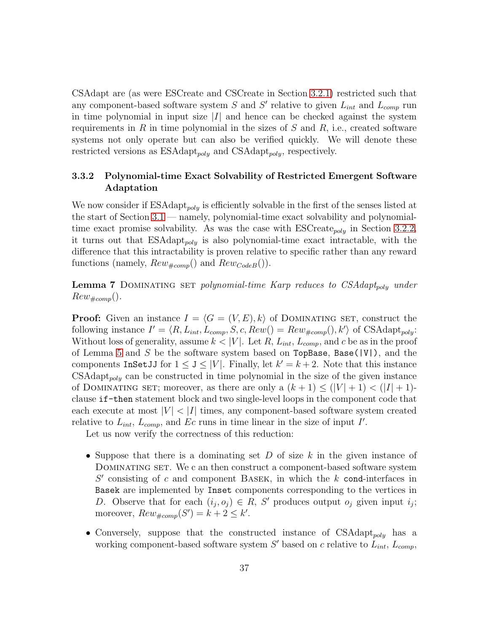CSAdapt are (as were ESCreate and CSCreate in Section [3.2.1\)](#page-18-0) restricted such that any component-based software system  $S$  and  $S'$  relative to given  $L_{int}$  and  $L_{comp}$  run in time polynomial in input size  $|I|$  and hence can be checked against the system requirements in R in time polynomial in the sizes of S and R, i.e., created software systems not only operate but can also be verified quickly. We will denote these restricted versions as  $ESAdapt_{poly}$  and  $CSAdapt_{poly}$ , respectively.

### 3.3.2 Polynomial-time Exact Solvability of Restricted Emergent Software Adaptation

We now consider if  $ESAdapt_{poly}$  is efficiently solvable in the first of the senses listed at the start of Section [3.1](#page-14-0) — namely, polynomial-time exact solvability and polynomialtime exact promise solvability. As was the case with  $\text{ESCreate}_{poly}$  in Section [3.2.2,](#page-20-0) it turns out that  $ESAdapt_{poly}$  is also polynomial-time exact intractable, with the difference that this intractability is proven relative to specific rather than any reward functions (namely,  $Rew_{\#comp}()$  and  $Rew_{CodeB}()$ ).

<span id="page-36-0"></span>Lemma 7 DOMINATING SET *polynomial-time Karp reduces to CSAdapt<sub>poly</sub> under*  $Rew_{\#comp}($ ).

**Proof:** Given an instance  $I = \langle G = (V, E), k \rangle$  of DOMINATING SET, construct the following instance  $I' = \langle R, L_{int}, L_{comp}, S, c, Rew() = Rew_{\#comp}(), k' \rangle$  of CSAdapt<sub>poly</sub>: Without loss of generality, assume  $k < |V|$ . Let R,  $L_{int}$ ,  $L_{comp}$ , and c be as in the proof of Lemma [5](#page-25-0) and S be the software system based on  $TopBase$ , Base( $|V|$ ), and the components InSetJJ for  $1 \le J \le |V|$ . Finally, let  $k' = k + 2$ . Note that this instance  $CSAdapt_{poly}$  can be constructed in time polynomial in the size of the given instance of DOMINATING SET; moreover, as there are only a  $(k + 1) \leq (|V| + 1) < (|I| + 1)$ clause if-then statement block and two single-level loops in the component code that each execute at most  $|V|$  <  $|I|$  times, any component-based software system created relative to  $L_{int}$ ,  $L_{comp}$ , and  $Ec$  runs in time linear in the size of input I'.

Let us now verify the correctness of this reduction:

- Suppose that there is a dominating set D of size  $k$  in the given instance of Dominating set. We c an then construct a component-based software system  $S'$  consisting of c and component BASEK, in which the  $k$  cond-interfaces in Basek are implemented by Inset components corresponding to the vertices in D. Observe that for each  $(i_j, o_j) \in R$ , S' produces output  $o_j$  given input  $i_j$ ; moreover,  $Rew_{\#comp}(S') = k + 2 \leq k'$ .
- Conversely, suppose that the constructed instance of  $CSAdapt_{poly}$  has a working component-based software system  $S'$  based on c relative to  $L_{int}$ ,  $L_{comp}$ ,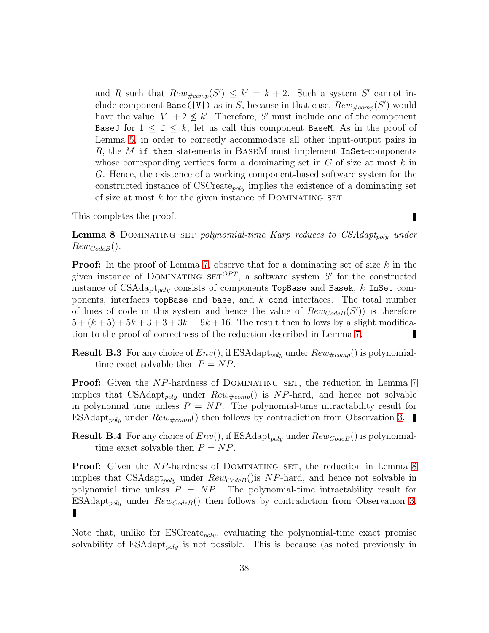and R such that  $Rew_{\#comp}(S') \leq k' = k + 2$ . Such a system S' cannot include component Base( $|V|$ ) as in S, because in that case,  $Rew_{#comp}(S')$  would have the value  $|V| + 2 \nleq k'$ . Therefore, S' must include one of the component BaseJ for  $1 \leq J \leq k$ ; let us call this component BaseM. As in the proof of Lemma [5,](#page-25-0) in order to correctly accommodate all other input-output pairs in R, the M if-then statements in BASEM must implement InSet-components whose corresponding vertices form a dominating set in  $G$  of size at most  $k$  in G. Hence, the existence of a working component-based software system for the constructed instance of  $\text{CSCٍ}_\text{poly}$  implies the existence of a dominating set of size at most  $k$  for the given instance of DOMINATING SET.

<span id="page-37-0"></span>This completes the proof.

Ī

Lemma 8 DOMINATING SET *polynomial-time Karp reduces to CSAdapt<sub>poly</sub> under*  $RewCodeB()$ .

**Proof:** In the proof of Lemma [7,](#page-36-0) observe that for a dominating set of size  $k$  in the given instance of DOMINATING SET<sup>OPT</sup>, a software system  $S'$  for the constructed instance of CSAdapt<sub>poly</sub> consists of components TopBase and Basek,  $k$  InSet components, interfaces topBase and base, and  $k$  cond interfaces. The total number of lines of code in this system and hence the value of  $Rew_{Code}(S')$  is therefore  $5 + (k+5) + 5k+3+3+3k = 9k+16$ . The result then follows by a slight modification to the proof of correctness of the reduction described in Lemma [7.](#page-36-0) П

**Result B.3** For any choice of  $Env($ , if ESAdapt<sub>poly</sub> under  $Rew_{\#comp}($ ) is polynomialtime exact solvable then  $P = NP$ .

**Proof:** Given the NP-hardness of DOMINATING SET, the reduction in Lemma [7](#page-36-0) implies that CSAdapt<sub>poly</sub> under  $Rew_{\#comp}()$  is NP-hard, and hence not solvable in polynomial time unless  $P = NP$ . The polynomial-time intractability result for ESAdapt<sub>poly</sub> under  $Rew_{\#comp}()$  then follows by contradiction from Observation [3.](#page-32-0)

**Result B.4** For any choice of  $Env()$ , if ESAdapt<sub>poly</sub> under  $RewCode(B()$  is polynomialtime exact solvable then  $P = NP$ .

**Proof:** Given the NP-hardness of DOMINATING SET, the reduction in Lemma [8](#page-37-0) implies that CSAdapt<sub>poly</sub> under  $Rew_{CodeB}$ <sup>()</sup>is NP-hard, and hence not solvable in polynomial time unless  $P = NP$ . The polynomial-time intractability result for  $ESAdapt_{poly}$  under  $Rewcode(B)$  then follows by contradiction from Observation [3.](#page-32-0)

Note that, unlike for  $ESCreate_{poly}$ , evaluating the polynomial-time exact promise solvability of  $ESAdapt_{poly}$  is not possible. This is because (as noted previously in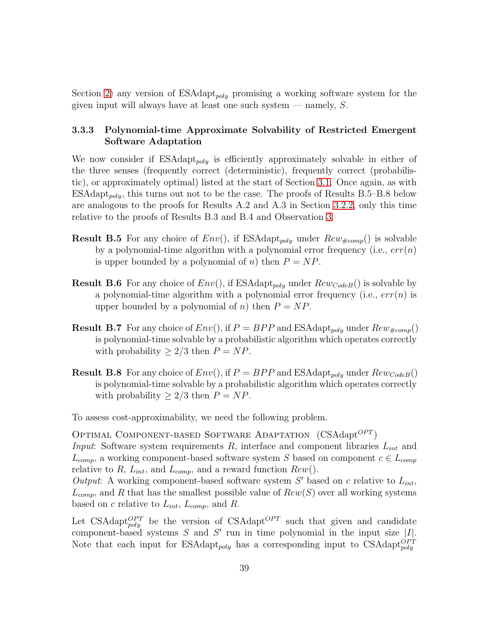Section [2\)](#page-6-0) any version of  $ESAdapt_{poly}$  promising a working software system for the given input will always have at least one such system  $-$  namely, S.

#### 3.3.3 Polynomial-time Approximate Solvability of Restricted Emergent Software Adaptation

We now consider if  $ESAdapt_{poly}$  is efficiently approximately solvable in either of the three senses (frequently correct (deterministic), frequently correct (probabilistic), or approximately optimal) listed at the start of Section [3.1.](#page-14-0) Once again, as with  $ESAdapt_{poly}$ , this turns out not to be the case. The proofs of Results B.5–B.8 below are analogous to the proofs for Results A.2 and A.3 in Section [3.2.2,](#page-20-0) only this time relative to the proofs of Results B.3 and B.4 and Observation [3.](#page-32-0)

- **Result B.5** For any choice of  $Env($ , if ESAdapt<sub>poly</sub> under  $Rew_{#comp}($ ) is solvable by a polynomial-time algorithm with a polynomial error frequency (i.e.,  $err(n)$ ) is upper bounded by a polynomial of n) then  $P = NP$ .
- **Result B.6** For any choice of  $Env()$ , if ESAdapt<sub>poly</sub> under  $Rew_{CodeB}($ ) is solvable by a polynomial-time algorithm with a polynomial error frequency (i.e.,  $err(n)$  is upper bounded by a polynomial of n) then  $P = NP$ .
- **Result B.7** For any choice of  $Env($ , if  $P = BPP$  and ESAdapt<sub>poly</sub> under  $Rew_{\#comp}($ is polynomial-time solvable by a probabilistic algorithm which operates correctly with probability  $\geq 2/3$  then  $P = NP$ .
- **Result B.8** For any choice of  $Env($ ), if  $P = BPP$  and ESAdapt<sub>poly</sub> under  $Rew_{CodeB}($ is polynomial-time solvable by a probabilistic algorithm which operates correctly with probability  $> 2/3$  then  $P = NP$ .

To assess cost-approximability, we need the following problem.

OPTIMAL COMPONENT-BASED SOFTWARE ADAPTATION  $(CSAdapt^{OPT})$ *Input*: Software system requirements R, interface and component libraries  $L_{int}$  and  $L_{comp}$ , a working component-based software system S based on component  $c \in L_{comp}$ relative to R,  $L_{int}$ , and  $L_{comp}$ , and a reward function  $Rew()$ .

*Output*: A working component-based software system  $S'$  based on c relative to  $L_{int}$ ,  $L_{comp}$ , and R that has the smallest possible value of  $Rew(S)$  over all working systems based on c relative to  $L_{int}$ ,  $L_{comp}$ , and R.

Let CSAdapt $_{poly}^{OPT}$  be the version of CSAdapt<sup>*OPT*</sup> such that given and candidate component-based systems  $S$  and  $S'$  run in time polynomial in the input size  $|I|$ . Note that each input for ESAdapt<sub>poly</sub> has a corresponding input to CSAdapt<sup>*OPT*</sup>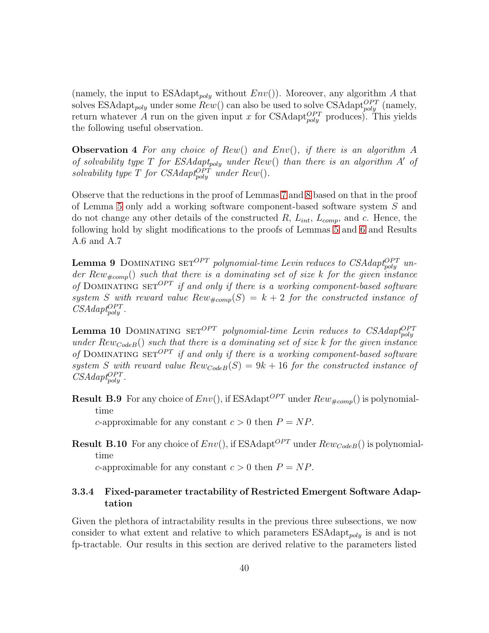(namely, the input to  $ESAdapt_{poly}$  without  $Env()$ ). Moreover, any algorithm A that solves ESAdapt<sub>poly</sub> under some  $Rew()$  can also be used to solve CSAdapt<sup>OPT</sup> (namely, return whatever A run on the given input x for CSAdapt<sup>*OPT*</sup> produces). This yields the following useful observation.

Observation 4 *For any choice of* Rew() *and* Env()*, if there is an algorithm* A *of solvability type* T *for ESAdapt<sub>poly</sub> under*  $Rew()$  *than there is an algorithm A' of solvability type*  $T$  *for CSAdapt*<sub>poly</sub> *under*  $Rew()$ *.* 

Observe that the reductions in the proof of Lemmas [7](#page-36-0) and [8](#page-37-0) based on that in the proof of Lemma [5](#page-25-0) only add a working software component-based software system S and do not change any other details of the constructed  $R$ ,  $L_{int}$ ,  $L_{comp}$ , and c. Hence, the following hold by slight modifications to the proofs of Lemmas [5](#page-25-0) and [6](#page-28-0) and Results A.6 and A.7

**Lemma 9** DOMINATING SET<sup>OPT</sup> polynomial-time Levin reduces to CSAdapt<sup>OPT</sup> un $der Rew_{\#comp}$ ) *such that there is a dominating set of size* k *for the given instance* of DOMINATING SET<sup>OPT</sup> if and only if there is a working component-based software system S with reward value  $Rew_{\text{#comp}}(S) = k + 2$  for the constructed instance of  $CSAdapt_{poly}^{OPT}$ .

**Lemma 10** DOMINATING  $SET^{OPT}$  *polynomial-time Levin reduces to CSAdapt* $_{poly}^{OPT}$ *under*  $Rew_{CodeB}($ *) such that there is a dominating set of size k for the given instance* of DOMINATING SET<sup>OPT</sup> *if and only if there is a working component-based software* system *S* with reward value  $Rew_{CodeB}(S) = 9k + 16$  for the constructed instance of  $CSAdapt^{OPT}_{poly}$ .

**Result B.9** For any choice of  $Env($ ), if ESAdapt<sup>*OPT*</sup> under  $Rew_{#comp}($ ) is polynomialtime

c-approximable for any constant  $c > 0$  then  $P = NP$ .

**Result B.10** For any choice of  $Env($ ), if ESAdapt<sup>*OPT*</sup> under  $RewCode(B($ ) is polynomialtime

c-approximable for any constant  $c > 0$  then  $P = NP$ .

### 3.3.4 Fixed-parameter tractability of Restricted Emergent Software Adaptation

Given the plethora of intractability results in the previous three subsections, we now consider to what extent and relative to which parameters  $ESAdapt_{polu}$  is and is not fp-tractable. Our results in this section are derived relative to the parameters listed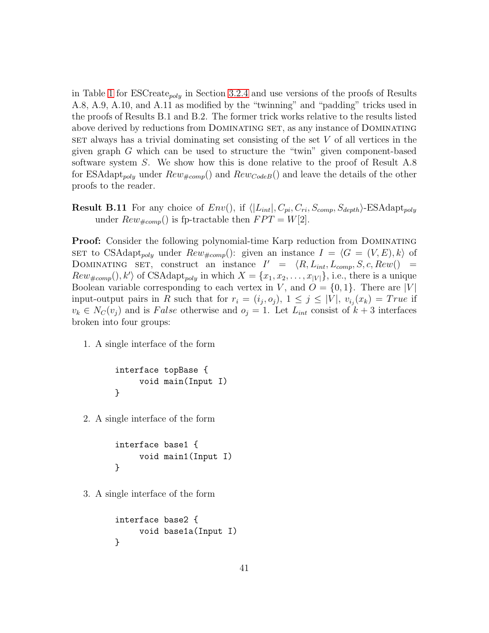in Table [1](#page-29-0) for  $\text{ESCreate}_{poly}$  in Section [3.2.4](#page-29-1) and use versions of the proofs of Results A.8, A.9, A.10, and A.11 as modified by the "twinning" and "padding" tricks used in the proofs of Results B.1 and B.2. The former trick works relative to the results listed above derived by reductions from Dominating set, as any instance of Dominating  $SET$  always has a trivial dominating set consisting of the set  $V$  of all vertices in the given graph G which can be used to structure the "twin" given component-based software system  $S$ . We show how this is done relative to the proof of Result A.8 for ESAdapt<sub>poly</sub> under  $Rew_{\text{fcomp}}()$  and  $Rew_{CodeB}()$  and leave the details of the other proofs to the reader.

**Result B.11** For any choice of  $Env($ ), if  $\langle |L_{int}|, C_{pi}, C_{ri}, S_{comp}, S_{depth}\rangle$ -ESAdapt<sub>poly</sub> under  $Rew_{\#comp}()$  is fp-tractable then  $FPT = W[2]$ .

**Proof:** Consider the following polynomial-time Karp reduction from DOMINATING SET to CSAdapt<sub>poly</sub> under  $Rew_{\#comp}$ ): given an instance  $I = \langle G = (V, E), k \rangle$  of DOMINATING SET, construct an instance  $I' = \langle R, L_{int}, L_{comp}, S, c, Rew(\rangle)$  $Rew_{\text{\#comp}}(), k' \rangle$  of CSAdapt<sub>poly</sub> in which  $X = \{x_1, x_2, \ldots, x_{|V|}\},$  i.e., there is a unique Boolean variable corresponding to each vertex in V, and  $O = \{0, 1\}$ . There are |V| input-output pairs in R such that for  $r_i = (i_j, o_j)$ ,  $1 \leq j \leq |V|$ ,  $v_{i_j}(x_k) = True$  if  $v_k \in N_C(v_j)$  and is False otherwise and  $o_j = 1$ . Let  $L_{int}$  consist of  $k+3$  interfaces broken into four groups:

1. A single interface of the form

```
interface topBase {
     void main(Input I)
}
```
2. A single interface of the form

```
interface base1 {
     void main1(Input I)
}
```
3. A single interface of the form

```
interface base2 {
     void base1a(Input I)
}
```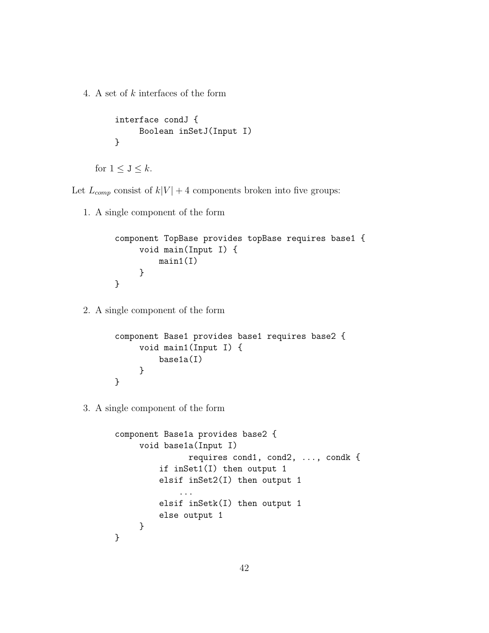4. A set of k interfaces of the form

```
interface condJ {
     Boolean inSetJ(Input I)
}
```
for  $1 \leq J \leq k$ .

Let  $L_{comp}$  consist of  $k|V| + 4$  components broken into five groups:

1. A single component of the form

```
component TopBase provides topBase requires base1 {
     void main(Input I) {
         main1(I)
     }
}
```
2. A single component of the form

```
component Base1 provides base1 requires base2 {
     void main1(Input I) {
         base1a(I)
     }
}
```
3. A single component of the form

```
component Base1a provides base2 {
     void base1a(Input I)
               requires cond1, cond2, ..., condk {
         if inSet1(I) then output 1
         elsif inSet2(I) then output 1
             ...
         elsif inSetk(I) then output 1
         else output 1
     }
}
```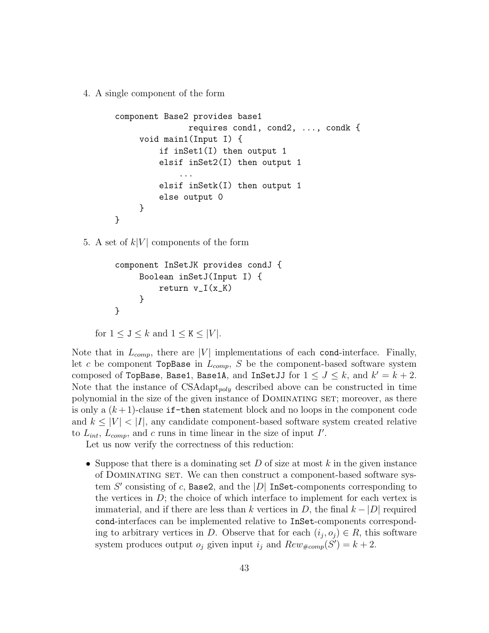4. A single component of the form

```
component Base2 provides base1
               requires cond1, cond2, ..., condk {
     void main1(Input I) {
         if inSet1(I) then output 1
         elsif inSet2(I) then output 1
             ...
         elsif inSetk(I) then output 1
         else output 0
     }
}
```
5. A set of  $k|V|$  components of the form

```
component InSetJK provides condJ {
     Boolean inSetJ(Input I) {
         return v_I(x_K)}
}
```
for  $1 \leq J \leq k$  and  $1 \leq K \leq |V|$ .

Note that in  $L_{comp}$ , there are |V| implementations of each cond-interface. Finally, let c be component TopBase in  $L_{comp}$ , S be the component-based software system composed of TopBase, Base1, Base1A, and InSetJJ for  $1 \leq J \leq k$ , and  $k' = k + 2$ . Note that the instance of  $CSAdapt_{poly}$  described above can be constructed in time polynomial in the size of the given instance of Dominating set; moreover, as there is only a  $(k+1)$ -clause if-then statement block and no loops in the component code and  $k \leq |V| < |I|$ , any candidate component-based software system created relative to  $L_{int}$ ,  $L_{comp}$ , and c runs in time linear in the size of input I'.

Let us now verify the correctness of this reduction:

• Suppose that there is a dominating set  $D$  of size at most k in the given instance of Dominating set. We can then construct a component-based software system  $S'$  consisting of c, Base2, and the  $|D|$  InSet-components corresponding to the vertices in  $D$ ; the choice of which interface to implement for each vertex is immaterial, and if there are less than k vertices in D, the final  $k - |D|$  required cond-interfaces can be implemented relative to InSet-components corresponding to arbitrary vertices in D. Observe that for each  $(i_j, o_j) \in R$ , this software system produces output  $o_j$  given input  $i_j$  and  $Rew_{\#comp}(S') = k + 2$ .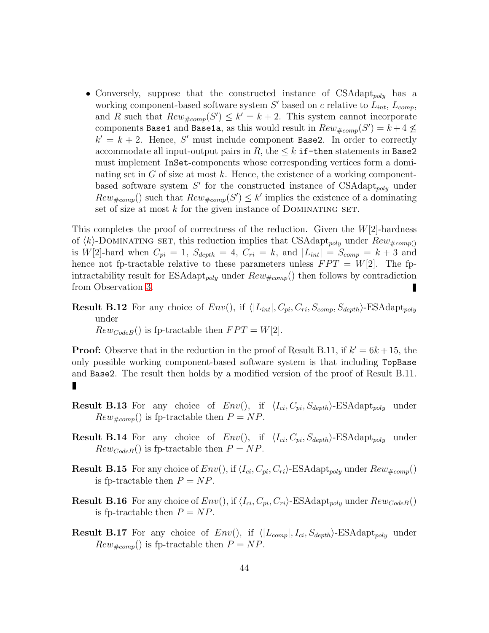• Conversely, suppose that the constructed instance of  $CSAdapt_{poly}$  has a working component-based software system  $S'$  based on c relative to  $L_{int}$ ,  $L_{comp}$ , and R such that  $Rew_{\#comp}(S') \leq k' = k + 2$ . This system cannot incorporate components Base1 and Base1a, as this would result in  $Rew_{\#comp}(S') = k + 4 \not\leq$  $k' = k + 2$ . Hence, S' must include component Base2. In order to correctly accommodate all input-output pairs in R, the  $\leq k$  if-then statements in Base2 must implement InSet-components whose corresponding vertices form a dominating set in  $G$  of size at most k. Hence, the existence of a working componentbased software system  $S'$  for the constructed instance of  $CSAdapt_{poly}$  under  $Rew_{\text{\#comp}}()$  such that  $Rew_{\text{\#comp}}(S') \leq k'$  implies the existence of a dominating set of size at most  $k$  for the given instance of DOMINATING SET.

This completes the proof of correctness of the reduction. Given the  $W[2]$ -hardness of  $\langle k\rangle$ -DOMINATING SET, this reduction implies that CSAdapt<sub>poly</sub> under  $Rew_{\#comp()}$ is  $W[2]$ -hard when  $C_{pi} = 1$ ,  $S_{depth} = 4$ ,  $C_{ri} = k$ , and  $|L_{int}| = S_{comp} = k + 3$  and hence not fp-tractable relative to these parameters unless  $FPT = W[2]$ . The fpintractability result for ESAdapt<sub>poly</sub> under  $Rew_{\#comp}()$  then follows by contradiction from Observation [3.](#page-32-0) П

**Result B.12** For any choice of  $Env($ ), if  $\langle |L_{int}|, C_{pi}, C_{ri}, S_{comp}, S_{depth}\rangle$ -ESAdapt<sub>poly</sub> under  $Rew_{CodeB}($ ) is fp-tractable then  $FPT = W[2]$ .

**Proof:** Observe that in the reduction in the proof of Result B.11, if  $k' = 6k + 15$ , the only possible working component-based software system is that including TopBase and Base2. The result then holds by a modified version of the proof of Result B.11.

- **Result B.13** For any choice of  $Env()$ , if  $\langle I_{ci}, C_{pi}, S_{depth} \rangle$ -ESAdapt<sub>poly</sub> under  $Rew_{\#comp}()$  is fp-tractable then  $P = NP$ .
- **Result B.14** For any choice of  $Env()$ , if  $\langle I_{ci}, C_{pi}, S_{depth} \rangle$ -ESAdapt<sub>poly</sub> under  $Rew_{CodeB}($ ) is fp-tractable then  $P = NP$ .
- **Result B.15** For any choice of  $Env($ ), if  $\langle I_{ci}, C_{pi}, C_{ri} \rangle$ -ESAdapt<sub>poly</sub> under  $Rew_{\#comp}($ is fp-tractable then  $P = NP$ .
- **Result B.16** For any choice of  $Env($ ), if  $\langle I_{ci}, C_{pi}, C_{ri} \rangle$ -ESAdapt<sub>poly</sub> under  $RewCode(B)$ is fp-tractable then  $P = NP$ .
- **Result B.17** For any choice of  $Env()$ , if  $\langle |L_{comp}|, I_{ci}, S_{depth}\rangle$ -ESAdapt<sub>poly</sub> under  $Rew_{\#comp}$ () is fp-tractable then  $P = NP$ .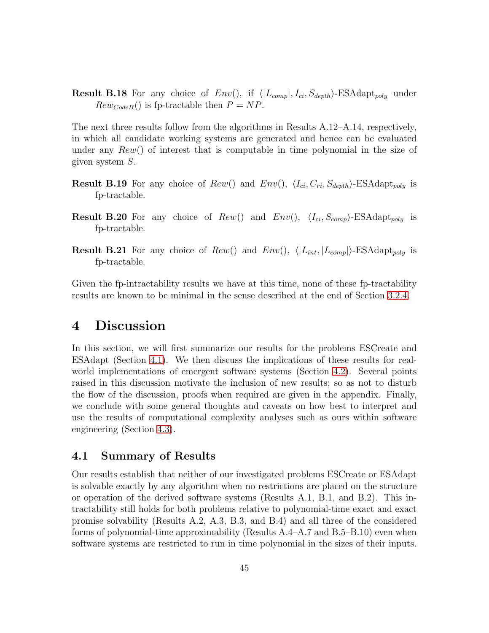**Result B.18** For any choice of  $Env()$ , if  $\langle |L_{comp}|, I_{ci}, S_{depth}\rangle$ -ESAdapt<sub>poly</sub> under  $Rew_{CodeB}()$  is fp-tractable then  $P = NP$ .

The next three results follow from the algorithms in Results A.12–A.14, respectively, in which all candidate working systems are generated and hence can be evaluated under any  $Rew()$  of interest that is computable in time polynomial in the size of given system S.

- **Result B.19** For any choice of  $Rew()$  and  $Env(), \langle I_{ci}, C_{ri}, S_{depth} \rangle$ -ESAdapt<sub>poly</sub> is fp-tractable.
- **Result B.20** For any choice of  $Rew()$  and  $Env(), \langle I_{ci}, S_{comp} \rangle$ -ESAdapt<sub>poly</sub> is fp-tractable.
- **Result B.21** For any choice of  $Rew()$  and  $Env(), \langle |L_{int}, |L_{comp}| \rangle$ -ESAdapt<sub>poly</sub> is fp-tractable.

Given the fp-intractability results we have at this time, none of these fp-tractability results are known to be minimal in the sense described at the end of Section [3.2.4.](#page-29-1)

## <span id="page-44-1"></span>4 Discussion

In this section, we will first summarize our results for the problems ESCreate and ESAdapt (Section [4.1\)](#page-44-0). We then discuss the implications of these results for realworld implementations of emergent software systems (Section [4.2\)](#page-46-0). Several points raised in this discussion motivate the inclusion of new results; so as not to disturb the flow of the discussion, proofs when required are given in the appendix. Finally, we conclude with some general thoughts and caveats on how best to interpret and use the results of computational complexity analyses such as ours within software engineering (Section [4.3\)](#page-49-0).

### <span id="page-44-0"></span>4.1 Summary of Results

Our results establish that neither of our investigated problems ESCreate or ESAdapt is solvable exactly by any algorithm when no restrictions are placed on the structure or operation of the derived software systems (Results A.1, B.1, and B.2). This intractability still holds for both problems relative to polynomial-time exact and exact promise solvability (Results A.2, A.3, B.3, and B.4) and all three of the considered forms of polynomial-time approximability (Results  $A.4-A.7$  and  $B.5-B.10$ ) even when software systems are restricted to run in time polynomial in the sizes of their inputs.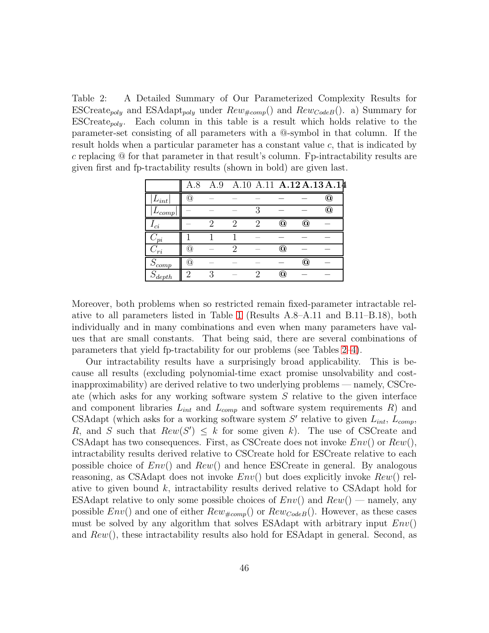<span id="page-45-0"></span>Table 2: A Detailed Summary of Our Parameterized Complexity Results for ESCreate<sub>poly</sub> and ESAdapt<sub>poly</sub> under  $Rew_{\#comp}()$  and  $Rew_{CodeB}()$ . a) Summary for  $ESCreate_{poly}$ . Each column in this table is a result which holds relative to the parameter-set consisting of all parameters with a @-symbol in that column. If the result holds when a particular parameter has a constant value c, that is indicated by c replacing  $\circledcirc$  for that parameter in that result's column. Fp-intractability results are given first and fp-tractability results (shown in bold) are given last.

|             | A.8 | A.9 |   |                           |               | A.10 A.11 A.12 A.13 A.14  |
|-------------|-----|-----|---|---------------------------|---------------|---------------------------|
| $L_{int}$   | a   |     |   |                           |               | $^\copyright$             |
| 'comp       |     |     |   |                           |               | $^\text{\textregistered}$ |
| ci          |     | റ   | റ | $^\text{\textregistered}$ | $^\copyright$ |                           |
| $\it 'ni$   |     |     |   |                           |               |                           |
| $\cup_{ri}$ | Ω   |     |   | O)                        |               |                           |
| $S_{comp}$  | ω   |     |   |                           | $^\copyright$ |                           |
| $S_{depth}$ | റ   | ्   | ິ | O)                        |               |                           |

Moreover, both problems when so restricted remain fixed-parameter intractable relative to all parameters listed in Table [1](#page-29-0) (Results A.8–A.11 and B.11–B.18), both individually and in many combinations and even when many parameters have values that are small constants. That being said, there are several combinations of parameters that yield fp-tractability for our problems (see Tables [2](#page-45-0)[–4\)](#page-46-1).

Our intractability results have a surprisingly broad applicability. This is because all results (excluding polynomial-time exact promise unsolvability and costinapproximability) are derived relative to two underlying problems — namely, CSCreate (which asks for any working software system S relative to the given interface and component libraries  $L_{int}$  and  $L_{comp}$  and software system requirements R) and CSAdapt (which asks for a working software system  $S'$  relative to given  $L_{int}$ ,  $L_{comp}$ , R, and S such that  $Rew(S') \leq k$  for some given k). The use of CSCreate and CSAdapt has two consequences. First, as CSCreate does not invoke  $Env()$  or  $Rew(),$ intractability results derived relative to CSCreate hold for ESCreate relative to each possible choice of  $Env()$  and  $Rew()$  and hence ESCreate in general. By analogous reasoning, as CSAdapt does not invoke  $Env()$  but does explicitly invoke  $Rew()$  relative to given bound  $k$ , intractability results derived relative to CSAdapt hold for ESAdapt relative to only some possible choices of  $Env()$  and  $Rew()$  — namely, any possible  $Env()$  and one of either  $Rew_{\#comp}()$  or  $Rew_{CodeB}()$ . However, as these cases must be solved by any algorithm that solves ESAdapt with arbitrary input  $Env()$ and  $Rew()$ , these intractability results also hold for ESAdapt in general. Second, as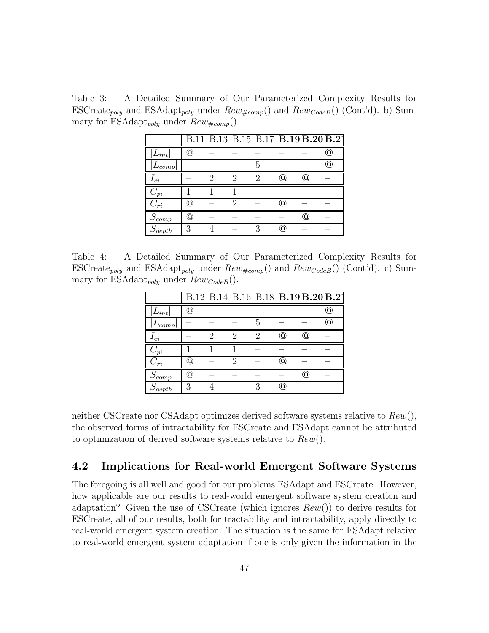Table 3: A Detailed Summary of Our Parameterized Complexity Results for ESCreate<sub>poly</sub> and ESAdapt<sub>poly</sub> under  $Rew_{\#comp}()$  and  $Rew_{CodeB}()$  (Cont'd). b) Summary for ESAdapt<sub>poly</sub> under  $Rew_{\#comp}()$ .

|             |   |   |   |   |    | B.11 B.13 B.15 B.17 B.19 B.20 B.21 |                        |
|-------------|---|---|---|---|----|------------------------------------|------------------------|
| $L_{int}$   | ά |   |   |   |    |                                    | $\mathbf{\widehat{a}}$ |
| $_{comp}$   |   |   |   | h |    |                                    | (Q)                    |
| ci          |   | റ | ິ | 2 | O) | $^\mathrm{\textregistered}$        |                        |
| $\it 'pi$   |   |   |   |   |    |                                    |                        |
| $C_{ri}$    | ω |   |   |   | ∞  |                                    |                        |
| $S_{comp}$  | ά |   |   |   |    | $^\mathrm{(0)}$                    |                        |
| $S_{depth}$ | 3 |   |   | ว | Q) |                                    |                        |

Table 4: A Detailed Summary of Our Parameterized Complexity Results for ESCreate<sub>poly</sub> and ESAdapt<sub>poly</sub> under  $Rew_{\#comp}()$  and  $Rew_{CodeB}()$  (Cont'd). c) Summary for ESAdapt<sub>poly</sub> under  $Rew_{CodeB}($ ).

<span id="page-46-1"></span>

|                         |                    |  |    | B.12 B.14 B.16 B.18 B.19 B.20 B.21 |               |                 |
|-------------------------|--------------------|--|----|------------------------------------|---------------|-----------------|
| $\mathcal{L}_{int}$ )   | $\widehat{\alpha}$ |  |    |                                    |               | $^\mathrm{(0)}$ |
| 'comp                   |                    |  | h. |                                    |               | O)              |
| $\iota_{ci}$            |                    |  | റ  | (Q)                                | $^\copyright$ |                 |
| $^{\prime}$ ni          |                    |  |    |                                    |               |                 |
| $\overline{\partial}ri$ | ω                  |  |    | O                                  |               |                 |
| $S_{comp}$              | (Q)                |  |    |                                    | $^\copyright$ |                 |
| $S_{depth}$             | 3                  |  |    | 'Oì                                |               |                 |

neither CSCreate nor CSAdapt optimizes derived software systems relative to  $Rew()$ , the observed forms of intractability for ESCreate and ESAdapt cannot be attributed to optimization of derived software systems relative to  $Rew()$ .

### <span id="page-46-0"></span>4.2 Implications for Real-world Emergent Software Systems

The foregoing is all well and good for our problems ESAdapt and ESCreate. However, how applicable are our results to real-world emergent software system creation and adaptation? Given the use of CSCreate (which ignores  $Rew()$ ) to derive results for ESCreate, all of our results, both for tractability and intractability, apply directly to real-world emergent system creation. The situation is the same for ESAdapt relative to real-world emergent system adaptation if one is only given the information in the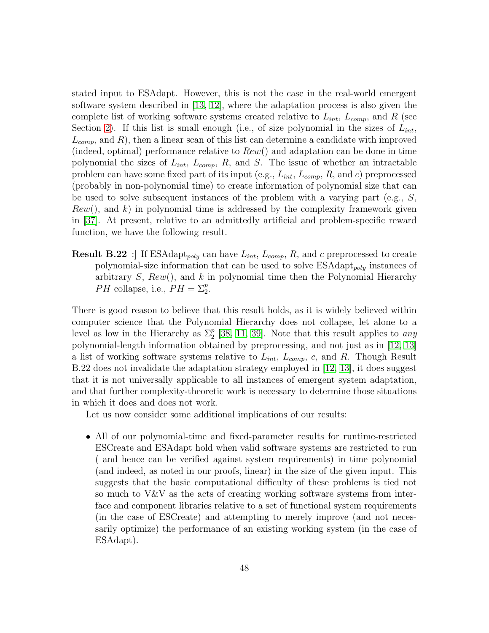stated input to ESAdapt. However, this is not the case in the real-world emergent software system described in [\[13,](#page-54-0) [12\]](#page-54-1), where the adaptation process is also given the complete list of working software systems created relative to  $L_{int}$ ,  $L_{comp}$ , and R (see Section [2\)](#page-6-0). If this list is small enough (i.e., of size polynomial in the sizes of  $L_{int}$ ,  $L_{comp}$ , and R), then a linear scan of this list can determine a candidate with improved (indeed, optimal) performance relative to  $Rew()$  and adaptation can be done in time polynomial the sizes of  $L_{int}$ ,  $L_{comp}$ , R, and S. The issue of whether an intractable problem can have some fixed part of its input (e.g.,  $L_{int}$ ,  $L_{comp}$ , R, and c) preprocessed (probably in non-polynomial time) to create information of polynomial size that can be used to solve subsequent instances of the problem with a varying part (e.g., S,  $Rew()$ , and k) in polynomial time is addressed by the complexity framework given in [\[37\]](#page-57-0). At present, relative to an admittedly artificial and problem-specific reward function, we have the following result.

**Result B.22**: If ESAdapt<sub>poly</sub> can have  $L_{int}$ ,  $L_{comp}$ , R, and c preprocessed to create polynomial-size information that can be used to solve  $ESAdapt_{poly}$  instances of arbitrary  $S$ ,  $Rew()$ , and  $k$  in polynomial time then the Polynomial Hierarchy *PH* collapse, i.e.,  $PH = \sum_{2}^{p}$ .

There is good reason to believe that this result holds, as it is widely believed within computer science that the Polynomial Hierarchy does not collapse, let alone to a level as low in the Hierarchy as  $\Sigma_2^p$  [\[38,](#page-57-1) [11,](#page-54-2) [39\]](#page-57-2). Note that this result applies to *any* polynomial-length information obtained by preprocessing, and not just as in [\[12,](#page-54-1) [13\]](#page-54-0) a list of working software systems relative to  $L_{int}$ ,  $L_{comp}$ , c, and R. Though Result B.22 does not invalidate the adaptation strategy employed in [\[12,](#page-54-1) [13\]](#page-54-0), it does suggest that it is not universally applicable to all instances of emergent system adaptation, and that further complexity-theoretic work is necessary to determine those situations in which it does and does not work.

Let us now consider some additional implications of our results:

• All of our polynomial-time and fixed-parameter results for runtime-restricted ESCreate and ESAdapt hold when valid software systems are restricted to run ( and hence can be verified against system requirements) in time polynomial (and indeed, as noted in our proofs, linear) in the size of the given input. This suggests that the basic computational difficulty of these problems is tied not so much to V&V as the acts of creating working software systems from interface and component libraries relative to a set of functional system requirements (in the case of ESCreate) and attempting to merely improve (and not necessarily optimize) the performance of an existing working system (in the case of ESAdapt).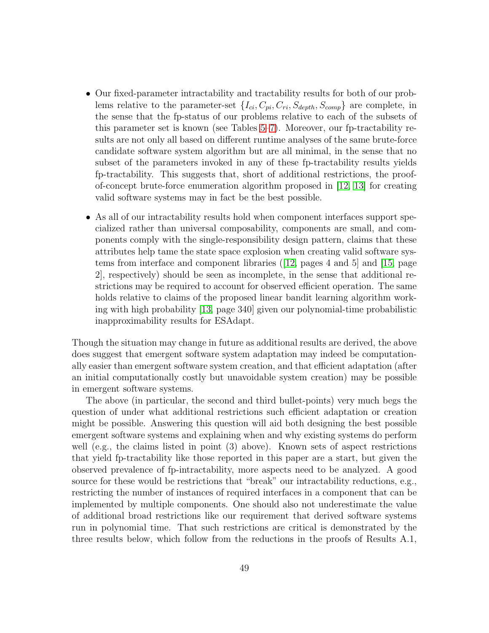- Our fixed-parameter intractability and tractability results for both of our problems relative to the parameter-set  $\{I_{ci}, C_{pi}, C_{ri}, S_{depth}, S_{comp}\}$  are complete, in the sense that the fp-status of our problems relative to each of the subsets of this parameter set is known (see Tables [5](#page-50-0)[–7\)](#page-52-0). Moreover, our fp-tractability results are not only all based on different runtime analyses of the same brute-force candidate software system algorithm but are all minimal, in the sense that no subset of the parameters invoked in any of these fp-tractability results yields fp-tractability. This suggests that, short of additional restrictions, the proofof-concept brute-force enumeration algorithm proposed in [\[12,](#page-54-1) [13\]](#page-54-0) for creating valid software systems may in fact be the best possible.
- As all of our intractability results hold when component interfaces support specialized rather than universal composability, components are small, and components comply with the single-responsibility design pattern, claims that these attributes help tame the state space explosion when creating valid software systems from interface and component libraries ([\[12,](#page-54-1) pages 4 and 5] and [\[15,](#page-55-0) page 2], respectively) should be seen as incomplete, in the sense that additional restrictions may be required to account for observed efficient operation. The same holds relative to claims of the proposed linear bandit learning algorithm working with high probability [\[13,](#page-54-0) page 340] given our polynomial-time probabilistic inapproximability results for ESAdapt.

Though the situation may change in future as additional results are derived, the above does suggest that emergent software system adaptation may indeed be computationally easier than emergent software system creation, and that efficient adaptation (after an initial computationally costly but unavoidable system creation) may be possible in emergent software systems.

The above (in particular, the second and third bullet-points) very much begs the question of under what additional restrictions such efficient adaptation or creation might be possible. Answering this question will aid both designing the best possible emergent software systems and explaining when and why existing systems do perform well (e.g., the claims listed in point (3) above). Known sets of aspect restrictions that yield fp-tractability like those reported in this paper are a start, but given the observed prevalence of fp-intractability, more aspects need to be analyzed. A good source for these would be restrictions that "break" our intractability reductions, e.g., restricting the number of instances of required interfaces in a component that can be implemented by multiple components. One should also not underestimate the value of additional broad restrictions like our requirement that derived software systems run in polynomial time. That such restrictions are critical is demonstrated by the three results below, which follow from the reductions in the proofs of Results A.1,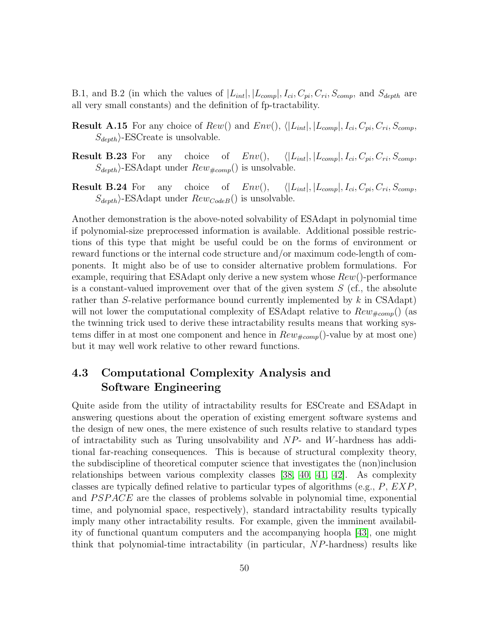B.1, and B.2 (in which the values of  $|L_{int}|, |L_{comp}|, I_{ci}, C_{pi}, C_{ri}, S_{comp}$ , and  $S_{depth}$  are all very small constants) and the definition of fp-tractability.

- **Result A.15** For any choice of  $Rew()$  and  $Env(), \langle |L_{int}|, |L_{comp}|, I_{ci}, C_{pi}, C_{ri}, S_{comp},$  $S_{depth}$ . ESCreate is unsolvable.
- **Result B.23** For any choice of  $Env()$ ,  $\langle |L_{int}|, |L_{comp}|, I_{ci}, C_{pi}, C_{ri}, S_{comp},$  $S_{depth}$ . ESAdapt under  $Rew_{#comp}$ () is unsolvable.
- **Result B.24** For any choice of  $Env()$ ,  $\langle |L_{int}|, |L_{comp}|, I_{ci}, C_{pi}, C_{ri}, S_{comp},$  $S_{depth}$ )-ESAdapt under  $Rew_{CodeB}$ () is unsolvable.

Another demonstration is the above-noted solvability of ESAdapt in polynomial time if polynomial-size preprocessed information is available. Additional possible restrictions of this type that might be useful could be on the forms of environment or reward functions or the internal code structure and/or maximum code-length of components. It might also be of use to consider alternative problem formulations. For example, requiring that ESAdapt only derive a new system whose  $Rew()$ -performance is a constant-valued improvement over that of the given system  $S$  (cf., the absolute rather than S-relative performance bound currently implemented by  $k$  in CSAdapt) will not lower the computational complexity of ESAdapt relative to  $Rew_{\#comp}()$  (as the twinning trick used to derive these intractability results means that working systems differ in at most one component and hence in  $Rew_{\#comp}()$ -value by at most one) but it may well work relative to other reward functions.

### <span id="page-49-0"></span>4.3 Computational Complexity Analysis and Software Engineering

Quite aside from the utility of intractability results for ESCreate and ESAdapt in answering questions about the operation of existing emergent software systems and the design of new ones, the mere existence of such results relative to standard types of intractability such as Turing unsolvability and  $NP$ - and W-hardness has additional far-reaching consequences. This is because of structural complexity theory, the subdiscipline of theoretical computer science that investigates the (non)inclusion relationships between various complexity classes [\[38,](#page-57-1) [40,](#page-57-3) [41,](#page-57-4) [42\]](#page-57-5). As complexity classes are typically defined relative to particular types of algorithms (e.g.,  $P, EXP$ , and PSPACE are the classes of problems solvable in polynomial time, exponential time, and polynomial space, respectively), standard intractability results typically imply many other intractability results. For example, given the imminent availability of functional quantum computers and the accompanying hoopla [\[43\]](#page-57-6), one might think that polynomial-time intractability (in particular, NP-hardness) results like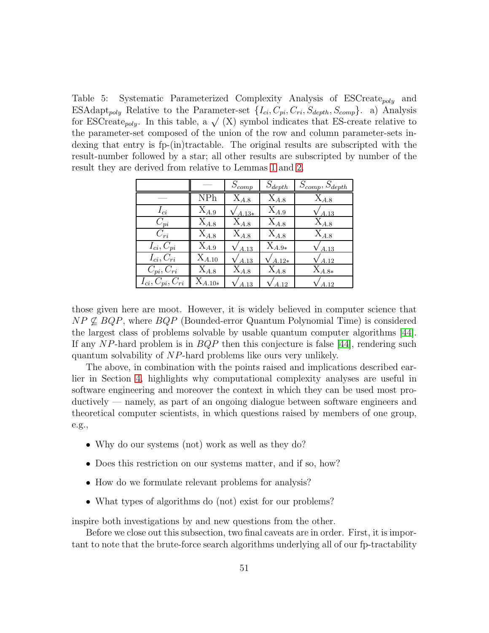<span id="page-50-0"></span>Table 5: Systematic Parameterized Complexity Analysis of ESCreate<sub>poly</sub> and ESAdapt<sub>poly</sub> Relative to the Parameter-set  $\{I_{ci}, C_{pi}, C_{ri}, S_{depth}, S_{comp}\}$ . a) Analysis for ESCreate<sub>poly</sub>. In this table, a  $\sqrt{(X)}$  symbol indicates that ES-create relative to the parameter-set composed of the union of the row and column parameter-sets indexing that entry is fp-(in)tractable. The original results are subscripted with the result-number followed by a star; all other results are subscripted by number of the result they are derived from relative to Lemmas [1](#page-17-0) and [2.](#page-17-1)

|                          |                      | $S_{comp}$ | $S_{depth}$ | $S_{comp}, S_{depth}$ |
|--------------------------|----------------------|------------|-------------|-----------------------|
|                          | <b>NPh</b>           | $X_{A.8}$  | $X_{A.8}$   | $X_{A,8}$             |
| $I_{ci}$                 | $X_{A.9}$            | $A.13*$    | $X_{A.9}$   | A.13                  |
| $C_{pi}$                 | $X_{A,8}$            | $X_{A.8}$  | $X_{A,8}$   | $X_{A.8}$             |
| $C_{ri}$                 | $X_{A.8}$            | $X_{A.8}$  | $X_{A,8}$   | $X_{A.8}$             |
| $I_{ci}, C_{pi}$         | $X_{A,9}$            | A.13       | $X_{A.9*}$  | $'$ A.13              |
| $I_{ci}$ , $C_{ri}$      | $X_{A.10}$           | A.13       | $A.12*$     | $'$ A.12              |
| $C_{pi}, C_{ri}$         | $X_{A,8}$            | $X_{A.8}$  | $X_{A.8}$   | $\mathrm{X}_{A.8*}$   |
| $I_{ci}, C_{pi}, C_{ri}$ | $\mathrm{X}_{A.10*}$ | A.13       | 4.12        | A.12                  |

those given here are moot. However, it is widely believed in computer science that  $NP \not\subseteq BQP$ , where  $BQP$  (Bounded-error Quantum Polynomial Time) is considered the largest class of problems solvable by usable quantum computer algorithms [\[44\]](#page-57-7). If any NP-hard problem is in  $BQP$  then this conjecture is false [\[44\]](#page-57-7), rendering such quantum solvability of NP-hard problems like ours very unlikely.

The above, in combination with the points raised and implications described earlier in Section [4,](#page-44-1) highlights why computational complexity analyses are useful in software engineering and moreover the context in which they can be used most productively — namely, as part of an ongoing dialogue between software engineers and theoretical computer scientists, in which questions raised by members of one group, e.g.,

- Why do our systems (not) work as well as they do?
- Does this restriction on our systems matter, and if so, how?
- How do we formulate relevant problems for analysis?
- What types of algorithms do (not) exist for our problems?

inspire both investigations by and new questions from the other.

Before we close out this subsection, two final caveats are in order. First, it is important to note that the brute-force search algorithms underlying all of our fp-tractability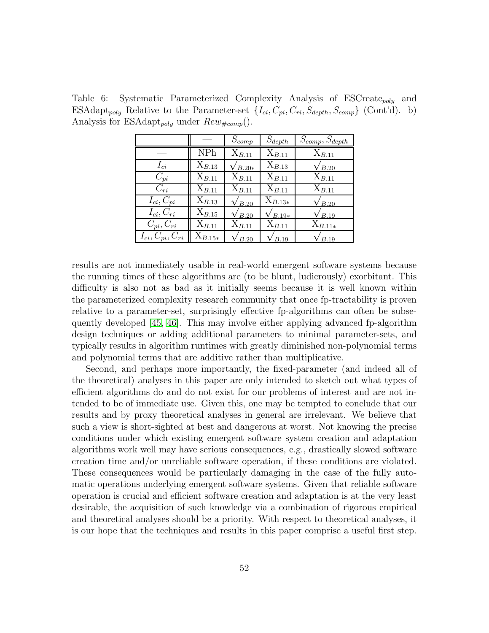Table 6: Systematic Parameterized Complexity Analysis of  $ESCreate_{poly}$  and ESAdapt<sub>poly</sub> Relative to the Parameter-set  $\{I_{ci}, C_{pi}, C_{ri}, S_{depth}, S_{comp}\}$  (Cont'd). b) Analysis for ESAdapt<sub>poly</sub> under  $Rew_{\#comp}()$ .

|                          |                      | $S_{comp}$        | $S_{depth}$ | $S_{comp}, S_{depth}$ |
|--------------------------|----------------------|-------------------|-------------|-----------------------|
|                          | <b>NPh</b>           | $X_{B.11}$        | $X_{B.11}$  | $X_{B.11}$            |
| $I_{ci}$                 | $X_{B.13}$           | $B.20*$           | $X_{B,13}$  | 'B.20                 |
| $C_{pi}$                 | $X_{B.11}$           | $X_{B.11}$        | $X_{B.11}$  | $X_{B.11}$            |
| $C_{ri}$                 | $X_{B.11}$           | $X_{B.11}$        | $X_{B.11}$  | $X_{B.11}$            |
| $I_{ci}, C_{pi}$         | $X_{B,13}$           | $\overline{B.20}$ | $X_{B.13*}$ | 'B.20                 |
| $I_{ci}, C_{ri}$         | $\mathrm{X}_{B.15}$  | B.20              | $B.19*$     | B.19                  |
| $C_{pi}, C_{ri}$         | $X_{B,11}$           | $X_{B.11}$        | $X_{B.11}$  | $X_{B.11*}$           |
| $I_{ci}, C_{pi}, C_{ri}$ | $\mathrm{X}_{B.15*}$ | B.20              | B.19        | B.19                  |

results are not immediately usable in real-world emergent software systems because the running times of these algorithms are (to be blunt, ludicrously) exorbitant. This difficulty is also not as bad as it initially seems because it is well known within the parameterized complexity research community that once fp-tractability is proven relative to a parameter-set, surprisingly effective fp-algorithms can often be subsequently developed [\[45,](#page-57-8) [46\]](#page-57-9). This may involve either applying advanced fp-algorithm design techniques or adding additional parameters to minimal parameter-sets, and typically results in algorithm runtimes with greatly diminished non-polynomial terms and polynomial terms that are additive rather than multiplicative.

Second, and perhaps more importantly, the fixed-parameter (and indeed all of the theoretical) analyses in this paper are only intended to sketch out what types of efficient algorithms do and do not exist for our problems of interest and are not intended to be of immediate use. Given this, one may be tempted to conclude that our results and by proxy theoretical analyses in general are irrelevant. We believe that such a view is short-sighted at best and dangerous at worst. Not knowing the precise conditions under which existing emergent software system creation and adaptation algorithms work well may have serious consequences, e.g., drastically slowed software creation time and/or unreliable software operation, if these conditions are violated. These consequences would be particularly damaging in the case of the fully automatic operations underlying emergent software systems. Given that reliable software operation is crucial and efficient software creation and adaptation is at the very least desirable, the acquisition of such knowledge via a combination of rigorous empirical and theoretical analyses should be a priority. With respect to theoretical analyses, it is our hope that the techniques and results in this paper comprise a useful first step.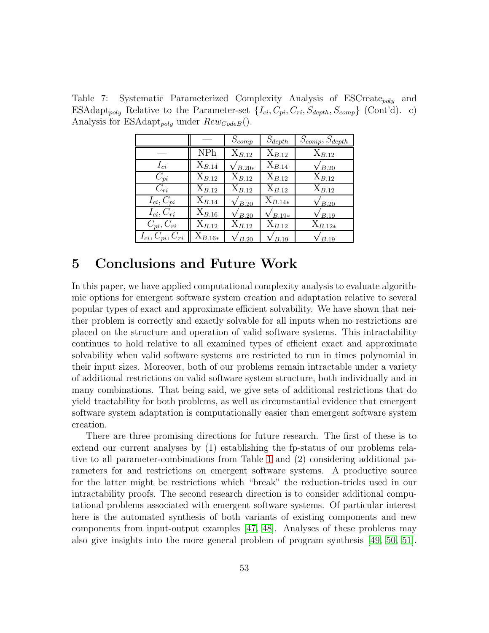Table 7: Systematic Parameterized Complexity Analysis of ESCreate<sub>poly</sub> and ESAdapt<sub>poly</sub> Relative to the Parameter-set  $\{I_{ci}, C_{pi}, C_{ri}, S_{depth}, S_{comp}\}$  (Cont'd). c) Analysis for ESAdapt<sub>poly</sub> under  $Rew_{CodeB}$ .

<span id="page-52-0"></span>

|                          |                      | $S_{comp}$    | $S_{depth}$ | $S_{comp}, S_{depth}$ |
|--------------------------|----------------------|---------------|-------------|-----------------------|
|                          | <b>NPh</b>           | $X_{B.12}$    | $X_{B,12}$  | $X_{B.12}$            |
| $I_{ci}$                 | $X_{B.14}$           | $'B.20*$      | $X_{B.14}$  | /B.20                 |
| $C_{pi}$                 | $X_{B,12}$           | $X_{B,12}$    | $X_{B,12}$  | $X_{B,12}$            |
| $C_{ri}$                 | $X_{B,12}$           | $X_{B,12}$    | $X_{B,12}$  | $X_{B,12}$            |
| $I_{ci}, C_{pi}$         | $X_{B.14}$           | $\sqrt{B.20}$ | $X_{B.14*}$ | $\sqrt{B.20}$         |
| $I_{ci}, C_{ri}$         | $\mathrm{X}_{B.16}$  | B.20          | $B.19*$     | B.19                  |
| $C_{pi}, C_{ri}$         | $X_{B.12}$           | $X_{B.12}$    | $X_{B.12}$  | $X_{B.12*}$           |
| $I_{ci}, C_{pi}, C_{ri}$ | $\mathrm{X}_{B.16*}$ | B.20          | B.19        | B.19                  |

# 5 Conclusions and Future Work

In this paper, we have applied computational complexity analysis to evaluate algorithmic options for emergent software system creation and adaptation relative to several popular types of exact and approximate efficient solvability. We have shown that neither problem is correctly and exactly solvable for all inputs when no restrictions are placed on the structure and operation of valid software systems. This intractability continues to hold relative to all examined types of efficient exact and approximate solvability when valid software systems are restricted to run in times polynomial in their input sizes. Moreover, both of our problems remain intractable under a variety of additional restrictions on valid software system structure, both individually and in many combinations. That being said, we give sets of additional restrictions that do yield tractability for both problems, as well as circumstantial evidence that emergent software system adaptation is computationally easier than emergent software system creation.

There are three promising directions for future research. The first of these is to extend our current analyses by (1) establishing the fp-status of our problems relative to all parameter-combinations from Table [1](#page-29-0) and (2) considering additional parameters for and restrictions on emergent software systems. A productive source for the latter might be restrictions which "break" the reduction-tricks used in our intractability proofs. The second research direction is to consider additional computational problems associated with emergent software systems. Of particular interest here is the automated synthesis of both variants of existing components and new components from input-output examples [\[47,](#page-57-10) [48\]](#page-58-0). Analyses of these problems may also give insights into the more general problem of program synthesis [\[49,](#page-58-1) [50,](#page-58-2) [51\]](#page-58-3).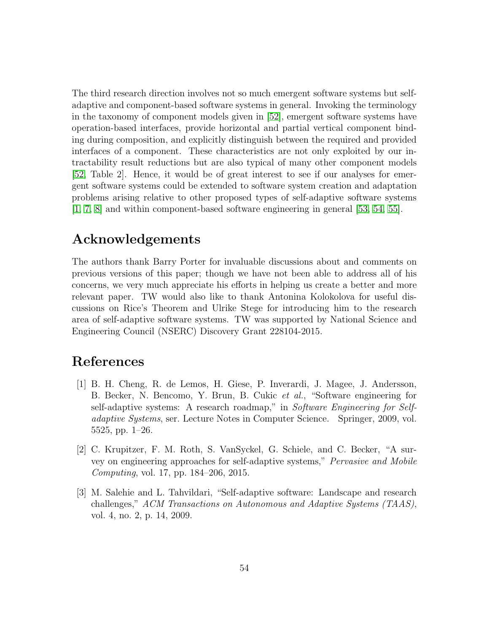The third research direction involves not so much emergent software systems but selfadaptive and component-based software systems in general. Invoking the terminology in the taxonomy of component models given in [\[52\]](#page-58-4), emergent software systems have operation-based interfaces, provide horizontal and partial vertical component binding during composition, and explicitly distinguish between the required and provided interfaces of a component. These characteristics are not only exploited by our intractability result reductions but are also typical of many other component models [\[52,](#page-58-4) Table 2]. Hence, it would be of great interest to see if our analyses for emergent software systems could be extended to software system creation and adaptation problems arising relative to other proposed types of self-adaptive software systems [\[1,](#page-53-0) [7,](#page-54-3) [8\]](#page-54-4) and within component-based software engineering in general [\[53,](#page-58-5) [54,](#page-58-6) [55\]](#page-58-7).

# Acknowledgements

The authors thank Barry Porter for invaluable discussions about and comments on previous versions of this paper; though we have not been able to address all of his concerns, we very much appreciate his efforts in helping us create a better and more relevant paper. TW would also like to thank Antonina Kolokolova for useful discussions on Rice's Theorem and Ulrike Stege for introducing him to the research area of self-adaptive software systems. TW was supported by National Science and Engineering Council (NSERC) Discovery Grant 228104-2015.

## <span id="page-53-0"></span>References

- [1] B. H. Cheng, R. de Lemos, H. Giese, P. Inverardi, J. Magee, J. Andersson, B. Becker, N. Bencomo, Y. Brun, B. Cukic *et al.*, "Software engineering for self-adaptive systems: A research roadmap," in *Software Engineering for Selfadaptive Systems*, ser. Lecture Notes in Computer Science. Springer, 2009, vol. 5525, pp. 1–26.
- [2] C. Krupitzer, F. M. Roth, S. VanSyckel, G. Schiele, and C. Becker, "A survey on engineering approaches for self-adaptive systems," *Pervasive and Mobile Computing*, vol. 17, pp. 184–206, 2015.
- [3] M. Salehie and L. Tahvildari, "Self-adaptive software: Landscape and research challenges," *ACM Transactions on Autonomous and Adaptive Systems (TAAS)*, vol. 4, no. 2, p. 14, 2009.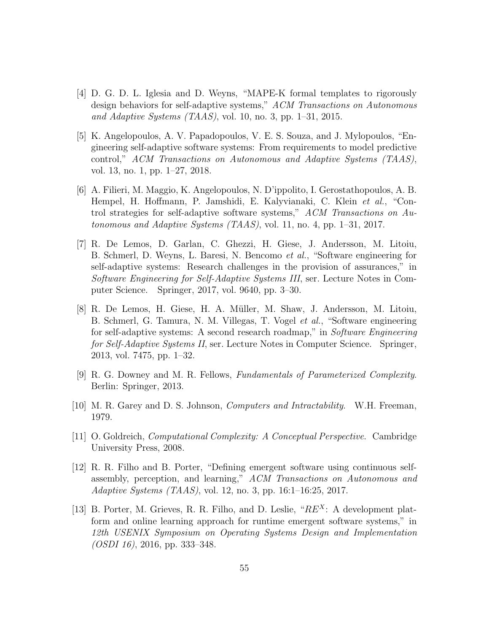- [4] D. G. D. L. Iglesia and D. Weyns, "MAPE-K formal templates to rigorously design behaviors for self-adaptive systems," *ACM Transactions on Autonomous and Adaptive Systems (TAAS)*, vol. 10, no. 3, pp. 1–31, 2015.
- [5] K. Angelopoulos, A. V. Papadopoulos, V. E. S. Souza, and J. Mylopoulos, "Engineering self-adaptive software systems: From requirements to model predictive control," *ACM Transactions on Autonomous and Adaptive Systems (TAAS)*, vol. 13, no. 1, pp. 1–27, 2018.
- [6] A. Filieri, M. Maggio, K. Angelopoulos, N. D'ippolito, I. Gerostathopoulos, A. B. Hempel, H. Hoffmann, P. Jamshidi, E. Kalyvianaki, C. Klein *et al.*, "Control strategies for self-adaptive software systems," *ACM Transactions on Autonomous and Adaptive Systems (TAAS)*, vol. 11, no. 4, pp. 1–31, 2017.
- <span id="page-54-3"></span>[7] R. De Lemos, D. Garlan, C. Ghezzi, H. Giese, J. Andersson, M. Litoiu, B. Schmerl, D. Weyns, L. Baresi, N. Bencomo *et al.*, "Software engineering for self-adaptive systems: Research challenges in the provision of assurances," in *Software Engineering for Self-Adaptive Systems III*, ser. Lecture Notes in Computer Science. Springer, 2017, vol. 9640, pp. 3–30.
- <span id="page-54-4"></span>[8] R. De Lemos, H. Giese, H. A. M¨uller, M. Shaw, J. Andersson, M. Litoiu, B. Schmerl, G. Tamura, N. M. Villegas, T. Vogel *et al.*, "Software engineering for self-adaptive systems: A second research roadmap," in *Software Engineering for Self-Adaptive Systems II*, ser. Lecture Notes in Computer Science. Springer, 2013, vol. 7475, pp. 1–32.
- [9] R. G. Downey and M. R. Fellows, *Fundamentals of Parameterized Complexity*. Berlin: Springer, 2013.
- <span id="page-54-2"></span>[10] M. R. Garey and D. S. Johnson, *Computers and Intractability*. W.H. Freeman, 1979.
- [11] O. Goldreich, *Computational Complexity: A Conceptual Perspective*. Cambridge University Press, 2008.
- <span id="page-54-1"></span>[12] R. R. Filho and B. Porter, "Defining emergent software using continuous selfassembly, perception, and learning," *ACM Transactions on Autonomous and Adaptive Systems (TAAS)*, vol. 12, no. 3, pp. 16:1–16:25, 2017.
- <span id="page-54-0"></span>[13] B. Porter, M. Grieves, R. R. Filho, and D. Leslie, " $RE<sup>X</sup>$ : A development platform and online learning approach for runtime emergent software systems," in *12th USENIX Symposium on Operating Systems Design and Implementation (OSDI 16)*, 2016, pp. 333–348.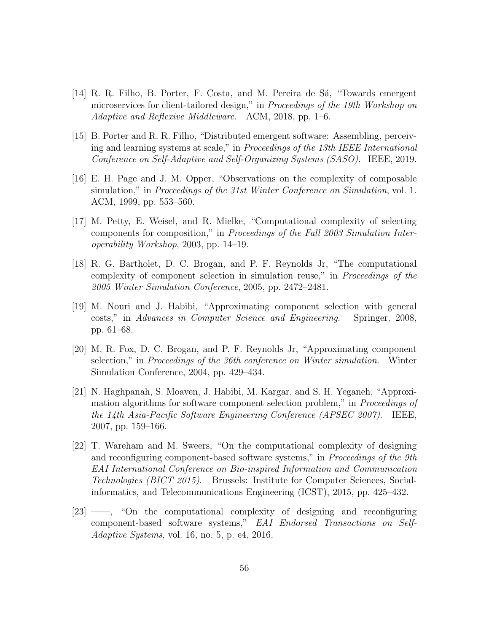- [14] R. R. Filho, B. Porter, F. Costa, and M. Pereira de Sá, "Towards emergent" microservices for client-tailored design," in *Proceedings of the 19th Workshop on Adaptive and Reflexive Middleware*. ACM, 2018, pp. 1–6.
- <span id="page-55-0"></span>[15] B. Porter and R. R. Filho, "Distributed emergent software: Assembling, perceiving and learning systems at scale," in *Proceedings of the 13th IEEE International Conference on Self-Adaptive and Self-Organizing Systems (SASO)*. IEEE, 2019.
- [16] E. H. Page and J. M. Opper, "Observations on the complexity of composable simulation," in *Proceedings of the 31st Winter Conference on Simulation*, vol. 1. ACM, 1999, pp. 553–560.
- [17] M. Petty, E. Weisel, and R. Mielke, "Computational complexity of selecting components for composition," in *Proceedings of the Fall 2003 Simulation Interoperability Workshop*, 2003, pp. 14–19.
- [18] R. G. Bartholet, D. C. Brogan, and P. F. Reynolds Jr, "The computational complexity of component selection in simulation reuse," in *Proceedings of the 2005 Winter Simulation Conference*, 2005, pp. 2472–2481.
- [19] M. Nouri and J. Habibi, "Approximating component selection with general costs," in *Advances in Computer Science and Engineering*. Springer, 2008, pp. 61–68.
- [20] M. R. Fox, D. C. Brogan, and P. F. Reynolds Jr, "Approximating component selection," in *Proceedings of the 36th conference on Winter simulation*. Winter Simulation Conference, 2004, pp. 429–434.
- [21] N. Haghpanah, S. Moaven, J. Habibi, M. Kargar, and S. H. Yeganeh, "Approximation algorithms for software component selection problem," in *Proceedings of the 14th Asia-Pacific Software Engineering Conference (APSEC 2007)*. IEEE, 2007, pp. 159–166.
- [22] T. Wareham and M. Sweers, "On the computational complexity of designing and reconfiguring component-based software systems," in *Proceedings of the 9th EAI International Conference on Bio-inspired Information and Communication Technologies (BICT 2015)*. Brussels: Institute for Computer Sciences, Socialinformatics, and Telecommunications Engineering (ICST), 2015, pp. 425–432.
- [23] ——, "On the computational complexity of designing and reconfiguring component-based software systems," *EAI Endorsed Transactions on Self-Adaptive Systems*, vol. 16, no. 5, p. e4, 2016.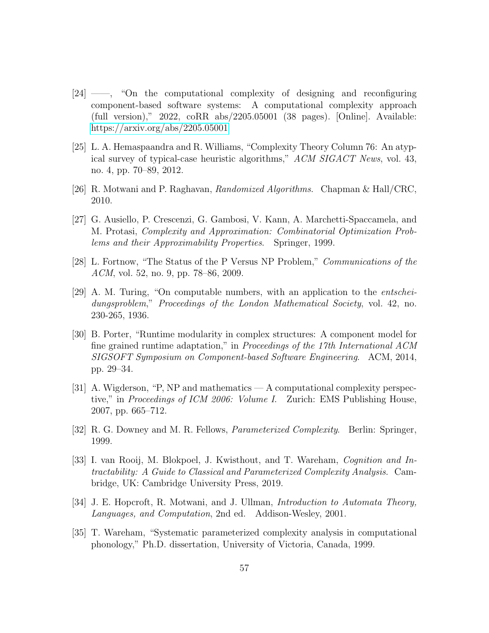- [24] ——, "On the computational complexity of designing and reconfiguring component-based software systems: A computational complexity approach (full version)," 2022, coRR abs/2205.05001 (38 pages). [Online]. Available: <https://arxiv.org/abs/2205.05001>
- [25] L. A. Hemaspaandra and R. Williams, "Complexity Theory Column 76: An atypical survey of typical-case heuristic algorithms," *ACM SIGACT News*, vol. 43, no. 4, pp. 70–89, 2012.
- [26] R. Motwani and P. Raghavan, *Randomized Algorithms*. Chapman & Hall/CRC, 2010.
- [27] G. Ausiello, P. Crescenzi, G. Gambosi, V. Kann, A. Marchetti-Spaccamela, and M. Protasi, *Complexity and Approximation: Combinatorial Optimization Problems and their Approximability Properties*. Springer, 1999.
- [28] L. Fortnow, "The Status of the P Versus NP Problem," *Communications of the ACM*, vol. 52, no. 9, pp. 78–86, 2009.
- [29] A. M. Turing, "On computable numbers, with an application to the *entscheidungsproblem*," *Proceedings of the London Mathematical Society*, vol. 42, no. 230-265, 1936.
- [30] B. Porter, "Runtime modularity in complex structures: A component model for fine grained runtime adaptation," in *Proceedings of the 17th International ACM SIGSOFT Symposium on Component-based Software Engineering*. ACM, 2014, pp. 29–34.
- [31] A. Wigderson, "P, NP and mathematics A computational complexity perspective," in *Proceedings of ICM 2006: Volume I*. Zurich: EMS Publishing House, 2007, pp. 665–712.
- [32] R. G. Downey and M. R. Fellows, *Parameterized Complexity*. Berlin: Springer, 1999.
- [33] I. van Rooij, M. Blokpoel, J. Kwisthout, and T. Wareham, *Cognition and Intractability: A Guide to Classical and Parameterized Complexity Analysis*. Cambridge, UK: Cambridge University Press, 2019.
- [34] J. E. Hopcroft, R. Motwani, and J. Ullman, *Introduction to Automata Theory, Languages, and Computation*, 2nd ed. Addison-Wesley, 2001.
- [35] T. Wareham, "Systematic parameterized complexity analysis in computational phonology," Ph.D. dissertation, University of Victoria, Canada, 1999.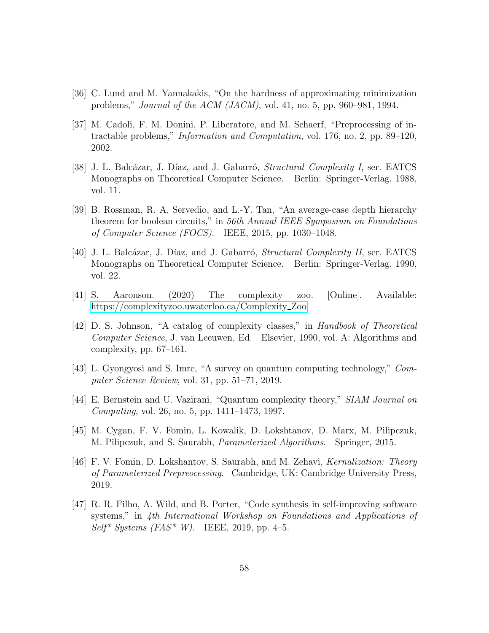- <span id="page-57-0"></span>[36] C. Lund and M. Yannakakis, "On the hardness of approximating minimization problems," *Journal of the ACM (JACM)*, vol. 41, no. 5, pp. 960–981, 1994.
- [37] M. Cadoli, F. M. Donini, P. Liberatore, and M. Schaerf, "Preprocessing of intractable problems," *Information and Computation*, vol. 176, no. 2, pp. 89–120, 2002.
- <span id="page-57-1"></span>[38] J. L. Balcázar, J. Díaz, and J. Gabarró, *Structural Complexity I*, ser. EATCS Monographs on Theoretical Computer Science. Berlin: Springer-Verlag, 1988, vol. 11.
- <span id="page-57-2"></span>[39] B. Rossman, R. A. Servedio, and L.-Y. Tan, "An average-case depth hierarchy theorem for boolean circuits," in *56th Annual IEEE Symposium on Foundations of Computer Science (FOCS)*. IEEE, 2015, pp. 1030–1048.
- <span id="page-57-3"></span>[40] J. L. Balcázar, J. Díaz, and J. Gabarró, *Structural Complexity II*, ser. EATCS Monographs on Theoretical Computer Science. Berlin: Springer-Verlag, 1990, vol. 22.
- <span id="page-57-4"></span>[41] S. Aaronson. (2020) The complexity zoo. [Online]. Available: [https://complexityzoo.uwaterloo.ca/Complexity](https://complexityzoo.uwaterloo.ca/Complexity_Zoo) Zoo
- <span id="page-57-5"></span>[42] D. S. Johnson, "A catalog of complexity classes," in *Handbook of Theoretical Computer Science*, J. van Leeuwen, Ed. Elsevier, 1990, vol. A: Algorithms and complexity, pp. 67–161.
- <span id="page-57-6"></span>[43] L. Gyongyosi and S. Imre, "A survey on quantum computing technology," *Computer Science Review*, vol. 31, pp. 51–71, 2019.
- <span id="page-57-8"></span><span id="page-57-7"></span>[44] E. Bernstein and U. Vazirani, "Quantum complexity theory," *SIAM Journal on Computing*, vol. 26, no. 5, pp. 1411–1473, 1997.
- <span id="page-57-9"></span>[45] M. Cygan, F. V. Fomin, L. Kowalik, D. Lokshtanov, D. Marx, M. Pilipczuk, M. Pilipczuk, and S. Saurabh, *Parameterized Algorithms*. Springer, 2015.
- [46] F. V. Fomin, D. Lokshantov, S. Saurabh, and M. Zehavi, *Kernalization: Theory of Parameterized Prepreocessing*. Cambridge, UK: Cambridge University Press, 2019.
- <span id="page-57-10"></span>[47] R. R. Filho, A. Wild, and B. Porter, "Code synthesis in self-improving software systems," in *4th International Workshop on Foundations and Applications of Self\* Systems (FAS\* W)*. IEEE, 2019, pp. 4–5.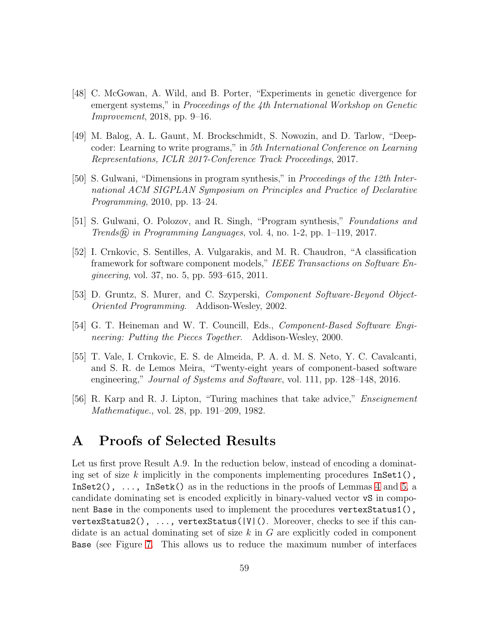- <span id="page-58-0"></span>[48] C. McGowan, A. Wild, and B. Porter, "Experiments in genetic divergence for emergent systems," in *Proceedings of the 4th International Workshop on Genetic Improvement*, 2018, pp. 9–16.
- <span id="page-58-1"></span>[49] M. Balog, A. L. Gaunt, M. Brockschmidt, S. Nowozin, and D. Tarlow, "Deepcoder: Learning to write programs," in *5th International Conference on Learning Representations, ICLR 2017-Conference Track Proceedings*, 2017.
- <span id="page-58-2"></span>[50] S. Gulwani, "Dimensions in program synthesis," in *Proceedings of the 12th International ACM SIGPLAN Symposium on Principles and Practice of Declarative Programming*, 2010, pp. 13–24.
- <span id="page-58-4"></span><span id="page-58-3"></span>[51] S. Gulwani, O. Polozov, and R. Singh, "Program synthesis," *Foundations and Trends*® *in Programming Languages*, vol. 4, no. 1-2, pp. 1–119, 2017.
- [52] I. Crnkovic, S. Sentilles, A. Vulgarakis, and M. R. Chaudron, "A classification framework for software component models," *IEEE Transactions on Software Engineering*, vol. 37, no. 5, pp. 593–615, 2011.
- <span id="page-58-6"></span><span id="page-58-5"></span>[53] D. Gruntz, S. Murer, and C. Szyperski, *Component Software-Beyond Object-Oriented Programming*. Addison-Wesley, 2002.
- <span id="page-58-7"></span>[54] G. T. Heineman and W. T. Councill, Eds., *Component-Based Software Engineering: Putting the Pieces Together*. Addison-Wesley, 2000.
- [55] T. Vale, I. Crnkovic, E. S. de Almeida, P. A. d. M. S. Neto, Y. C. Cavalcanti, and S. R. de Lemos Meira, "Twenty-eight years of component-based software engineering," *Journal of Systems and Software*, vol. 111, pp. 128–148, 2016.
- <span id="page-58-8"></span>[56] R. Karp and R. J. Lipton, "Turing machines that take advice," *Enseignement Mathematique.*, vol. 28, pp. 191–209, 1982.

# A Proofs of Selected Results

Let us first prove Result A.9. In the reduction below, instead of encoding a dominating set of size k implicitly in the components implementing procedures  $InSet1()$ , InSet2(),  $\dots$ , InSetk() as in the reductions in the proofs of Lemmas [4](#page-20-1) and [5,](#page-25-0) a candidate dominating set is encoded explicitly in binary-valued vector vS in component Base in the components used to implement the procedures vertexStatus1(), vertexStatus2(), ..., vertexStatus(|V|(). Moreover, checks to see if this candidate is an actual dominating set of size  $k$  in  $G$  are explicitly coded in component Base (see Figure [7.](#page-59-0) This allows us to reduce the maximum number of interfaces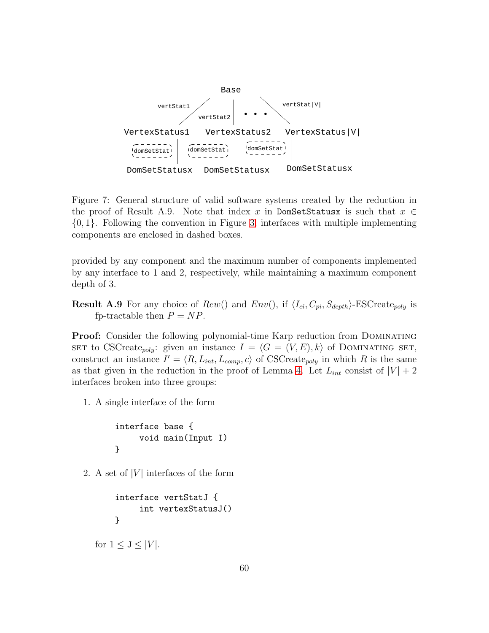

<span id="page-59-0"></span>Figure 7: General structure of valid software systems created by the reduction in the proof of Result A.9. Note that index x in DomSetStatusx is such that  $x \in$ {0, 1}. Following the convention in Figure [3,](#page-9-0) interfaces with multiple implementing components are enclosed in dashed boxes.

provided by any component and the maximum number of components implemented by any interface to 1 and 2, respectively, while maintaining a maximum component depth of 3.

**Result A.9** For any choice of  $Rew()$  and  $Env()$ , if  $\langle I_{ci}, C_{pi}, S_{depth} \rangle$ -ESCreate<sub>poly</sub> is fp-tractable then  $P = NP$ .

**Proof:** Consider the following polynomial-time Karp reduction from DOMINATING SET to CSCreate<sub>poly</sub>: given an instance  $I = \langle G = (V, E), k \rangle$  of DOMINATING SET, construct an instance  $I' = \langle R, L_{int}, L_{comp}, c \rangle$  of CSCreate<sub>poly</sub> in which R is the same as that given in the reduction in the proof of Lemma [4.](#page-20-1) Let  $L_{int}$  consist of  $|V| + 2$ interfaces broken into three groups:

1. A single interface of the form

```
interface base {
     void main(Input I)
}
```
2. A set of  $|V|$  interfaces of the form

```
interface vertStatJ {
     int vertexStatusJ()
}
```
for  $1 \leq J \leq |V|$ .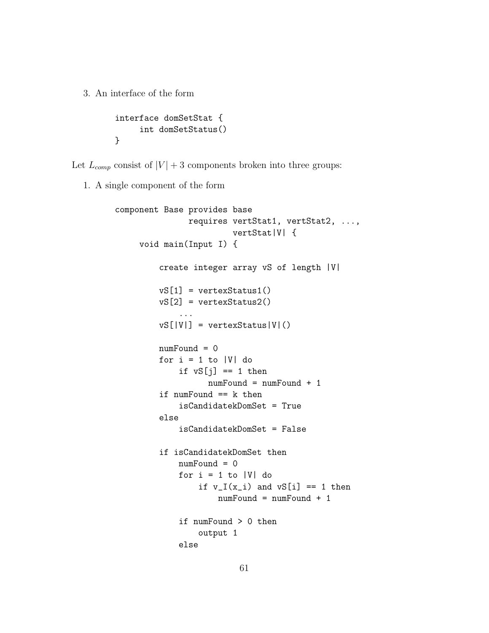3. An interface of the form

```
interface domSetStat {
     int domSetStatus()
}
```
Let  $L_{comp}$  consist of  $|V| + 3$  components broken into three groups:

1. A single component of the form

```
component Base provides base
               requires vertStat1, vertStat2, ...,
                        vertStat|V| {
    void main(Input I) {
         create integer array vS of length |V|
         vS[1] = vertexStatus1()
         vS[2] = vertexStatus2()
             ...
         vS[|V|] = vertexStatus|V|()numFound = 0for i = 1 to |V| do
             if vS[j] == 1 then
                   numFound = numFound + 1
         if numFound == k then
             isCandidatekDomSet = True
         else
             isCandidatekDomSet = False
         if isCandidatekDomSet then
             numFound = 0for i = 1 to |V| do
                 if v_I(x_i) and vS[i] == 1 then
                     numFound = numFound + 1
             if numFound > 0 then
                 output 1
             else
```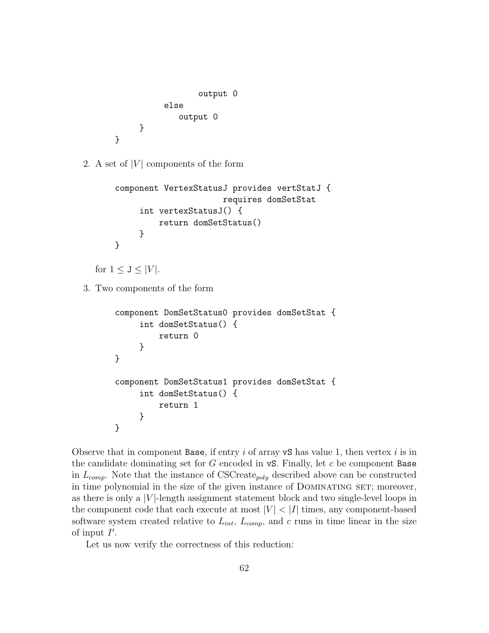```
output 0
           else
              output 0
     }
}
```
2. A set of  $|V|$  components of the form

```
component VertexStatusJ provides vertStatJ {
                      requires domSetStat
     int vertexStatusJ() {
         return domSetStatus()
     }
}
```
for  $1 \leq J \leq |V|$ .

3. Two components of the form

```
component DomSetStatus0 provides domSetStat {
     int domSetStatus() {
         return 0
     }
}
component DomSetStatus1 provides domSetStat {
     int domSetStatus() {
         return 1
     }
}
```
Observe that in component Base, if entry i of array  $\mathbf{v}$  is value 1, then vertex i is in the candidate dominating set for  $G$  encoded in  $\mathbf{vS}$ . Finally, let  $c$  be component Base in  $L_{comp}$ . Note that the instance of CSCreate<sub>poly</sub> described above can be constructed in time polynomial in the size of the given instance of DOMINATING SET; moreover, as there is only a  $|V|$ -length assignment statement block and two single-level loops in the component code that each execute at most  $|V| < |I|$  times, any component-based software system created relative to  $L_{int}$ ,  $L_{comp}$ , and c runs in time linear in the size of input  $I'$ .

Let us now verify the correctness of this reduction: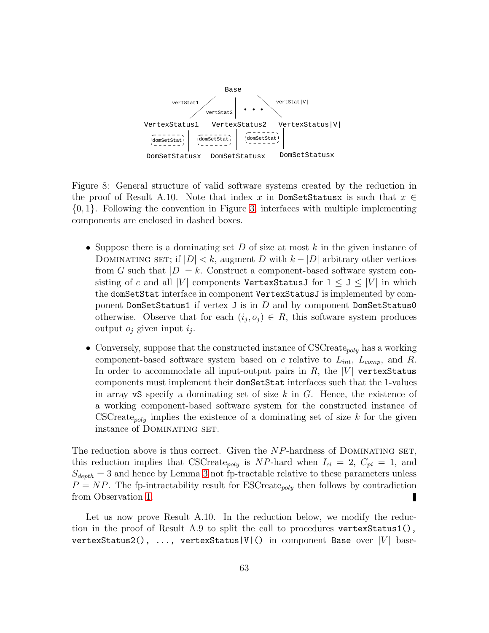

<span id="page-62-0"></span>Figure 8: General structure of valid software systems created by the reduction in the proof of Result A.10. Note that index x in DomSetStatusx is such that  $x \in$ {0, 1}. Following the convention in Figure [3,](#page-9-0) interfaces with multiple implementing components are enclosed in dashed boxes.

- Suppose there is a dominating set D of size at most k in the given instance of DOMINATING SET; if  $|D| < k$ , augment D with  $k - |D|$  arbitrary other vertices from G such that  $|D| = k$ . Construct a component-based software system consisting of c and all |V| components VertexStatusJ for  $1 \le J \le |V|$  in which the domSetStat interface in component VertexStatusJ is implemented by component DomSetStatus1 if vertex J is in  $D$  and by component DomSetStatus0 otherwise. Observe that for each  $(i_j, o_j) \in R$ , this software system produces output  $o_j$  given input  $i_j$ .
- Conversely, suppose that the constructed instance of CSCreate<sub>poly</sub> has a working component-based software system based on c relative to  $L_{int}$ ,  $L_{comp}$ , and R. In order to accommodate all input-output pairs in  $R$ , the  $|V|$  vertex Status components must implement their domSetStat interfaces such that the 1-values in array vS specify a dominating set of size  $k$  in  $G$ . Hence, the existence of a working component-based software system for the constructed instance of CSCreate<sub>poly</sub> implies the existence of a dominating set of size  $k$  for the given instance of DOMINATING SET.

The reduction above is thus correct. Given the  $NP$ -hardness of DOMINATING SET, this reduction implies that CSCreate<sub>poly</sub> is NP-hard when  $I_{ci} = 2$ ,  $C_{pi} = 1$ , and  $S_{depth} = 3$  $S_{depth} = 3$  and hence by Lemma 3 not fp-tractable relative to these parameters unless  $P = NP$ . The fp-intractability result for ESCreate<sub>poly</sub> then follows by contradiction from Observation [1.](#page-18-1)

Let us now prove Result A.10. In the reduction below, we modify the reduction in the proof of Result A.9 to split the call to procedures vertexStatus1(), vertexStatus2(), ..., vertexStatus|V|() in component Base over  $|V|$  base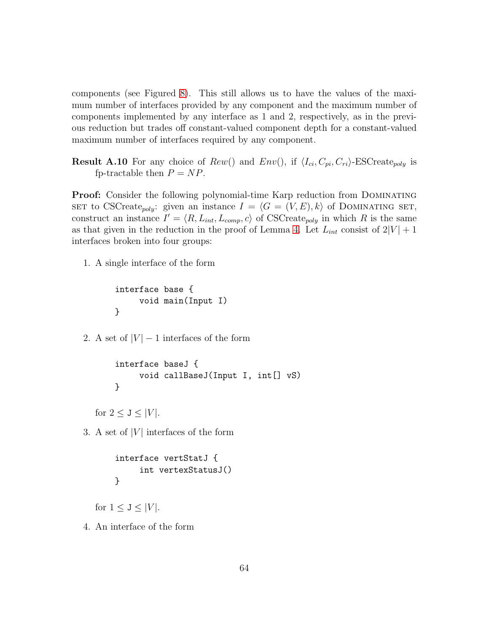components (see Figured [8\)](#page-62-0). This still allows us to have the values of the maximum number of interfaces provided by any component and the maximum number of components implemented by any interface as 1 and 2, respectively, as in the previous reduction but trades off constant-valued component depth for a constant-valued maximum number of interfaces required by any component.

**Result A.10** For any choice of  $Rew()$  and  $Env()$ , if  $\langle I_{ci}, C_{pi}, C_{ri} \rangle$ -ESCreate<sub>poly</sub> is fp-tractable then  $P = NP$ .

**Proof:** Consider the following polynomial-time Karp reduction from DOMINATING SET to CSCreate<sub>poly</sub>: given an instance  $I = \langle G = (V, E), k \rangle$  of DOMINATING SET, construct an instance  $I' = \langle R, L_{int}, L_{comp}, c \rangle$  of CSCreate<sub>poly</sub> in which R is the same as that given in the reduction in the proof of Lemma [4.](#page-20-1) Let  $L_{int}$  consist of  $2|V| + 1$ interfaces broken into four groups:

1. A single interface of the form

```
interface base {
     void main(Input I)
}
```
2. A set of  $|V| - 1$  interfaces of the form

```
interface baseJ {
     void callBaseJ(Input I, int[] vS)
}
```
for  $2 \leq J \leq |V|$ .

3. A set of  $|V|$  interfaces of the form

```
interface vertStatJ {
     int vertexStatusJ()
}
```
for  $1 \leq J \leq |V|$ .

4. An interface of the form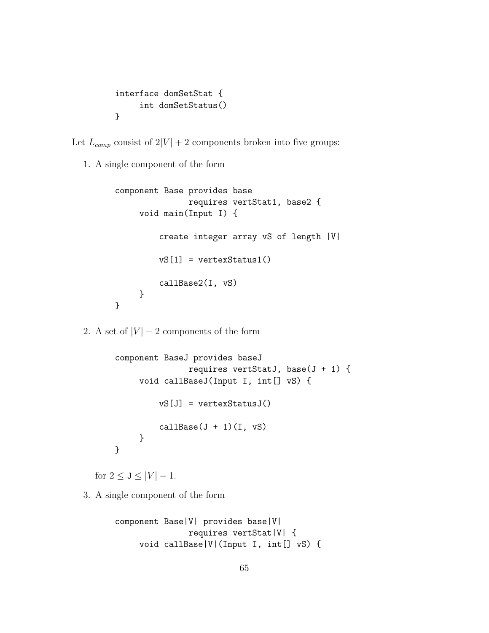```
interface domSetStat {
     int domSetStatus()
}
```
Let  $L_{comp}$  consist of  $2|V| + 2$  components broken into five groups:

1. A single component of the form

```
component Base provides base
               requires vertStat1, base2 {
     void main(Input I) {
         create integer array vS of length |V|
         vS[1] = vertexStatus1()
         callBase2(I, vS)
     }
}
```
2. A set of  $|V| - 2$  components of the form

```
component BaseJ provides baseJ
               requires vertStatJ, base(J + 1) {
     void callBaseJ(Input I, int[] vS) {
         vS[J] = vertexStatusJ()
         callBase(J + 1)(I, vS)}
}
```
for  $2 \leq J \leq |V| - 1$ .

3. A single component of the form

```
component Base|V| provides base|V|
               requires vertStat|V| {
    void callBase|V|(Input I, int[] vS) {
```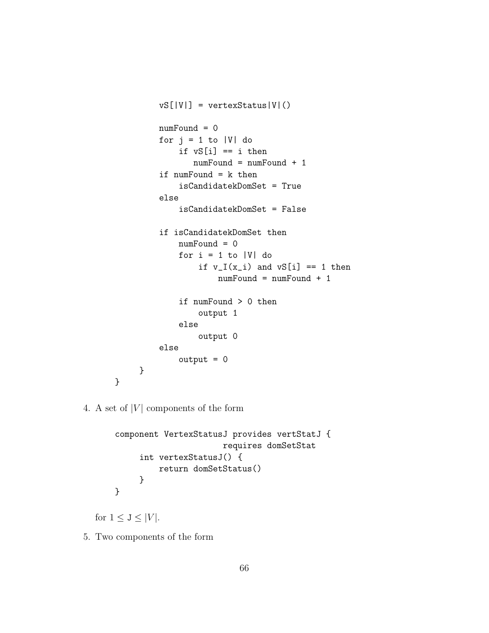```
vS[|V|] = vertexStatus|V|()numFound = 0
         for j = 1 to |V| do
             if vS[i] == i then
                numFound = numFound + 1
         if numFound = k then
             isCandidatekDomSet = True
         else
             isCandidatekDomSet = False
         if isCandidatekDomSet then
             numFound = 0
             for i = 1 to |V| do
                 if v_I(x_i) and vS[i] == 1 then
                     numFound = numFound + 1if numFound > 0 then
                 output 1
             else
                 output 0
         else
             output = 0}
}
```
4. A set of  $|V|$  components of the form

```
component VertexStatusJ provides vertStatJ {
                      requires domSetStat
     int vertexStatusJ() {
         return domSetStatus()
     }
}
```
for  $1 \leq J \leq |V|$ .

5. Two components of the form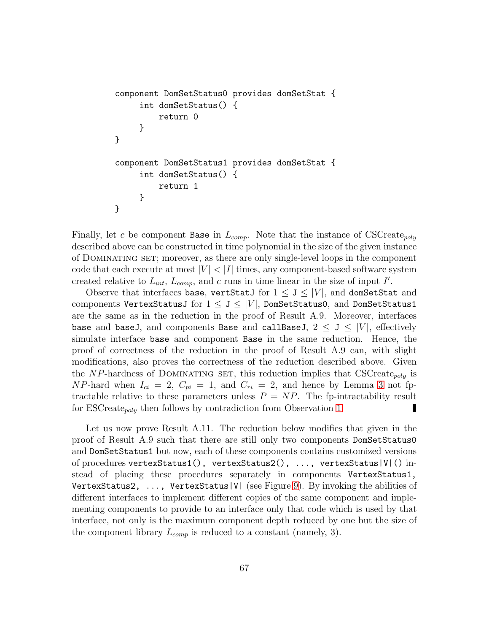```
component DomSetStatus0 provides domSetStat {
     int domSetStatus() {
         return 0
     }
}
component DomSetStatus1 provides domSetStat {
     int domSetStatus() {
         return 1
     }
}
```
Finally, let c be component Base in  $L_{comp.}$  Note that the instance of CSCreate<sub>poly</sub> described above can be constructed in time polynomial in the size of the given instance of Dominating set; moreover, as there are only single-level loops in the component code that each execute at most  $|V| < |I|$  times, any component-based software system created relative to  $L_{int}$ ,  $L_{comp}$ , and c runs in time linear in the size of input I'.

Observe that interfaces base, vertStatJ for  $1 \le J \le |V|$ , and domSetStat and components VertexStatusJ for  $1 \leq J \leq |V|$ , DomSetStatusO, and DomSetStatus1 are the same as in the reduction in the proof of Result A.9. Moreover, interfaces base and baseJ, and components Base and callBaseJ,  $2 \le J \le |V|$ , effectively simulate interface base and component Base in the same reduction. Hence, the proof of correctness of the reduction in the proof of Result A.9 can, with slight modifications, also proves the correctness of the reduction described above. Given the NP-hardness of DOMINATING SET, this reduction implies that  $\text{CSCreate}_{\text{poly}}$  is NP-hard when  $I_{ci} = 2$ ,  $C_{pi} = 1$ , and  $C_{ri} = 2$ , and hence by Lemma [3](#page-17-2) not fptractable relative to these parameters unless  $P = NP$ . The fp-intractability result for ESCreate<sub>poly</sub> then follows by contradiction from Observation [1.](#page-18-1) П

Let us now prove Result A.11. The reduction below modifies that given in the proof of Result A.9 such that there are still only two components DomSetStatus0 and DomSetStatus1 but now, each of these components contains customized versions of procedures vertexStatus1(), vertexStatus2(), ..., vertexStatus|V|() instead of placing these procedures separately in components VertexStatus1, VertexStatus2, ..., VertexStatus|V| (see Figure [9\)](#page-67-0). By invoking the abilities of different interfaces to implement different copies of the same component and implementing components to provide to an interface only that code which is used by that interface, not only is the maximum component depth reduced by one but the size of the component library  $L_{comp}$  is reduced to a constant (namely, 3).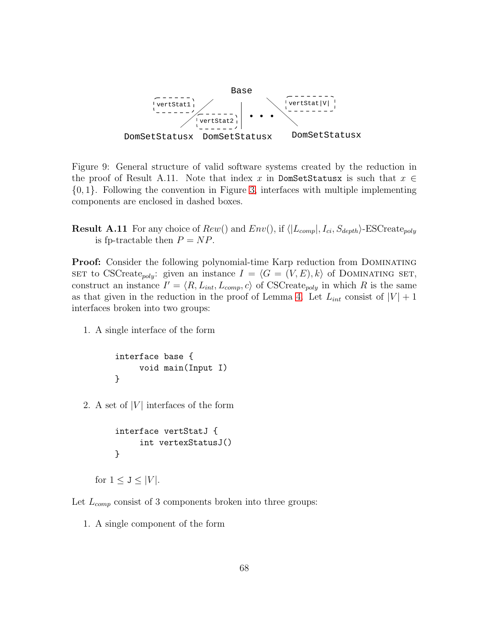

<span id="page-67-0"></span>Figure 9: General structure of valid software systems created by the reduction in the proof of Result A.11. Note that index x in DomSetStatusx is such that  $x \in$ {0, 1}. Following the convention in Figure [3,](#page-9-0) interfaces with multiple implementing components are enclosed in dashed boxes.

**Result A.11** For any choice of  $Rew()$  and  $Env(),$  if  $\langle |L_{comp}|, I_{ci}, S_{depth}\rangle$ -ESCreate<sub>poly</sub> is fp-tractable then  $P = NP$ .

**Proof:** Consider the following polynomial-time Karp reduction from DOMINATING SET to CSCreate<sub>poly</sub>: given an instance  $I = \langle G = (V, E), k \rangle$  of DOMINATING SET, construct an instance  $I' = \langle R, L_{int}, L_{comp}, c \rangle$  of CSCreate<sub>poly</sub> in which R is the same as that given in the reduction in the proof of Lemma [4.](#page-20-1) Let  $L_{int}$  consist of  $|V| + 1$ interfaces broken into two groups:

1. A single interface of the form

```
interface base {
     void main(Input I)
}
```
2. A set of  $|V|$  interfaces of the form

```
interface vertStatJ {
     int vertexStatusJ()
}
```

```
for 1 \leq J \leq |V|.
```
Let  $L_{comp}$  consist of 3 components broken into three groups:

1. A single component of the form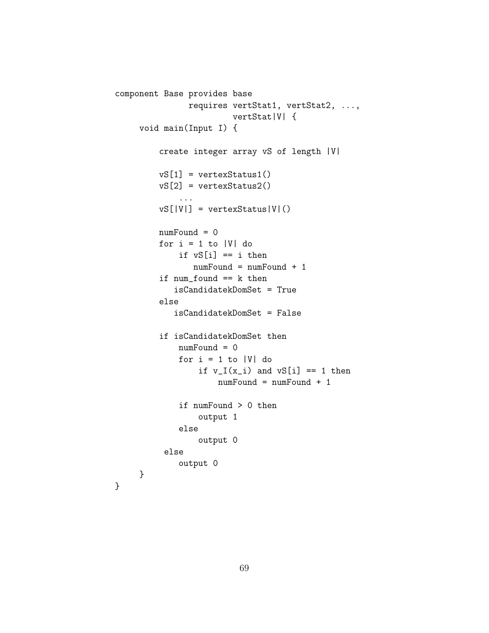```
component Base provides base
               requires vertStat1, vertStat2, ...,
                        vertStat|V| {
     void main(Input I) {
         create integer array vS of length |V|
         vS[1] = vertexStatus1()
         vS[2] = vertexStatus2()
             ...
         vS[|V|] = vertexStatus|V|()numFound = 0
         for i = 1 to |V| do
             if vS[i] == i then
                numFound = numFound + 1
         if num found == k then
            isCandidatekDomSet = True
         else
            isCandidatekDomSet = False
         if isCandidatekDomSet then
             numFound = 0
             for i = 1 to |V| do
                 if v_I(x_i) and vS[i] == 1 then
                     numFound = numFound + 1
             if numFound > 0 then
                 output 1
             else
                 output 0
          else
             output 0
     }
}
```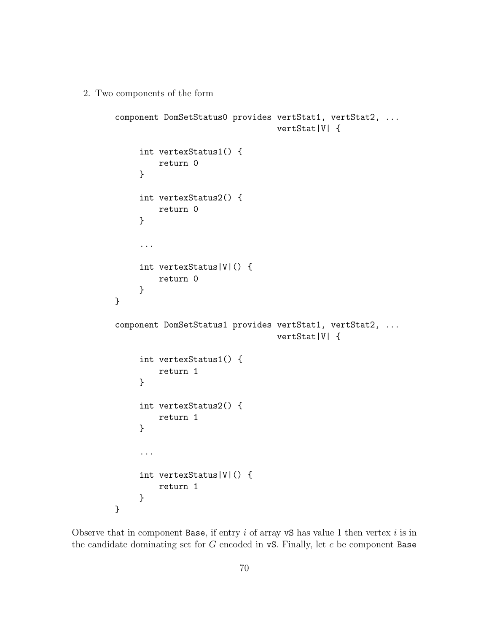2. Two components of the form

```
component DomSetStatus0 provides vertStat1, vertStat2, ...
                                  vertStat|V| {
     int vertexStatus1() {
         return 0
     }
     int vertexStatus2() {
         return 0
     }
     ...
     int vertexStatus|V|() {
         return 0
     }
}
component DomSetStatus1 provides vertStat1, vertStat2, ...
                                  vertStat|V| {
     int vertexStatus1() {
         return 1
     }
     int vertexStatus2() {
         return 1
     }
     ...
     int vertexStatus|V|() {
         return 1
     }
}
```
Observe that in component Base, if entry  $i$  of array vS has value 1 then vertex  $i$  is in the candidate dominating set for  $G$  encoded in  $\mathbf{vS}$ . Finally, let  $c$  be component Base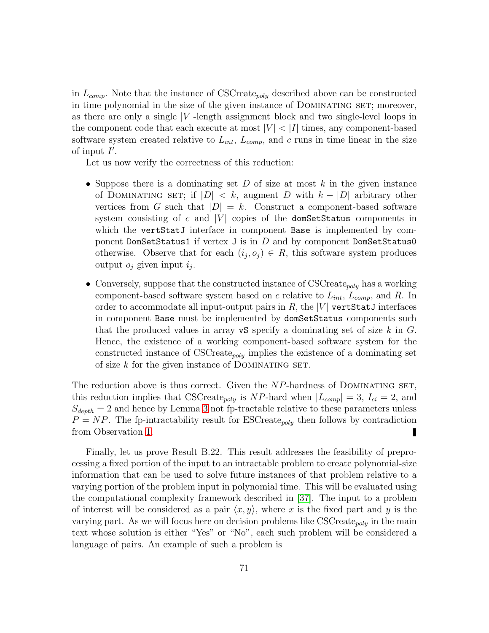in  $L_{comp}$ . Note that the instance of CSCreate<sub>poly</sub> described above can be constructed in time polynomial in the size of the given instance of Dominating set; moreover, as there are only a single  $|V|$ -length assignment block and two single-level loops in the component code that each execute at most  $|V| < |I|$  times, any component-based software system created relative to  $L_{int}$ ,  $L_{comp}$ , and c runs in time linear in the size of input  $I'$ .

Let us now verify the correctness of this reduction:

- Suppose there is a dominating set  $D$  of size at most  $k$  in the given instance of DOMINATING SET; if  $|D| < k$ , augment D with  $k - |D|$  arbitrary other vertices from G such that  $|D| = k$ . Construct a component-based software system consisting of c and  $|V|$  copies of the domSetStatus components in which the vertStatJ interface in component Base is implemented by component DomSetStatus1 if vertex J is in  $D$  and by component DomSetStatus0 otherwise. Observe that for each  $(i_j, o_j) \in R$ , this software system produces output  $o_j$  given input  $i_j$ .
- Conversely, suppose that the constructed instance of CSCreate<sub>poly</sub> has a working component-based software system based on c relative to  $L_{int}$ ,  $L_{comp}$ , and R. In order to accommodate all input-output pairs in  $R$ , the  $|V|$  vertStatJ interfaces in component Base must be implemented by domSetStatus components such that the produced values in array  $\mathbf{v}$ S specify a dominating set of size k in G. Hence, the existence of a working component-based software system for the constructed instance of  $\text{CSCrate}_{poly}$  implies the existence of a dominating set of size  $k$  for the given instance of DOMINATING SET.

The reduction above is thus correct. Given the  $NP$ -hardness of DOMINATING SET, this reduction implies that CSCreate<sub>poly</sub> is NP-hard when  $|L_{comp}| = 3$ ,  $I_{ci} = 2$ , and  $S_{depth} = 2$  and hence by Lemma [3](#page-17-2) not fp-tractable relative to these parameters unless  $P = NP$ . The fp-intractability result for ESCreate<sub>poly</sub> then follows by contradiction from Observation [1.](#page-18-1) П

Finally, let us prove Result B.22. This result addresses the feasibility of preprocessing a fixed portion of the input to an intractable problem to create polynomial-size information that can be used to solve future instances of that problem relative to a varying portion of the problem input in polynomial time. This will be evaluated using the computational complexity framework described in [\[37\]](#page-57-0). The input to a problem of interest will be considered as a pair  $\langle x, y \rangle$ , where x is the fixed part and y is the varying part. As we will focus here on decision problems like CSCreate<sub>poly</sub> in the main text whose solution is either "Yes" or "No", each such problem will be considered a language of pairs. An example of such a problem is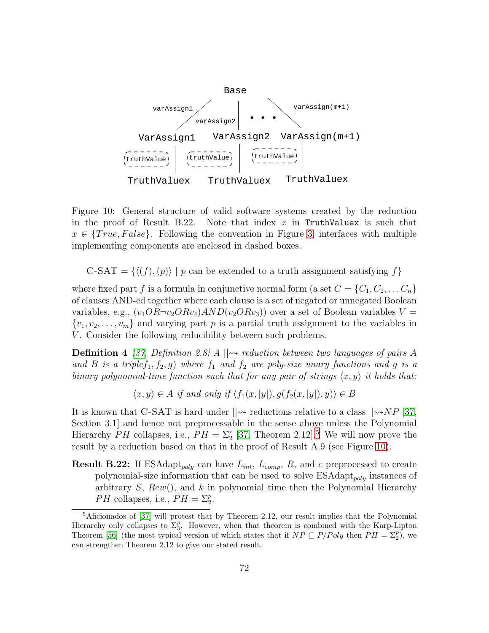

<span id="page-71-1"></span>Figure 10: General structure of valid software systems created by the reduction in the proof of Result B.22. Note that index x in TruthValuex is such that  $x \in \{True, False\}$ . Following the convention in Figure [3,](#page-9-0) interfaces with multiple implementing components are enclosed in dashed boxes.

C-SAT = { $\langle f, (p) \rangle | p$  can be extended to a truth assignment satisfying f}

where fixed part f is a formula in conjunctive normal form (a set  $C = \{C_1, C_2, \ldots C_n\}$ of clauses AND-ed together where each clause is a set of negated or unnegated Boolean variables, e.g.,  $(v_1OR\neg v_2ORv_4)AND(v_2ORv_3)$  over a set of Boolean variables  $V =$  $\{v_1, v_2, \ldots, v_m\}$  and varying part p is a partial truth assignment to the variables in V. Consider the following reducibility between such problems.

**Definition 4** [\[37,](#page-57-0) Definition 2.8] A  $\vert \psi \rangle$  reduction between two languages of pairs A and B is a triple $f_1, f_2, g$ ) where  $f_1$  and  $f_2$  are poly-size unary functions and g is a *binary polynomial-time function such that for any pair of strings*  $\langle x, y \rangle$  *it holds that:* 

 $\langle x, y \rangle \in A$  *if and only if*  $\langle f_1(x, |y|), q(f_2(x, |y|), y) \rangle \in B$ 

It is known that C-SAT is hard under  $||\rightarrow$  reductions relative to a class  $||\rightarrow NP$  [\[37,](#page-57-0) Section 3.1] and hence not preprocessable in the sense above unless the Polynomial Hierarchy PH collapses, i.e.,  $PH = \Sigma_2^r$  [\[37,](#page-57-0) Theorem 2.12].<sup>[5](#page-71-0)</sup> We will now prove the result by a reduction based on that in the proof of Result A.9 (see Figure [10\)](#page-71-1).

**Result B.22:** If ESAdapt<sub>poly</sub> can have  $L_{int}$ ,  $L_{comp}$ , R, and c preprocessed to create polynomial-size information that can be used to solve  $ESAdapt_{poly}$  instances of arbitrary  $S$ ,  $Rew()$ , and k in polynomial time then the Polynomial Hierarchy *PH* collapses, i.e.,  $PH = \sum_{2}^{p}$ .

<span id="page-71-0"></span><sup>&</sup>lt;sup>5</sup>Aficionados of [\[37\]](#page-57-0) will protest that by Theorem 2.12, our result implies that the Polynomial Hierarchy only collapses to  $\Sigma_3^p$ . However, when that theorem is combined with the Karp-Lipton Theorem [\[56\]](#page-58-8) (the most typical version of which states that if  $NP \subseteq P/Poly$  then  $PH = \Sigma_2^p$ ), we can strengthen Theorem 2.12 to give our stated result.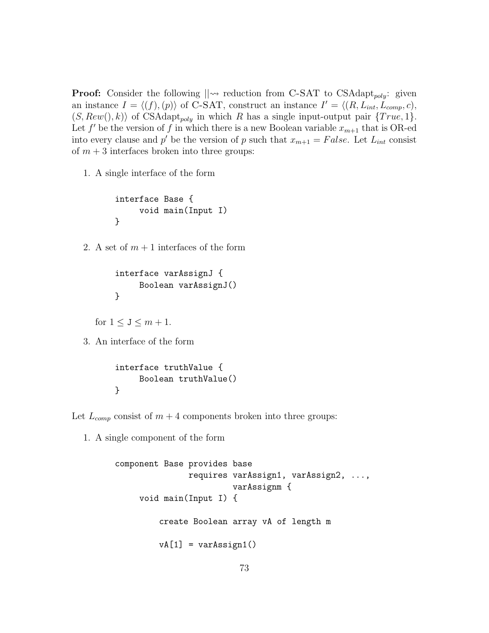**Proof:** Consider the following  $\|\sim$  reduction from C-SAT to CSAdapt<sub>poly</sub>: given an instance  $I = \langle (f), (p) \rangle$  of C-SAT, construct an instance  $I' = \langle (R, L_{int}, L_{comp}, c),$  $(S, Rew(), k)$  of CSAdapt<sub>poly</sub> in which R has a single input-output pair  ${True, 1}.$ Let  $f'$  be the version of f in which there is a new Boolean variable  $x_{m+1}$  that is OR-ed into every clause and p' be the version of p such that  $x_{m+1} = False$ . Let  $L_{int}$  consist of  $m + 3$  interfaces broken into three groups:

1. A single interface of the form

```
interface Base {
     void main(Input I)
}
```
2. A set of  $m + 1$  interfaces of the form

```
interface varAssignJ {
     Boolean varAssignJ()
}
```
for  $1 < J < m + 1$ .

3. An interface of the form

```
interface truthValue {
     Boolean truthValue()
}
```
Let  $L_{comp}$  consist of  $m+4$  components broken into three groups:

1. A single component of the form

```
component Base provides base
               requires varAssign1, varAssign2, ...,
                        varAssignm {
    void main(Input I) {
         create Boolean array vA of length m
        vA[1] = varAssign1()
```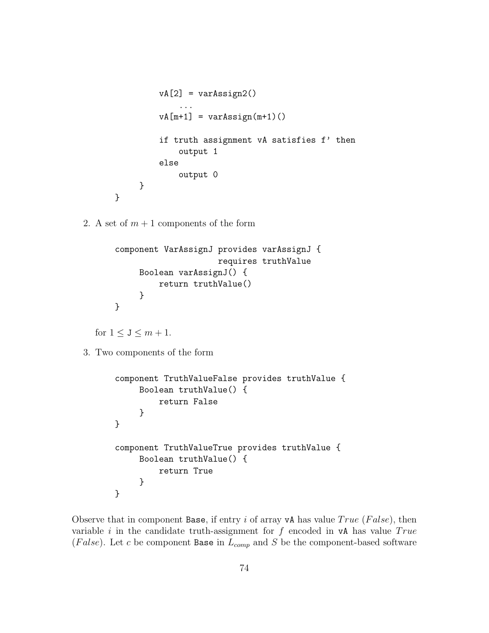```
vA[2] = varAssign2()...
         vA[m+1] = varAssign(m+1)if truth assignment vA satisfies f' then
             output 1
         else
             output 0
     }
}
```
2. A set of  $m + 1$  components of the form

```
component VarAssignJ provides varAssignJ {
                     requires truthValue
     Boolean varAssignJ() {
         return truthValue()
     }
}
```
for  $1 \leq J \leq m+1$ .

3. Two components of the form

```
component TruthValueFalse provides truthValue {
     Boolean truthValue() {
         return False
     }
}
component TruthValueTrue provides truthValue {
     Boolean truthValue() {
         return True
     }
}
```
Observe that in component Base, if entry i of array vA has value  $True$  (False), then variable i in the candidate truth-assignment for  $f$  encoded in vA has value  $True$ (False). Let c be component Base in  $L_{comp}$  and S be the component-based software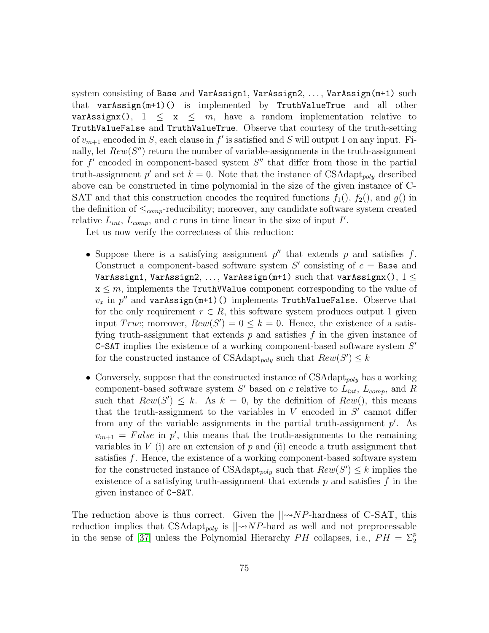system consisting of Base and VarAssign1, VarAssign2, ..., VarAssign(m+1) such that varAssign(m+1)() is implemented by TruthValueTrue and all other varAssignx(),  $1 \leq x \leq m$ , have a random implementation relative to TruthValueFalse and TruthValueTrue. Observe that courtesy of the truth-setting of  $v_{m+1}$  encoded in S, each clause in  $f'$  is satisfied and S will output 1 on any input. Finally, let  $Rew(S'')$  return the number of variable-assignments in the truth-assignment for  $f'$  encoded in component-based system  $S''$  that differ from those in the partial truth-assignment p' and set  $k = 0$ . Note that the instance of CSAdapt<sub>poly</sub> described above can be constructed in time polynomial in the size of the given instance of C-SAT and that this construction encodes the required functions  $f_1(), f_2(),$  and  $g()$  in the definition of  $\leq_{comp}$ -reducibility; moreover, any candidate software system created relative  $L_{int}$ ,  $L_{comp}$ , and c runs in time linear in the size of input I'.

Let us now verify the correctness of this reduction:

- Suppose there is a satisfying assignment  $p''$  that extends p and satisfies f. Construct a component-based software system  $S'$  consisting of  $c =$  Base and VarAssign1, VarAssign2, ..., VarAssign(m+1) such that varAssignx(),  $1 \leq$  $x \leq m$ , implements the TruthWalue component corresponding to the value of  $v_x$  in  $p''$  and varAssign(m+1)() implements TruthValueFalse. Observe that for the only requirement  $r \in R$ , this software system produces output 1 given input *True*; moreover,  $Rew(S') = 0 \le k = 0$ . Hence, the existence of a satisfying truth-assignment that extends  $p$  and satisfies  $f$  in the given instance of  $C$ -SAT implies the existence of a working component-based software system  $S'$ for the constructed instance of CSAdapt<sub>poly</sub> such that  $Rew(S') \leq k$
- Conversely, suppose that the constructed instance of  $CSAdapt_{poly}$  has a working component-based software system  $S'$  based on c relative to  $L_{int}$ ,  $L_{comp}$ , and R such that  $Rew(S') \leq k$ . As  $k = 0$ , by the definition of  $Rew()$ , this means that the truth-assignment to the variables in  $V$  encoded in  $S'$  cannot differ from any of the variable assignments in the partial truth-assignment  $p'$ . As  $v_{m+1} = False$  in p', this means that the truth-assignments to the remaining variables in  $V$  (i) are an extension of  $p$  and (ii) encode a truth assignment that satisfies f. Hence, the existence of a working component-based software system for the constructed instance of CSAdapt<sub>poly</sub> such that  $Rew(S') \leq k$  implies the existence of a satisfying truth-assignment that extends  $p$  and satisfies  $f$  in the given instance of C-SAT.

The reduction above is thus correct. Given the  $\|\neg N P\|$ -hardness of C-SAT, this reduction implies that CSAdapt<sub>poly</sub> is  $\vert \phi N P$ -hard as well and not preprocessable in the sense of [\[37\]](#page-57-0) unless the Polynomial Hierarchy  $PH$  collapses, i.e.,  $PH = \Sigma_2^p$